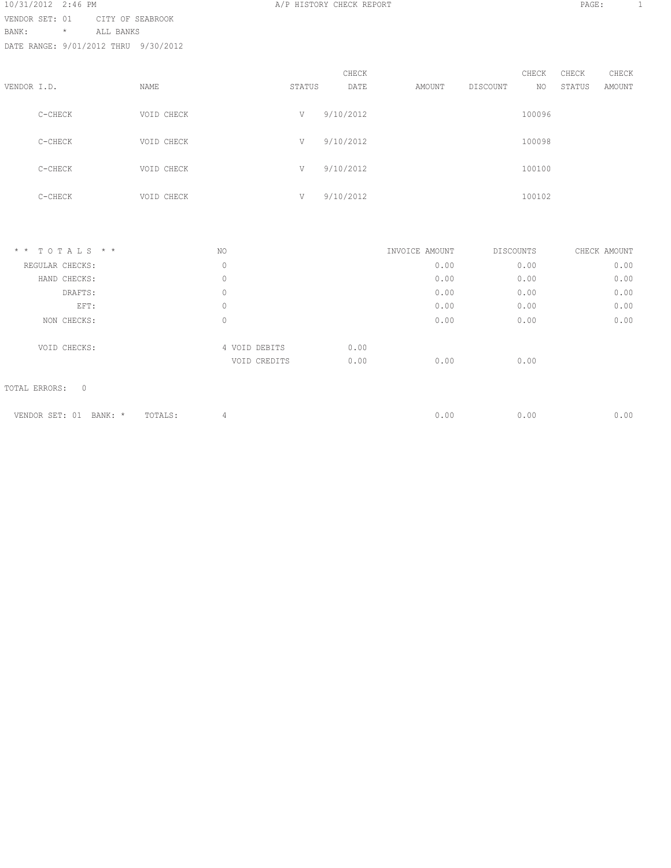10/31/2012 2:46 PM **A/P HISTORY CHECK REPORT PAGE:** 1 VENDOR SET: 01 CITY OF SEABROOK BANK: \* ALL BANKS DATE RANGE: 9/01/2012 THRU 9/30/2012

|             |         |             |        | CHECK     |        |          | CHECK  | CHECK  | CHECK  |
|-------------|---------|-------------|--------|-----------|--------|----------|--------|--------|--------|
| VENDOR I.D. |         | <b>NAME</b> | STATUS | DATE      | AMOUNT | DISCOUNT | NO     | STATUS | AMOUNT |
|             | C-CHECK | VOID CHECK  | V      | 9/10/2012 |        |          | 100096 |        |        |
|             | C-CHECK | VOID CHECK  | V      | 9/10/2012 |        |          | 100098 |        |        |
|             | C-CHECK | VOID CHECK  | V      | 9/10/2012 |        |          | 100100 |        |        |
|             | C-CHECK | VOID CHECK  | V      | 9/10/2012 |        |          | 100102 |        |        |

| $*$ * TOTALS * *         |                    | NO            |      | INVOICE AMOUNT | DISCOUNTS | CHECK AMOUNT |
|--------------------------|--------------------|---------------|------|----------------|-----------|--------------|
| REGULAR CHECKS:          |                    | 0             |      | 0.00           | 0.00      | 0.00         |
| HAND CHECKS:             |                    | 0             |      | 0.00           | 0.00      | 0.00         |
| DRAFTS:                  |                    | $\circ$       |      | 0.00           | 0.00      | 0.00         |
| EFT:                     |                    | 0             |      | 0.00           | 0.00      | 0.00         |
| NON CHECKS:              |                    | 0             |      | 0.00           | 0.00      | 0.00         |
| VOID CHECKS:             |                    | 4 VOID DEBITS | 0.00 |                |           |              |
|                          |                    | VOID CREDITS  | 0.00 | 0.00           | 0.00      |              |
| TOTAL ERRORS:<br>$\circ$ |                    |               |      |                |           |              |
| VENDOR SET: 01           | BANK: *<br>TOTALS: | 4             |      | 0.00           | 0.00      | 0.00         |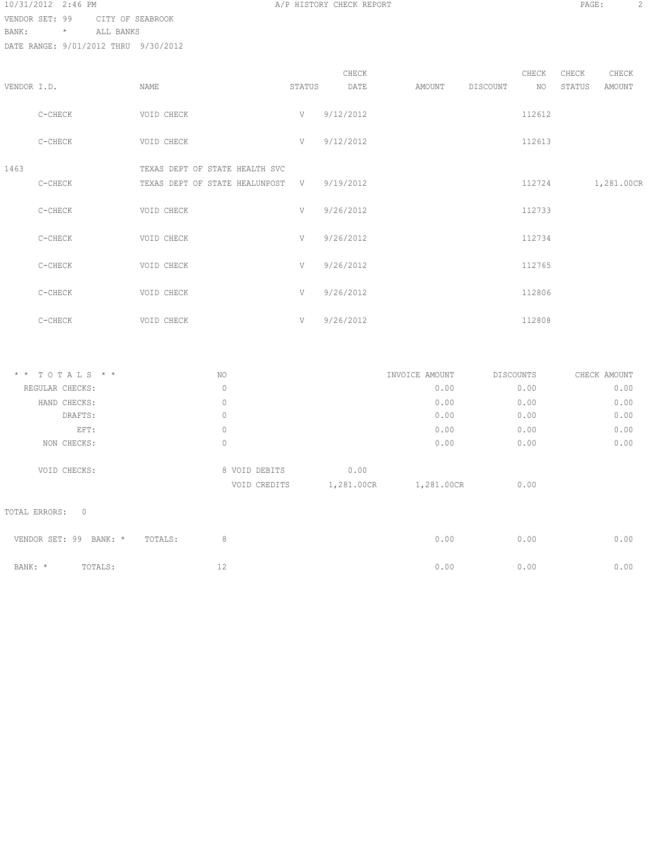| 10/31/2012 2:46 PM |         |                  |
|--------------------|---------|------------------|
| VENDOR SET: 99     |         | CITY OF SEABROOK |
| BANK:              | $\star$ | ALL BANKS        |

DATE RANGE: 9/01/2012 THRU 9/30/2012

|             |           |                                                                  |        | CHECK       |        |          | CHECK  | CHECK  | CHECK      |
|-------------|-----------|------------------------------------------------------------------|--------|-------------|--------|----------|--------|--------|------------|
| VENDOR I.D. |           | NAME                                                             | STATUS | DATE        | AMOUNT | DISCOUNT | NO.    | STATUS | AMOUNT     |
|             | $C-CHECK$ | VOID CHECK                                                       | V      | 9/12/2012   |        |          | 112612 |        |            |
|             | C-CHECK   | VOID CHECK                                                       | V      | 9/12/2012   |        |          | 112613 |        |            |
| 1463        | C-CHECK   | TEXAS DEPT OF STATE HEALTH SVC<br>TEXAS DEPT OF STATE HEALUNPOST |        | V 9/19/2012 |        |          | 112724 |        | 1,281.00CR |
|             | C-CHECK   | VOID CHECK                                                       | V      | 9/26/2012   |        |          | 112733 |        |            |
|             | C-CHECK   | VOID CHECK                                                       | V      | 9/26/2012   |        |          | 112734 |        |            |
|             | C-CHECK   | VOID CHECK                                                       | V      | 9/26/2012   |        |          | 112765 |        |            |
|             | C-CHECK   | VOID CHECK                                                       | V      | 9/26/2012   |        |          | 112806 |        |            |
|             | C-CHECK   | VOID CHECK                                                       | V      | 9/26/2012   |        |          | 112808 |        |            |

| $*$ * TOTALS * * | NO. |               |            | INVOICE AMOUNT | DISCOUNTS | CHECK AMOUNT |
|------------------|-----|---------------|------------|----------------|-----------|--------------|
| REGULAR CHECKS:  | 0   |               |            | 0.00           | 0.00      | 0.00         |
| HAND CHECKS:     | 0   |               |            | 0.00           | 0.00      | 0.00         |
| DRAFTS:          | 0   |               |            | 0.00           | 0.00      | 0.00         |
| EFT:             | 0   |               |            | 0.00           | 0.00      | 0.00         |
| NON CHECKS:      | 0   |               |            | 0.00           | 0.00      | 0.00         |
| VOID CHECKS:     |     | 8 VOID DEBITS | 0.00       |                |           |              |
|                  |     | VOID CREDITS  | 1,281.00CR | 1,281.00CR     | 0.00      |              |
|                  |     |               |            |                |           |              |

TOTAL ERRORS: 0

| VENDOR SET: 99 BANK: * TOTALS: |         |  | 0.00 | 0.00 | 0.00 |
|--------------------------------|---------|--|------|------|------|
| BANK: *                        | TOTALS: |  | 0.00 | 0.00 | 0.00 |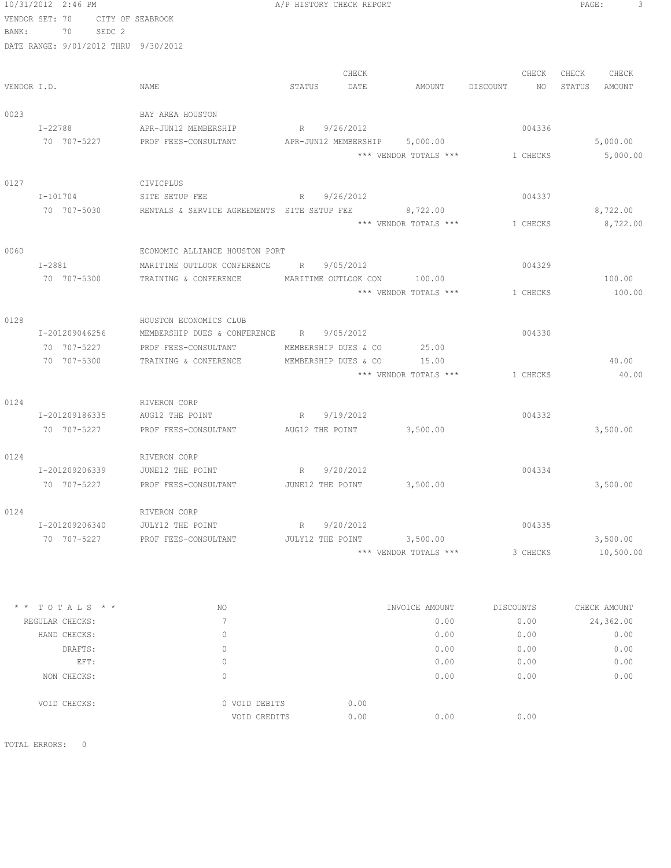|                |         | 10/31/2012 2:46 PM |                                                            |        | A/P HISTORY CHECK REPORT      |                                |          | PAGE:  | 3         |
|----------------|---------|--------------------|------------------------------------------------------------|--------|-------------------------------|--------------------------------|----------|--------|-----------|
| VENDOR SET: 70 |         |                    | CITY OF SEABROOK                                           |        |                               |                                |          |        |           |
| BANK:          |         | 70<br>SEDC 2       |                                                            |        |                               |                                |          |        |           |
|                |         |                    | DATE RANGE: 9/01/2012 THRU 9/30/2012                       |        |                               |                                |          |        |           |
|                |         |                    |                                                            |        |                               |                                |          |        |           |
|                |         |                    |                                                            |        | CHECK                         |                                | CHECK    | CHECK  | CHECK     |
| VENDOR I.D.    |         |                    | NAME                                                       | STATUS | DATE                          | AMOUNT DISCOUNT                | NO       | STATUS | AMOUNT    |
| 0023           |         |                    | BAY AREA HOUSTON                                           |        |                               |                                |          |        |           |
|                | I-22788 |                    | APR-JUN12 MEMBERSHIP                                       | R      | 9/26/2012                     |                                | 004336   |        |           |
|                |         | 70 707-5227        | PROF FEES-CONSULTANT                                       |        | APR-JUN12 MEMBERSHIP 5,000.00 |                                |          |        | 5,000.00  |
|                |         |                    |                                                            |        |                               | *** VENDOR TOTALS ***          | 1 CHECKS |        | 5,000.00  |
|                |         |                    |                                                            |        |                               |                                |          |        |           |
| 0127           |         |                    | CIVICPLUS                                                  |        |                               |                                |          |        |           |
|                |         | I-101704           | SITE SETUP FEE                                             | R      | 9/26/2012                     |                                | 004337   |        |           |
|                |         | 70 707-5030        | RENTALS & SERVICE AGREEMENTS SITE SETUP FEE 8,722.00       |        |                               |                                |          |        | 8,722.00  |
|                |         |                    |                                                            |        |                               | *** VENDOR TOTALS *** 1 CHECKS |          |        | 8,722.00  |
| 0060           |         |                    | ECONOMIC ALLIANCE HOUSTON PORT                             |        |                               |                                |          |        |           |
|                |         | $I-2881$           | MARITIME OUTLOOK CONFERENCE                                | R      | 9/05/2012                     |                                | 004329   |        |           |
|                |         | 70 707-5300        | TRAINING & CONFERENCE                                      |        | MARITIME OUTLOOK CON          | 100.00                         |          |        | 100.00    |
|                |         |                    |                                                            |        |                               | *** VENDOR TOTALS ***          | 1 CHECKS |        | 100.00    |
|                |         |                    |                                                            |        |                               |                                |          |        |           |
| 0128           |         |                    | HOUSTON ECONOMICS CLUB                                     |        |                               |                                |          |        |           |
|                |         | I-201209046256     | MEMBERSHIP DUES & CONFERENCE R                             |        | 9/05/2012                     |                                | 004330   |        |           |
|                |         | 70 707-5227        | PROF FEES-CONSULTANT                                       |        | MEMBERSHIP DUES & CO          | 25.00                          |          |        |           |
|                |         | 70 707-5300        | TRAINING & CONFERENCE                                      |        | MEMBERSHIP DUES & CO          | 15.00                          |          |        | 40.00     |
|                |         |                    |                                                            |        |                               | *** VENDOR TOTALS ***          | 1 CHECKS |        | 40.00     |
| 0124           |         |                    | RIVERON CORP                                               |        |                               |                                |          |        |           |
|                |         | I-201209186335     | AUG12 THE POINT<br>R                                       |        | 9/19/2012                     |                                | 004332   |        |           |
|                |         | 70 707-5227        | PROF FEES-CONSULTANT AUG12 THE POINT 3,500.00              |        |                               |                                |          |        | 3,500.00  |
|                |         |                    |                                                            |        |                               |                                |          |        |           |
| 0124           |         |                    | RIVERON CORP                                               |        |                               |                                |          |        |           |
|                |         | I-201209206339     | JUNE12 THE POINT                                           | R      | 9/20/2012                     |                                | 004334   |        |           |
|                |         | 70 707-5227        | PROF FEES-CONSULTANT                                       |        | JUNE12 THE POINT              | 3,500.00                       |          |        | 3,500.00  |
|                |         |                    |                                                            |        |                               |                                |          |        |           |
| 0124           |         |                    | RIVERON CORP                                               |        |                               |                                |          |        |           |
|                |         | I-201209206340     | JULY12 THE POINT                                           |        | R 9/20/2012                   |                                | 004335   |        |           |
|                |         |                    | 70 707-5227 PROF FEES-CONSULTANT JULY12 THE POINT 3,500.00 |        |                               |                                |          |        | 3,500.00  |
|                |         |                    |                                                            |        |                               | *** VENDOR TOTALS ***          | 3 CHECKS |        | 10,500.00 |
|                |         |                    |                                                            |        |                               |                                |          |        |           |

| NO       |                  | INVOICE AMOUNT                | DISCOUNTS | CHECK AMOUNT |
|----------|------------------|-------------------------------|-----------|--------------|
|          |                  | 0.00                          | 0.00      | 24,362.00    |
| 0        |                  | 0.00                          | 0.00      | 0.00         |
| 0        |                  | 0.00                          | 0.00      | 0.00         |
| 0        |                  | 0.00                          | 0.00      | 0.00         |
| $\Omega$ |                  | 0.00                          | 0.00      | 0.00         |
|          |                  |                               |           |              |
|          | 0.00             |                               |           |              |
|          | 0.00             | 0.00                          | 0.00      |              |
|          | $*$ * TOTALS * * | 0 VOID DEBITS<br>VOID CREDITS |           |              |

TOTAL ERRORS: 0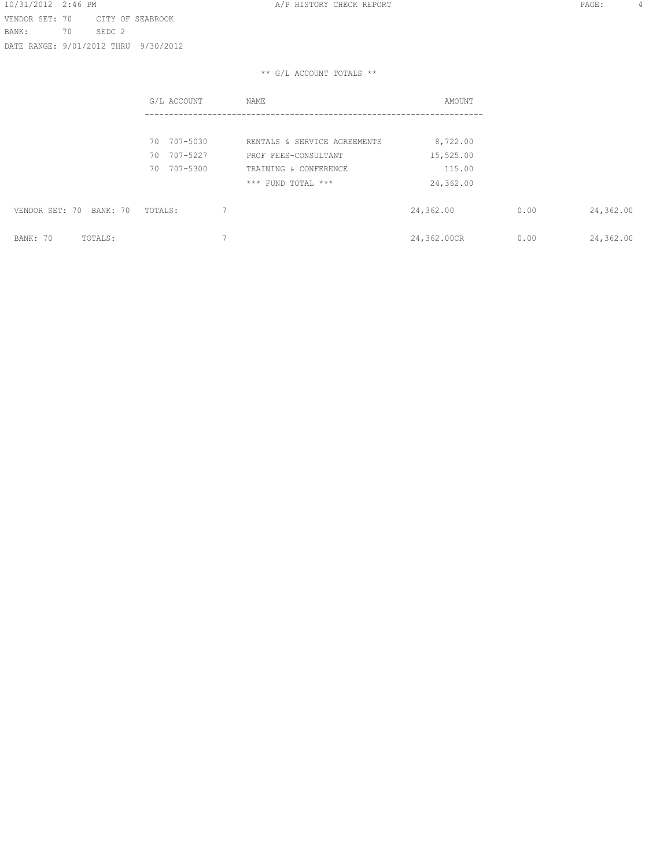10/31/2012 2:46 PM **A/P HISTORY CHECK REPORT PAGE:** 4 VENDOR SET: 70 CITY OF SEABROOK BANK: 70 SEDC 2 DATE RANGE: 9/01/2012 THRU 9/30/2012

|                         | G/L ACCOUNT    | <b>NAME</b>                  | AMOUNT      |      |           |
|-------------------------|----------------|------------------------------|-------------|------|-----------|
|                         |                |                              |             |      |           |
|                         | 707-5030<br>70 | RENTALS & SERVICE AGREEMENTS | 8,722.00    |      |           |
|                         | 707-5227<br>70 | PROF FEES-CONSULTANT         | 15,525.00   |      |           |
|                         | 707-5300<br>70 | TRAINING & CONFERENCE        | 115.00      |      |           |
|                         |                | *** FUND TOTAL ***           | 24,362.00   |      |           |
| VENDOR SET: 70 BANK: 70 | TOTALS:        |                              | 24,362.00   | 0.00 | 24,362.00 |
| BANK: 70<br>TOTALS:     |                | $\overline{\phantom{0}}$     | 24,362.00CR | 0.00 | 24,362.00 |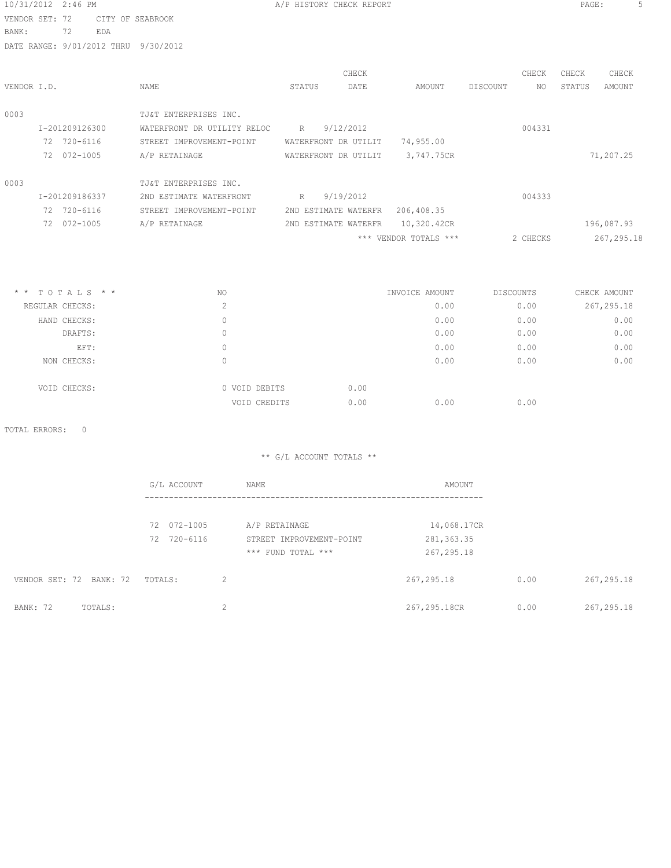| 10/31/2012 2:46 PM                   |                             |               | A/P HISTORY CHECK REPORT |           |                                  |                | PAGE:<br>5       |
|--------------------------------------|-----------------------------|---------------|--------------------------|-----------|----------------------------------|----------------|------------------|
| VENDOR SET: 72<br>CITY OF SEABROOK   |                             |               |                          |           |                                  |                |                  |
| 72<br>EDA<br>BANK:                   |                             |               |                          |           |                                  |                |                  |
| DATE RANGE: 9/01/2012 THRU 9/30/2012 |                             |               |                          |           |                                  |                |                  |
|                                      |                             |               |                          | CHECK     |                                  | CHECK          | CHECK<br>CHECK   |
| VENDOR I.D.                          | NAME                        |               | STATUS                   | DATE      | AMOUNT                           | DISCOUNT<br>NO | STATUS<br>AMOUNT |
|                                      |                             |               |                          |           |                                  |                |                  |
| 0003                                 | TJ&T ENTERPRISES INC.       |               |                          |           |                                  |                |                  |
| I-201209126300                       | WATERFRONT DR UTILITY RELOC |               | R                        | 9/12/2012 |                                  | 004331         |                  |
| 72 720-6116                          | STREET IMPROVEMENT-POINT    |               | WATERFRONT DR UTILIT     |           | 74,955.00                        |                |                  |
| 72 072-1005                          | A/P RETAINAGE               |               | WATERFRONT DR UTILIT     |           | 3,747.75CR                       |                | 71,207.25        |
| 0003                                 | TJ&T ENTERPRISES INC.       |               |                          |           |                                  |                |                  |
| I-201209186337                       | 2ND ESTIMATE WATERFRONT     |               | R                        | 9/19/2012 |                                  | 004333         |                  |
| 72 720-6116                          | STREET IMPROVEMENT-POINT    |               | 2ND ESTIMATE WATERFR     |           | 206,408.35                       |                |                  |
| 72 072-1005                          | A/P RETAINAGE               |               |                          |           | 2ND ESTIMATE WATERFR 10,320.42CR |                | 196,087.93       |
|                                      |                             |               |                          |           | *** VENDOR TOTALS ***            | 2 CHECKS       | 267, 295.18      |
|                                      |                             |               |                          |           |                                  |                |                  |
| $*$ * TOTALS * *                     | NO.                         |               |                          |           | INVOICE AMOUNT                   | DISCOUNTS      | CHECK AMOUNT     |
| REGULAR CHECKS:                      |                             | 2             |                          |           | 0.00                             | 0.00           | 267, 295.18      |
| HAND CHECKS:                         |                             | $\circ$       |                          |           | 0.00                             | 0.00           | 0.00             |
| DRAFTS:                              |                             | $\circ$       |                          |           | 0.00                             | 0.00           | 0.00             |
| EFT:                                 |                             | $\circ$       |                          |           | 0.00                             | 0.00           | 0.00             |
| NON CHECKS:                          |                             | $\circ$       |                          |           | 0.00                             | 0.00           | 0.00             |
| VOID CHECKS:                         |                             | 0 VOID DEBITS |                          | 0.00      |                                  |                |                  |
|                                      |                             | VOID CREDITS  |                          | 0.00      | 0.00                             | 0.00           |                  |
| TOTAL ERRORS:<br>$\overline{0}$      |                             |               |                          |           |                                  |                |                  |
|                                      |                             |               | ** G/L ACCOUNT TOTALS ** |           |                                  |                |                  |
|                                      | G/L ACCOUNT                 | NAME          |                          |           | AMOUNT                           |                |                  |
|                                      |                             |               |                          |           |                                  |                |                  |
|                                      | 72 072-1005                 | A/P RETAINAGE |                          |           | 14,068.17CR                      |                |                  |
|                                      | 72 720-6116                 |               | STREET IMPROVEMENT-POINT |           | 281, 363.35                      |                |                  |
|                                      |                             |               | *** FUND TOTAL ***       |           | 267,295.18                       |                |                  |
| VENDOR SET: 72 BANK: 72              | TOTALS:                     | 2             |                          |           | 267, 295.18                      | 0.00           | 267, 295.18      |

BANK: 72 TOTALS: 2 267,295.18CR 0.00 267,295.18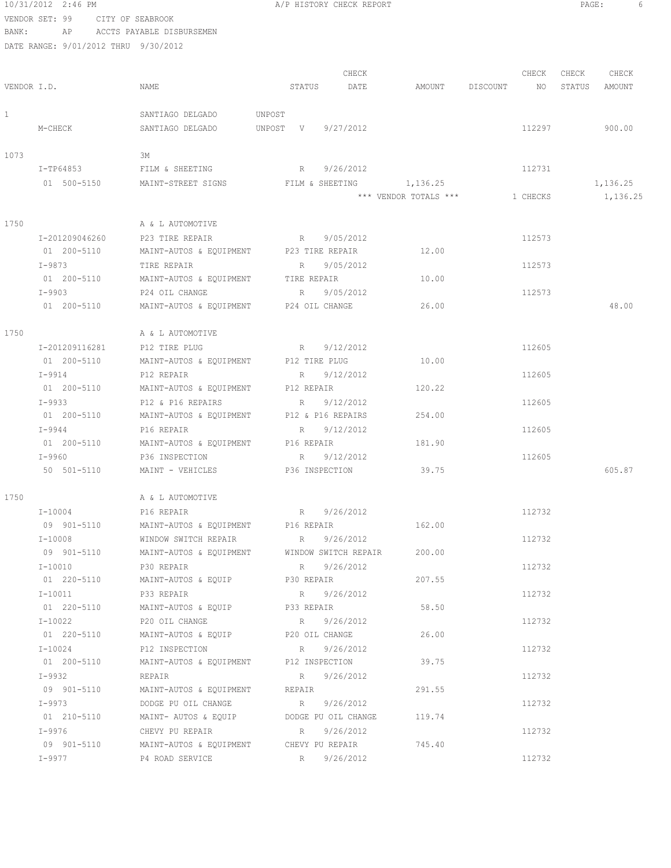VENDOR SET: 99 CITY OF SEABROOK BANK: AP ACCTS PAYABLE DISBURSEMEN DATE RANGE: 9/01/2012 THRU 9/30/2012 CHECK CHECK CHECK CHECK CHECK VENDOR I.D. NAME STATUS DATE AMOUNT DISCOUNT NO STATUS AMOUNT 1 SANTIAGO DELGADO UNPOST M-CHECK SANTIAGO DELGADO UNPOST V 9/27/2012 112297 900.00 1073 3M I-TP64853 FILM & SHEETING R 9/26/2012 112731 01 500-5150 MAINT-STREET SIGNS FILM & SHEETING 1,136.25 1,136.25 1,136.25 \*\*\* VENDOR TOTALS \*\*\* 1 CHECKS 1,136.25 1750 A & L AUTOMOTIVE I-201209046260 P23 TIRE REPAIR R 9/05/2012 112573 01 200-5110 MAINT-AUTOS & EQUIPMENT P23 TIRE REPAIR 12.00<br>1-9873 TIRE REPAIR REPAIR R 9/05/2012 I-9873 TIRE REPAIR R 9/05/2012 112573 01 200-5110 MAINT-AUTOS & EQUIPMENT TIRE REPAIR 10.00 I-9903 P24 OIL CHANGE R 9/05/2012 112573 01 200-5110 MAINT-AUTOS & EQUIPMENT P24 OIL CHANGE 26.00 48.00 1750 A & L AUTOMOTIVE I-201209116281 P12 TIRE PLUG R 9/12/2012 112605 01 200-5110 MAINT-AUTOS & EQUIPMENT P12 TIRE PLUG 10.00 I-9914 P12 REPAIR R 9/12/2012 R 9/12/2012 01 200-5110 MAINT-AUTOS & EQUIPMENT P12 REPAIR 120.22 I-9933 P12 & P16 REPAIRS R 9/12/2012<br>
01 200-5110 MAINT-AUTOS & EQUIPMENT P12 & P16 REPAIRS 254.00 MAINT-AUTOS & EQUIPMENT P12 & P16 REPAIRS 254.00 I-9944 P16 REPAIR R 9/12/2012 R 9/12/2012 01 200-5110 MAINT-AUTOS & EQUIPMENT P16 REPAIR 181.90 I-9960 P36 INSPECTION R 9/12/2012 112605 50 501-5110 MAINT - VEHICLES P36 INSPECTION 39.75 605.87 1750 A & L AUTOMOTIVE  $I-10004$  PI6 REPAIR R 9/26/2012 09 901-5110 MAINT-AUTOS & EQUIPMENT P16 REPAIR 162.00 I-10008 WINDOW SWITCH REPAIR R 9/26/2012 112732 09 901-5110 MAINT-AUTOS & EQUIPMENT WINDOW SWITCH REPAIR 200.00 I-10010 P30 REPAIR R 9/26/2012 112732 01 220-5110 MAINT-AUTOS & EQUIP P30 REPAIR 207.55  $I-10011$  P33 REPAIR R 9/26/2012 R 9/26/2012 01 220-5110 MAINT-AUTOS & EQUIP P33 REPAIR 58.50 I-10022 P20 OIL CHANGE R 9/26/2012 112732 01 220-5110 MAINT-AUTOS & EQUIP P20 OIL CHANGE 26.00 I-10024 P12 INSPECTION R 9/26/2012 112732 01 200-5110 MAINT-AUTOS & EQUIPMENT P12 INSPECTION 39.75 I-9932 REPAIR R 9/26/2012 112732 09 901-5110 MAINT-AUTOS & EQUIPMENT REPAIR 291.55 I-9973 DODGE PU OIL CHANGE R 9/26/2012 112732 01 210-5110 MAINT- AUTOS & EQUIP DODGE PU OIL CHANGE 119.74 I-9976 CHEVY PU REPAIR R 9/26/2012 112732 09 901-5110 MAINT-AUTOS & EQUIPMENT CHEVY PU REPAIR 745.40  $I-9977$  P4 ROAD SERVICE R R 9/26/2012

10/31/2012 2:46 PM A/P HISTORY CHECK REPORT PAGE: 6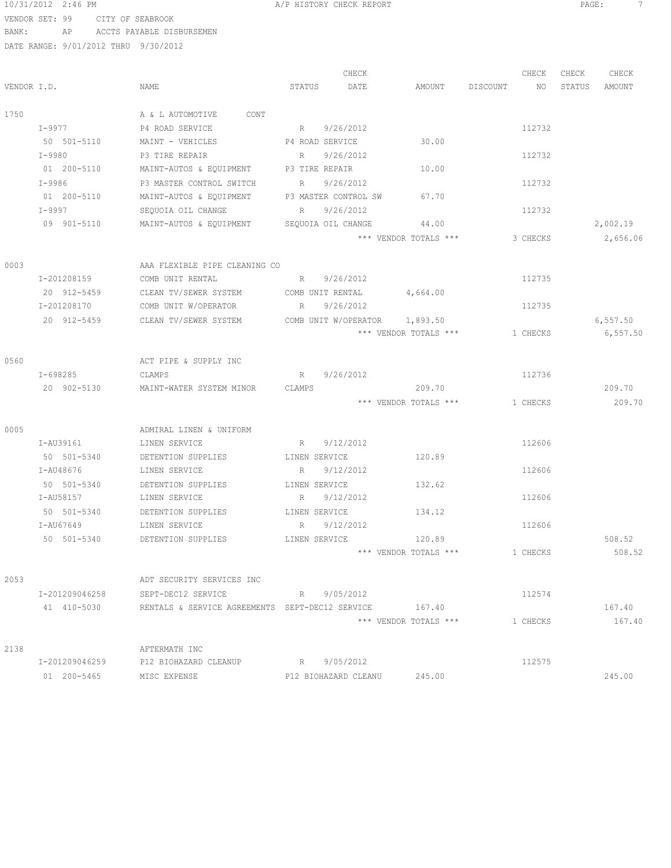#### 10/31/2012 2:46 PM **A/P HISTORY CHECK REPORT PAGE:** 7 VENDOR SET: 99 CITY OF SEABROOK BANK: AP ACCTS PAYABLE DISBURSEMEN

|             |                |                                                                    |               | CHECK                |                       |             | CHECK    | CHECK  | CHECK    |
|-------------|----------------|--------------------------------------------------------------------|---------------|----------------------|-----------------------|-------------|----------|--------|----------|
| VENDOR I.D. |                | NAME                                                               | STATUS        | DATE                 | AMOUNT                | DISCOUNT NO |          | STATUS | AMOUNT   |
| 1750        |                | CONT<br>A & L AUTOMOTIVE                                           |               |                      |                       |             |          |        |          |
|             | I-9977         | P4 ROAD SERVICE                                                    | R             | 9/26/2012            |                       |             | 112732   |        |          |
|             | 50 501-5110    | MAINT - VEHICLES<br>P4 ROAD SERVICE                                |               |                      | 30.00                 |             |          |        |          |
|             | I-9980         | P3 TIRE REPAIR                                                     | R             | 9/26/2012            |                       |             | 112732   |        |          |
|             | 01 200-5110    | MAINT-AUTOS & EQUIPMENT                                            |               | P3 TIRE REPAIR       | 10.00                 |             |          |        |          |
|             | $I - 9986$     | P3 MASTER CONTROL SWITCH                                           | R             | 9/26/2012            |                       |             | 112732   |        |          |
|             | 01 200-5110    | MAINT-AUTOS & EQUIPMENT P3 MASTER CONTROL SW                       |               |                      | 67.70                 |             |          |        |          |
|             | $I - 9997$     | SEQUOIA OIL CHANGE                                                 |               | R 9/26/2012          |                       |             | 112732   |        |          |
|             | 09 901-5110    | MAINT-AUTOS & EQUIPMENT                                            |               | SEQUOIA OIL CHANGE   | 44.00                 |             |          |        | 2,002.19 |
|             |                |                                                                    |               |                      | *** VENDOR TOTALS *** |             | 3 CHECKS |        | 2,656.06 |
| 0003        |                | AAA FLEXIBLE PIPE CLEANING CO                                      |               |                      |                       |             |          |        |          |
|             | I-201208159    | COMB UNIT RENTAL                                                   |               | R 9/26/2012          |                       |             | 112735   |        |          |
|             | 20 912-5459    | CLEAN TV/SEWER SYSTEM                                              |               | COMB UNIT RENTAL     | 4,664.00              |             |          |        |          |
|             | I-201208170    | COMB UNIT W/OPERATOR                                               | R             | 9/26/2012            |                       |             | 112735   |        |          |
|             | 20 912-5459    | CLEAN TV/SEWER SYSTEM                                              |               | COMB UNIT W/OPERATOR | 1,893.50              |             |          |        | 6,557.50 |
|             |                |                                                                    |               |                      | *** VENDOR TOTALS *** |             | 1 CHECKS |        | 6,557.50 |
|             |                |                                                                    |               |                      |                       |             |          |        |          |
| 0560        |                | ACT PIPE & SUPPLY INC                                              |               |                      |                       |             |          |        |          |
|             | I-698285       | CLAMPS                                                             | R             | 9/26/2012            |                       |             | 112736   |        |          |
|             | 20 902-5130    | MAINT-WATER SYSTEM MINOR                                           | CLAMPS        |                      | 209.70                |             |          |        | 209.70   |
|             |                |                                                                    |               |                      | *** VENDOR TOTALS *** |             | 1 CHECKS |        | 209.70   |
|             |                |                                                                    |               |                      |                       |             |          |        |          |
| 0005        |                | ADMIRAL LINEN & UNIFORM                                            |               |                      |                       |             |          |        |          |
|             | I-AU39161      | LINEN SERVICE                                                      |               | R 9/12/2012          |                       |             | 112606   |        |          |
|             | 50 501-5340    | DETENTION SUPPLIES                                                 |               | LINEN SERVICE        | 120.89                |             |          |        |          |
|             | I-AU48676      | LINEN SERVICE                                                      |               | R 9/12/2012          |                       |             | 112606   |        |          |
|             | 50 501-5340    | DETENTION SUPPLIES                                                 | LINEN SERVICE |                      | 132.62                |             |          |        |          |
|             | I-AU58157      | LINEN SERVICE                                                      |               | R 9/12/2012          |                       |             | 112606   |        |          |
|             | 50 501-5340    | DETENTION SUPPLIES                                                 | LINEN SERVICE |                      | 134.12                |             |          |        |          |
|             | I-AU67649      | LINEN SERVICE                                                      |               | R 9/12/2012          |                       |             | 112606   |        |          |
|             | 50 501-5340    | DETENTION SUPPLIES                                                 | LINEN SERVICE |                      | 120.89                |             |          |        | 508.52   |
|             |                |                                                                    |               |                      | *** VENDOR TOTALS *** |             | 1 CHECKS |        | 508.52   |
| 2053        |                | ADT SECURITY SERVICES INC                                          |               |                      |                       |             |          |        |          |
|             |                | I-201209046258 SEPT-DEC12 SERVICE R 9/05/2012                      |               |                      |                       |             | 112574   |        |          |
|             |                | 41 410-5030 RENTALS & SERVICE AGREEMENTS SEPT-DEC12 SERVICE 167.40 |               |                      |                       |             |          |        | 167.40   |
|             |                |                                                                    |               |                      | *** VENDOR TOTALS *** |             | 1 CHECKS |        | 167.40   |
|             |                |                                                                    |               |                      |                       |             |          |        |          |
| 2138        |                | AFTERMATH INC                                                      |               |                      |                       |             |          |        |          |
|             | I-201209046259 | P12 BIOHAZARD CLEANUP                                              |               | R 9/05/2012          |                       |             | 112575   |        |          |
|             | 01 200-5465    | MISC EXPENSE                                                       |               | P12 BIOHAZARD CLEANU | 245.00                |             |          |        | 245.00   |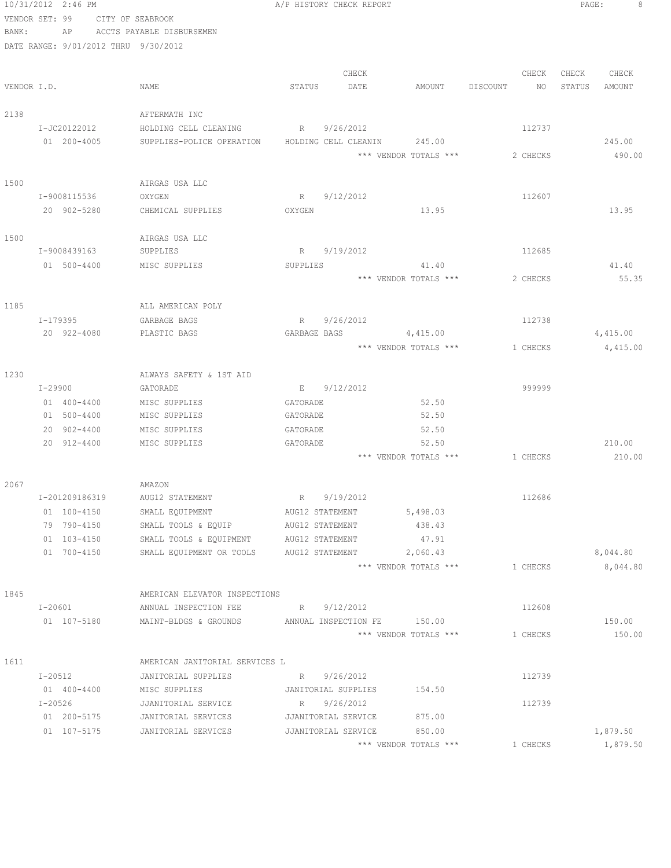|             | 10/31/2012 2:46 PM                   |                                                   | A/P HISTORY CHECK REPORT              |                       |                 | PAGE:<br>8       |
|-------------|--------------------------------------|---------------------------------------------------|---------------------------------------|-----------------------|-----------------|------------------|
|             | VENDOR SET: 99                       | CITY OF SEABROOK                                  |                                       |                       |                 |                  |
| BANK:       | AP                                   | ACCTS PAYABLE DISBURSEMEN                         |                                       |                       |                 |                  |
|             | DATE RANGE: 9/01/2012 THRU 9/30/2012 |                                                   |                                       |                       |                 |                  |
|             |                                      |                                                   |                                       |                       |                 |                  |
|             |                                      |                                                   | CHECK                                 |                       | CHECK           | CHECK<br>CHECK   |
| VENDOR I.D. |                                      | NAME                                              | STATUS<br>DATE                        | AMOUNT                | DISCOUNT<br>NO. | STATUS<br>AMOUNT |
|             |                                      |                                                   |                                       |                       |                 |                  |
| 2138        |                                      | AFTERMATH INC                                     |                                       |                       |                 |                  |
|             | I-JC20122012                         | HOLDING CELL CLEANING                             | R<br>9/26/2012                        |                       | 112737          |                  |
|             | 01 200-4005                          | SUPPLIES-POLICE OPERATION                         | HOLDING CELL CLEANIN                  | 245.00                |                 | 245.00           |
|             |                                      |                                                   |                                       | *** VENDOR TOTALS *** | 2 CHECKS        | 490.00           |
| 1500        |                                      | AIRGAS USA LLC                                    |                                       |                       |                 |                  |
|             | I-9008115536                         | OXYGEN                                            | 9/12/2012<br>$R_{\perp}$              |                       | 112607          |                  |
|             | 20 902-5280                          | CHEMICAL SUPPLIES                                 | OXYGEN                                | 13.95                 |                 | 13.95            |
|             |                                      |                                                   |                                       |                       |                 |                  |
| 1500        |                                      | AIRGAS USA LLC                                    |                                       |                       |                 |                  |
|             | I-9008439163                         | SUPPLIES                                          | 9/19/2012<br>$R_{\perp}$              |                       | 112685          |                  |
|             | 01 500-4400                          | MISC SUPPLIES                                     | <b>SUPPLIES</b>                       | 41.40                 |                 | 41.40            |
|             |                                      |                                                   |                                       | *** VENDOR TOTALS *** | 2 CHECKS        | 55.35            |
|             |                                      |                                                   |                                       |                       |                 |                  |
| 1185        |                                      | ALL AMERICAN POLY                                 |                                       |                       |                 |                  |
|             | I-179395                             | GARBAGE BAGS                                      | 9/26/2012<br>R                        |                       | 112738          |                  |
|             | 20 922-4080                          | PLASTIC BAGS                                      | GARBAGE BAGS                          | 4,415.00              |                 | 4,415.00         |
|             |                                      |                                                   |                                       | *** VENDOR TOTALS *** | 1 CHECKS        | 4,415.00         |
|             |                                      |                                                   |                                       |                       |                 |                  |
| 1230        |                                      | ALWAYS SAFETY & 1ST AID                           |                                       |                       |                 |                  |
|             | I-29900                              | GATORADE                                          | E 9/12/2012                           |                       | 999999          |                  |
|             | 01 400-4400                          | MISC SUPPLIES                                     | GATORADE                              | 52.50                 |                 |                  |
|             | 01 500-4400                          | MISC SUPPLIES                                     | GATORADE                              | 52.50                 |                 |                  |
|             | 20 902-4400                          | MISC SUPPLIES                                     | GATORADE                              | 52.50                 |                 |                  |
|             | 20 912-4400                          | MISC SUPPLIES                                     | GATORADE                              | 52.50                 |                 | 210.00           |
|             |                                      |                                                   |                                       | *** VENDOR TOTALS *** | 1 CHECKS        | 210.00           |
|             |                                      |                                                   |                                       |                       |                 |                  |
| 2067        |                                      | AMAZON                                            |                                       |                       |                 |                  |
|             | I-201209186319                       | AUG12 STATEMENT                                   | R 9/19/2012                           |                       | 112686          |                  |
|             | 01 100-4150                          | SMALL EQUIPMENT                                   | AUG12 STATEMENT                       | 5,498.03              |                 |                  |
|             | 79 790-4150                          | SMALL TOOLS & EQUIP                               | AUG12 STATEMENT                       | 438.43                |                 |                  |
|             | 01 103-4150                          | SMALL TOOLS & EQUIPMENT                           | AUG12 STATEMENT                       | 47.91                 |                 |                  |
|             | 01 700-4150                          | SMALL EQUIPMENT OR TOOLS                          | AUG12 STATEMENT                       | 2,060.43              |                 | 8,044.80         |
|             |                                      |                                                   |                                       | *** VENDOR TOTALS *** | 1 CHECKS        | 8,044.80         |
|             |                                      |                                                   |                                       |                       |                 |                  |
| 1845        |                                      | AMERICAN ELEVATOR INSPECTIONS                     |                                       |                       |                 |                  |
|             | I-20601                              | ANNUAL INSPECTION FEE                             | R 9/12/2012                           |                       | 112608          |                  |
|             | 01 107-5180                          | MAINT-BLDGS & GROUNDS ANNUAL INSPECTION FE 150.00 |                                       |                       |                 | 150.00           |
|             |                                      |                                                   |                                       | *** VENDOR TOTALS *** | 1 CHECKS        | 150.00           |
|             |                                      |                                                   |                                       |                       |                 |                  |
| 1611        |                                      | AMERICAN JANITORIAL SERVICES L                    |                                       |                       |                 |                  |
|             | I-20512<br>01 400-4400               | JANITORIAL SUPPLIES<br>MISC SUPPLIES              | 9/26/2012<br>R<br>JANITORIAL SUPPLIES | 154.50                | 112739          |                  |
|             | I-20526                              | JJANITORIAL SERVICE                               | R 9/26/2012                           |                       | 112739          |                  |
|             | 01 200-5175                          | JANITORIAL SERVICES                               | JJANITORIAL SERVICE                   | 875.00                |                 |                  |
|             | 01 107-5175                          | JANITORIAL SERVICES                               | JJANITORIAL SERVICE 850.00            |                       |                 | 1,879.50         |
|             |                                      |                                                   |                                       | *** VENDOR TOTALS *** | 1 CHECKS        | 1,879.50         |
|             |                                      |                                                   |                                       |                       |                 |                  |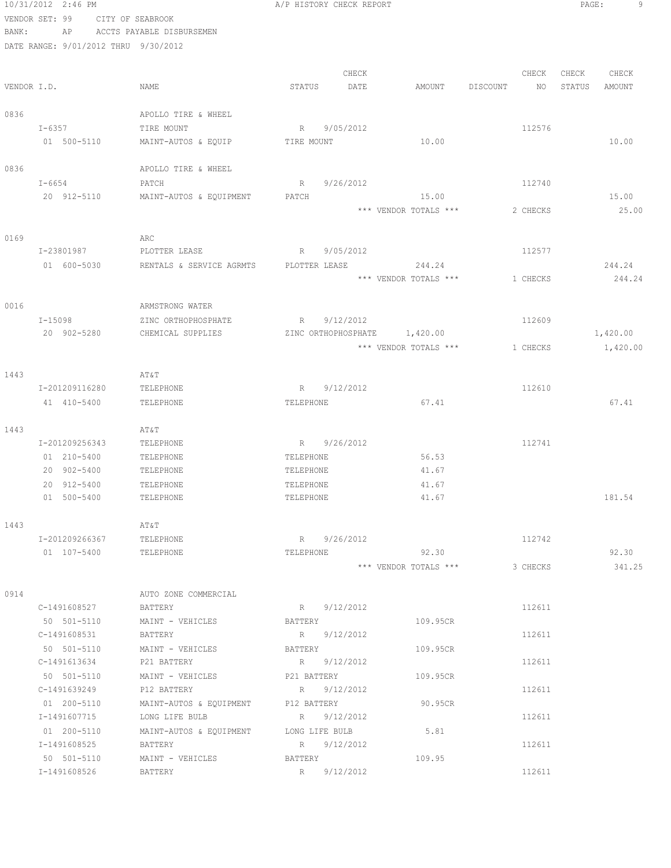|       | 10/31/2012 2:46 PM                   |                             | A/P HISTORY CHECK REPORT     |                       |          |          | PAGE:  |          |
|-------|--------------------------------------|-----------------------------|------------------------------|-----------------------|----------|----------|--------|----------|
|       | VENDOR SET: 99                       | CITY OF SEABROOK            |                              |                       |          |          |        |          |
| BANK: | AP                                   | ACCTS PAYABLE DISBURSEMEN   |                              |                       |          |          |        |          |
|       | DATE RANGE: 9/01/2012 THRU 9/30/2012 |                             |                              |                       |          |          |        |          |
|       |                                      |                             |                              |                       |          |          |        |          |
|       |                                      |                             | CHECK                        |                       |          | CHECK    | CHECK  | CHECK    |
|       | VENDOR I.D.                          | NAME                        | STATUS<br>DATE               | AMOUNT                | DISCOUNT | NO       | STATUS | AMOUNT   |
| 0836  |                                      | APOLLO TIRE & WHEEL         |                              |                       |          |          |        |          |
|       | $I - 6357$                           | TIRE MOUNT                  | R 9/05/2012                  |                       |          | 112576   |        |          |
|       | 01 500-5110                          | MAINT-AUTOS & EQUIP         | TIRE MOUNT                   | 10.00                 |          |          |        | 10.00    |
|       |                                      |                             |                              |                       |          |          |        |          |
| 0836  |                                      | APOLLO TIRE & WHEEL         |                              |                       |          |          |        |          |
|       | $I-6654$                             | PATCH                       | R<br>9/26/2012               |                       |          | 112740   |        |          |
|       | 20 912-5110                          | MAINT-AUTOS & EQUIPMENT     | PATCH                        | 15.00                 |          |          |        | 15.00    |
|       |                                      |                             |                              | *** VENDOR TOTALS *** |          | 2 CHECKS |        | 25.00    |
|       |                                      |                             |                              |                       |          |          |        |          |
| 0169  |                                      | ARC                         |                              |                       |          |          |        |          |
|       | I-23801987                           | PLOTTER LEASE               | R 9/05/2012                  |                       |          | 112577   |        |          |
|       | 01 600-5030                          | RENTALS & SERVICE AGRMTS    | PLOTTER LEASE                | 244.24                |          |          |        | 244.24   |
|       |                                      |                             |                              | *** VENDOR TOTALS *** |          | 1 CHECKS |        | 244.24   |
|       |                                      |                             |                              |                       |          |          |        |          |
| 0016  |                                      | ARMSTRONG WATER             |                              |                       |          |          |        |          |
|       | I-15098                              | ZINC ORTHOPHOSPHATE         | 9/12/2012<br>R               |                       |          | 112609   |        |          |
|       | 20 902-5280                          | CHEMICAL SUPPLIES           | ZINC ORTHOPHOSPHATE 1,420.00 |                       |          |          |        | 1,420.00 |
|       |                                      |                             |                              | *** VENDOR TOTALS *** |          | 1 CHECKS |        | 1,420.00 |
|       |                                      |                             |                              |                       |          |          |        |          |
| 1443  |                                      | AT&T                        |                              |                       |          |          |        |          |
|       | I-201209116280                       | TELEPHONE                   | R 9/12/2012                  |                       |          | 112610   |        |          |
|       | 41 410-5400                          | TELEPHONE                   | TELEPHONE                    | 67.41                 |          |          |        | 67.41    |
| 1443  |                                      | AT&T                        |                              |                       |          |          |        |          |
|       | I-201209256343                       | TELEPHONE                   | R 9/26/2012                  |                       |          | 112741   |        |          |
|       | 01 210-5400                          | TELEPHONE                   | TELEPHONE                    | 56.53                 |          |          |        |          |
|       | 20 902-5400                          | TELEPHONE                   | TELEPHONE                    | 41.67                 |          |          |        |          |
|       | 20 912-5400                          | TELEPHONE                   | TELEPHONE                    | 41.67                 |          |          |        |          |
|       | 01 500-5400                          | TELEPHONE                   | TELEPHONE                    | 41.67                 |          |          |        | 181.54   |
|       |                                      |                             |                              |                       |          |          |        |          |
| 1443  |                                      | AT&T                        |                              |                       |          |          |        |          |
|       | I-201209266367                       | TELEPHONE                   | R 9/26/2012                  |                       |          | 112742   |        |          |
|       | 01 107-5400                          | TELEPHONE                   | TELEPHONE                    | 92.30                 |          |          |        | 92.30    |
|       |                                      |                             |                              | *** VENDOR TOTALS *** |          | 3 CHECKS |        | 341.25   |
|       |                                      |                             |                              |                       |          |          |        |          |
| 0914  |                                      | AUTO ZONE COMMERCIAL        |                              |                       |          |          |        |          |
|       | C-1491608527                         | BATTERY                     | R 9/12/2012                  |                       |          | 112611   |        |          |
|       | 50 501-5110                          | MAINT - VEHICLES            | BATTERY                      | 109.95CR              |          |          |        |          |
|       | C-1491608531                         | BATTERY                     | R 9/12/2012                  |                       |          | 112611   |        |          |
|       | 50 501-5110                          | MAINT - VEHICLES            | BATTERY                      | 109.95CR              |          |          |        |          |
|       | C-1491613634                         | P21 BATTERY                 | R 9/12/2012                  |                       |          | 112611   |        |          |
|       | 50 501-5110                          | MAINT - VEHICLES            | P21 BATTERY                  | 109.95CR              |          |          |        |          |
|       | C-1491639249                         | P12 BATTERY                 | R 9/12/2012                  |                       |          | 112611   |        |          |
|       | 01 200-5110                          | MAINT-AUTOS & EQUIPMENT     | P12 BATTERY                  | 90.95CR               |          |          |        |          |
|       | I-1491607715                         | LONG LIFE BULB              | R 9/12/2012                  |                       |          | 112611   |        |          |
|       | 01 200-5110                          | MAINT-AUTOS & EQUIPMENT     | LONG LIFE BULB               | 5.81                  |          |          |        |          |
|       | I-1491608525                         | BATTERY                     | R 9/12/2012                  |                       |          | 112611   |        |          |
|       | 50 501-5110<br>I-1491608526          | MAINT - VEHICLES<br>BATTERY | BATTERY<br>R 9/12/2012       | 109.95                |          | 112611   |        |          |
|       |                                      |                             |                              |                       |          |          |        |          |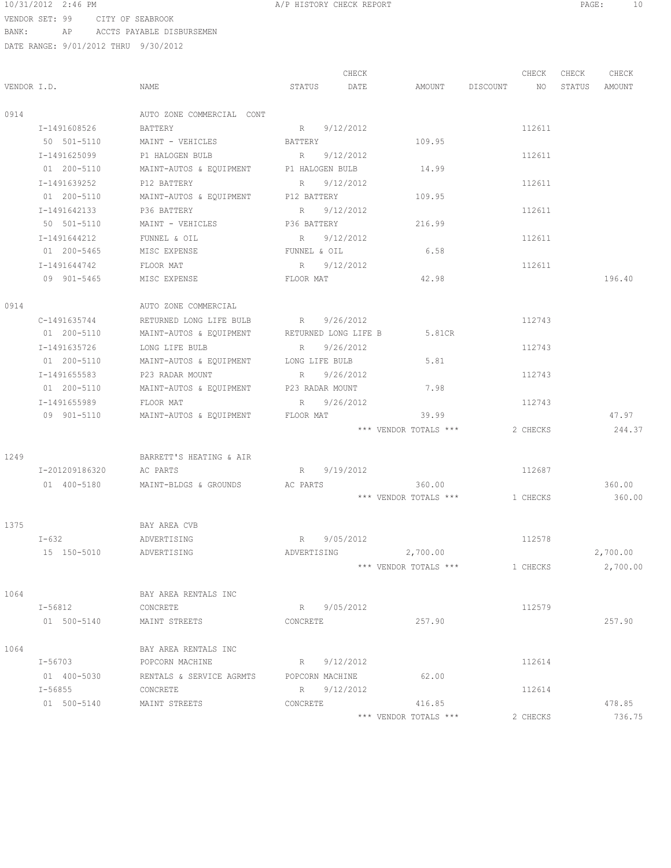| 10/31/2012 2:46 PM |                  | A/P HISTORY CHECK REPORT |  | PAGE |  |
|--------------------|------------------|--------------------------|--|------|--|
| VENDOR SET: 99     | CITY OF SEABROOK |                          |  |      |  |

|      |                         |                                              |              | CHECK       |                                  | CHECK    | CHECK | CHECK    |
|------|-------------------------|----------------------------------------------|--------------|-------------|----------------------------------|----------|-------|----------|
|      | VENDOR I.D.             | NAME                                         |              | STATUS DATE | AMOUNT DISCOUNT NO STATUS AMOUNT |          |       |          |
| 0914 |                         | AUTO ZONE COMMERCIAL CONT                    |              |             |                                  |          |       |          |
|      | I-1491608526            | BATTERY                                      | R 9/12/2012  |             |                                  | 112611   |       |          |
|      | 50 501-5110             | MAINT - VEHICLES BATTERY                     |              |             | 109.95                           |          |       |          |
|      | I-1491625099            | P1 HALOGEN BULB R 9/12/2012                  |              |             |                                  | 112611   |       |          |
|      | 01 200-5110             | MAINT-AUTOS & EQUIPMENT P1 HALOGEN BULB      |              |             | 14.99                            |          |       |          |
|      | I-1491639252            | P12 BATTERY                                  | R 9/12/2012  |             |                                  | 112611   |       |          |
|      | 01 200-5110             | MAINT-AUTOS & EQUIPMENT P12 BATTERY          |              |             | 109.95                           |          |       |          |
|      | I-1491642133            | P36 BATTERY                                  | R 9/12/2012  |             |                                  | 112611   |       |          |
|      | 50 501-5110             | MAINT - VEHICLES                             | P36 BATTERY  |             | 216.99                           |          |       |          |
|      | I-1491644212            | FUNNEL & OIL                                 | R 9/12/2012  |             |                                  | 112611   |       |          |
|      | 01 200-5465             | MISC EXPENSE                                 | FUNNEL & OIL |             | 6.58                             |          |       |          |
|      | I-1491644742            | FLOOR MAT                                    |              | R 9/12/2012 |                                  | 112611   |       |          |
|      | 09 901-5465             | MISC EXPENSE                                 | FLOOR MAT    |             | 42.98                            |          |       | 196.40   |
| 0914 |                         | AUTO ZONE COMMERCIAL                         |              |             |                                  |          |       |          |
|      | C-1491635744            | RETURNED LONG LIFE BULB R 9/26/2012          |              |             |                                  | 112743   |       |          |
|      | 01 200-5110             | MAINT-AUTOS & EQUIPMENT RETURNED LONG LIFE B |              |             | 5.81CR                           |          |       |          |
|      | I-1491635726            | LONG LIFE BULB                               |              | R 9/26/2012 |                                  | 112743   |       |          |
|      | 01 200-5110             | MAINT-AUTOS & EQUIPMENT LONG LIFE BULB       |              |             | 5.81                             |          |       |          |
|      | I-1491655583            | P23 RADAR MOUNT                              |              | R 9/26/2012 |                                  | 112743   |       |          |
|      | 01 200-5110             | MAINT-AUTOS & EQUIPMENT P23 RADAR MOUNT      |              |             | 7.98                             |          |       |          |
|      |                         |                                              |              |             |                                  |          |       |          |
|      | I-1491655989            | FLOOR MAT                                    |              | R 9/26/2012 |                                  | 112743   |       |          |
|      | 09 901-5110             | MAINT-AUTOS & EQUIPMENT FLOOR MAT            |              |             | 39.99                            |          |       | 47.97    |
|      |                         |                                              |              |             | *** VENDOR TOTALS ***            | 2 CHECKS |       | 244.37   |
| 1249 |                         | BARRETT'S HEATING & AIR                      |              |             |                                  |          |       |          |
|      | I-201209186320 AC PARTS |                                              |              | R 9/19/2012 |                                  | 112687   |       |          |
|      | 01 400-5180             | MAINT-BLDGS & GROUNDS AC PARTS               |              |             | 360.00                           |          |       | 360.00   |
|      |                         |                                              |              |             | *** VENDOR TOTALS ***            | 1 CHECKS |       | 360.00   |
| 1375 |                         | BAY AREA CVB                                 |              |             |                                  |          |       |          |
|      | I-632                   | ADVERTISING                                  |              | R 9/05/2012 |                                  | 112578   |       |          |
|      | 15 150-5010             | ADVERTISING                                  |              |             | ADVERTISING 2,700.00             |          |       | 2,700.00 |
|      |                         |                                              |              |             | *** VENDOR TOTALS *** 1 CHECKS   |          |       | 2,700.00 |
|      |                         |                                              |              |             |                                  |          |       |          |
| 1064 |                         | BAY AREA RENTALS INC                         |              |             |                                  |          |       |          |
|      | $I - 56812$             | CONCRETE                                     |              | R 9/05/2012 |                                  | 112579   |       |          |
|      | 01 500-5140             | MAINT STREETS                                | CONCRETE     |             | 257.90                           |          |       | 257.90   |
|      |                         |                                              |              |             |                                  |          |       |          |
| 1064 |                         | BAY AREA RENTALS INC                         |              |             |                                  |          |       |          |
|      |                         | I-56703 POPCORN MACHINE<br>R 9/12/2012       |              |             |                                  | 112614   |       |          |
|      | 01 400-5030             | RENTALS & SERVICE AGRMTS  POPCORN MACHINE    |              |             | 62.00                            |          |       |          |
|      | $I - 56855$             | CONCRETE                                     |              | R 9/12/2012 |                                  | 112614   |       |          |
|      | 01 500-5140             | MAINT STREETS                                | CONCRETE     |             | 416.85                           |          |       | 478.85   |
|      |                         |                                              |              |             | *** VENDOR TOTALS ***            | 2 CHECKS |       | 736.75   |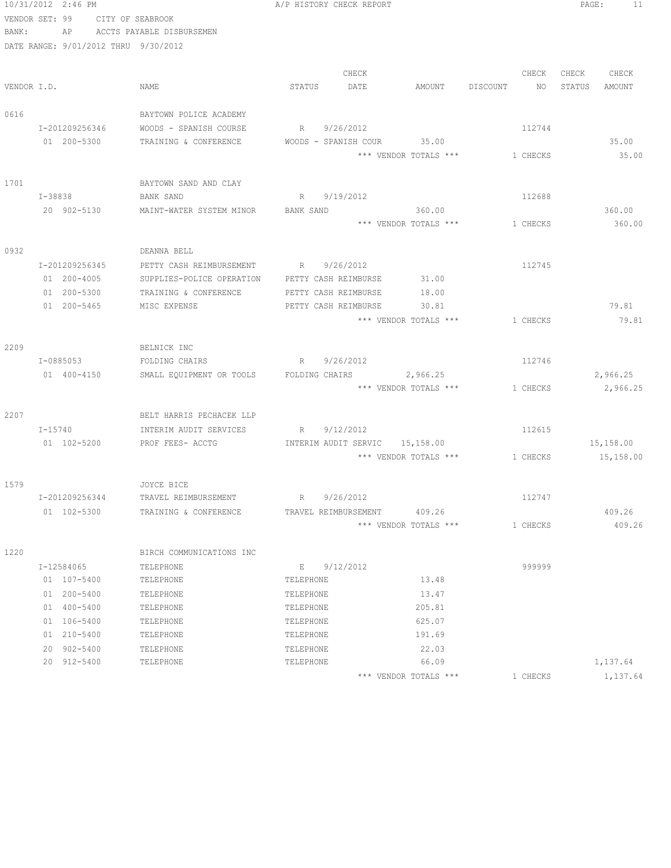|             | 10/31/2012 2:46 PM                   |                               | A/P HISTORY CHECK REPORT       |       |                                |          |                 | PAGE:  | 11        |
|-------------|--------------------------------------|-------------------------------|--------------------------------|-------|--------------------------------|----------|-----------------|--------|-----------|
|             | VENDOR SET: 99                       | CITY OF SEABROOK              |                                |       |                                |          |                 |        |           |
| BANK:       |                                      | AP ACCTS PAYABLE DISBURSEMEN  |                                |       |                                |          |                 |        |           |
|             | DATE RANGE: 9/01/2012 THRU 9/30/2012 |                               |                                |       |                                |          |                 |        |           |
|             |                                      |                               |                                |       |                                |          |                 |        |           |
|             |                                      |                               |                                | CHECK |                                |          | CHECK           | CHECK  | CHECK     |
| VENDOR I.D. |                                      | NAME                          | STATUS                         | DATE  | AMOUNT                         | DISCOUNT | NO <sub>1</sub> | STATUS | AMOUNT    |
|             |                                      |                               |                                |       |                                |          |                 |        |           |
| 0616        |                                      | BAYTOWN POLICE ACADEMY        |                                |       |                                |          |                 |        |           |
|             | I-201209256346                       | WOODS - SPANISH COURSE        | R 9/26/2012                    |       |                                |          | 112744          |        |           |
|             | 01 200-5300                          | TRAINING & CONFERENCE         | WOODS - SPANISH COUR 35.00     |       |                                |          |                 |        | 35.00     |
|             |                                      |                               |                                |       | *** VENDOR TOTALS *** 1 CHECKS |          |                 |        | 35.00     |
| 1701        |                                      | BAYTOWN SAND AND CLAY         |                                |       |                                |          |                 |        |           |
|             | I-38838                              | BANK SAND                     | 9/19/2012<br>R                 |       |                                |          | 112688          |        |           |
|             | 20 902-5130                          | MAINT-WATER SYSTEM MINOR      | BANK SAND                      |       | 360.00                         |          |                 |        | 360.00    |
|             |                                      |                               |                                |       | *** VENDOR TOTALS ***          | 1 CHECKS |                 |        | 360.00    |
|             |                                      |                               |                                |       |                                |          |                 |        |           |
| 0932        |                                      | DEANNA BELL                   |                                |       |                                |          |                 |        |           |
|             | I-201209256345                       | PETTY CASH REIMBURSEMENT      | R 9/26/2012                    |       |                                |          | 112745          |        |           |
|             | 01 200-4005                          | SUPPLIES-POLICE OPERATION     | PETTY CASH REIMBURSE           |       | 31.00                          |          |                 |        |           |
|             | 01 200-5300                          | TRAINING & CONFERENCE         | PETTY CASH REIMBURSE           |       | 18.00                          |          |                 |        |           |
|             | 01 200-5465                          | MISC EXPENSE                  | PETTY CASH REIMBURSE           |       | 30.81                          |          |                 |        | 79.81     |
|             |                                      |                               |                                |       | *** VENDOR TOTALS ***          |          | 1 CHECKS        |        | 79.81     |
|             |                                      |                               |                                |       |                                |          |                 |        |           |
| 2209        | I-0885053                            | BELNICK INC<br>FOLDING CHAIRS | R 9/26/2012                    |       |                                |          | 112746          |        |           |
|             | 01 400-4150                          | SMALL EQUIPMENT OR TOOLS      | FOLDING CHAIRS 2,966.25        |       |                                |          |                 |        | 2,966.25  |
|             |                                      |                               |                                |       | *** VENDOR TOTALS ***          | 1 CHECKS |                 |        | 2,966.25  |
|             |                                      |                               |                                |       |                                |          |                 |        |           |
| 2207        |                                      | BELT HARRIS PECHACEK LLP      |                                |       |                                |          |                 |        |           |
|             | $I - 15740$                          | INTERIM AUDIT SERVICES        | R 9/12/2012                    |       |                                |          | 112615          |        |           |
|             | 01 102-5200                          | PROF FEES- ACCTG              | INTERIM AUDIT SERVIC 15,158.00 |       |                                |          |                 |        | 15,158.00 |
|             |                                      |                               |                                |       | *** VENDOR TOTALS *** 1 CHECKS |          |                 |        | 15,158.00 |
|             |                                      |                               |                                |       |                                |          |                 |        |           |
| 1579        |                                      | JOYCE BICE                    |                                |       |                                |          |                 |        |           |
|             | I-201209256344                       | TRAVEL REIMBURSEMENT          | 9/26/2012<br>R                 |       |                                |          | 112747          |        |           |
|             | 01 102-5300                          | TRAINING & CONFERENCE         | TRAVEL REIMBURSEMENT           |       | 409.26                         |          |                 |        | 409.26    |
|             |                                      |                               |                                |       | *** VENDOR TOTALS ***          |          | 1 CHECKS        |        | 409.26    |
| 1220        |                                      | BIRCH COMMUNICATIONS INC      |                                |       |                                |          |                 |        |           |
|             | I-12584065                           | TELEPHONE                     | 9/12/2012<br>E                 |       |                                |          | 999999          |        |           |
|             | 01 107-5400                          | TELEPHONE                     | TELEPHONE                      |       | 13.48                          |          |                 |        |           |
|             | 01 200-5400                          | TELEPHONE                     | TELEPHONE                      |       | 13.47                          |          |                 |        |           |
|             | 01 400-5400                          | TELEPHONE                     | TELEPHONE                      |       | 205.81                         |          |                 |        |           |
|             | 01 106-5400                          | TELEPHONE                     | TELEPHONE                      |       | 625.07                         |          |                 |        |           |
|             | 01 210-5400                          | TELEPHONE                     | TELEPHONE                      |       | 191.69                         |          |                 |        |           |
|             | 902-5400<br>20                       | TELEPHONE                     | TELEPHONE                      |       | 22.03                          |          |                 |        |           |
|             | 20 912-5400                          | TELEPHONE                     | TELEPHONE                      |       | 66.09                          |          |                 |        | 1,137.64  |
|             |                                      |                               |                                |       | *** VENDOR TOTALS ***          |          | 1 CHECKS        |        | 1,137.64  |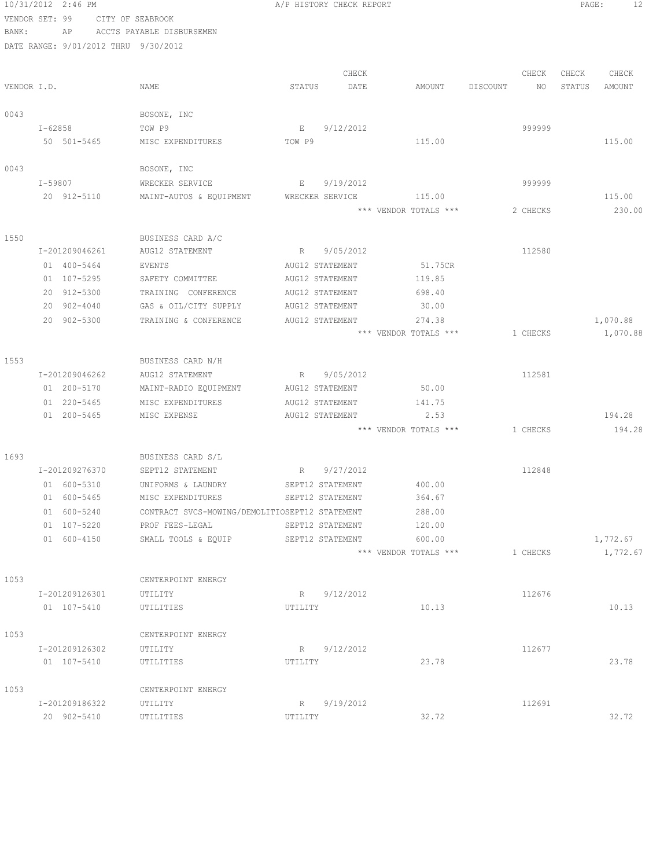|       | 10/31/2012 2:46 PM                   |                                                | A/P HISTORY CHECK REPORT |                       |                | PAGE:<br>12      |
|-------|--------------------------------------|------------------------------------------------|--------------------------|-----------------------|----------------|------------------|
|       | VENDOR SET: 99                       | CITY OF SEABROOK                               |                          |                       |                |                  |
| BANK: | AP                                   | ACCTS PAYABLE DISBURSEMEN                      |                          |                       |                |                  |
|       | DATE RANGE: 9/01/2012 THRU 9/30/2012 |                                                |                          |                       |                |                  |
|       |                                      |                                                |                          |                       |                |                  |
|       |                                      |                                                | CHECK                    |                       | CHECK          | CHECK<br>CHECK   |
|       | VENDOR I.D.                          | NAME                                           | STATUS<br>DATE           | AMOUNT                | DISCOUNT<br>NO | STATUS<br>AMOUNT |
|       |                                      |                                                |                          |                       |                |                  |
| 0043  |                                      | BOSONE, INC                                    |                          |                       |                |                  |
|       | I-62858                              | TOW P9                                         | 9/12/2012<br>E           |                       | 999999         |                  |
|       | 50 501-5465                          | MISC EXPENDITURES                              | TOW P9                   | 115.00                |                | 115.00           |
| 0043  |                                      | BOSONE, INC                                    |                          |                       |                |                  |
|       | I-59807                              | WRECKER SERVICE                                | 9/19/2012<br>E           |                       | 999999         |                  |
|       | 20 912-5110                          | MAINT-AUTOS & EQUIPMENT                        | WRECKER SERVICE          | 115.00                |                | 115.00           |
|       |                                      |                                                |                          | *** VENDOR TOTALS *** | 2 CHECKS       | 230.00           |
|       |                                      |                                                |                          |                       |                |                  |
| 1550  |                                      | BUSINESS CARD A/C                              |                          |                       |                |                  |
|       | I-201209046261                       | AUG12 STATEMENT                                | 9/05/2012<br>R           |                       | 112580         |                  |
|       | 01 400-5464                          | EVENTS                                         | AUG12 STATEMENT          | 51.75CR               |                |                  |
|       | 01 107-5295                          | SAFETY COMMITTEE                               | AUG12 STATEMENT          | 119.85                |                |                  |
|       | 20 912-5300                          | TRAINING CONFERENCE                            | AUG12 STATEMENT          | 698.40                |                |                  |
|       | 20 902-4040                          | GAS & OIL/CITY SUPPLY                          | AUG12 STATEMENT          | 30.00                 |                |                  |
|       | 20 902-5300                          | TRAINING & CONFERENCE                          | AUG12 STATEMENT          | 274.38                |                | 1,070.88         |
|       |                                      |                                                |                          | *** VENDOR TOTALS *** | 1 CHECKS       | 1,070.88         |
|       |                                      |                                                |                          |                       |                |                  |
| 1553  |                                      | BUSINESS CARD N/H                              |                          |                       |                |                  |
|       | I-201209046262                       | AUG12 STATEMENT                                | 9/05/2012<br>R           |                       | 112581         |                  |
|       | 01 200-5170                          | MAINT-RADIO EQUIPMENT                          | AUG12 STATEMENT          | 50.00                 |                |                  |
|       | 01 220-5465                          | MISC EXPENDITURES                              | AUG12 STATEMENT          | 141.75                |                |                  |
|       | 01 200-5465                          | MISC EXPENSE                                   | AUG12 STATEMENT          | 2.53                  |                | 194.28           |
|       |                                      |                                                |                          | *** VENDOR TOTALS *** | 1 CHECKS       | 194.28           |
| 1693  |                                      | BUSINESS CARD S/L                              |                          |                       |                |                  |
|       | I-201209276370                       | SEPT12 STATEMENT                               | 9/27/2012<br>R           |                       | 112848         |                  |
|       | 01 600-5310                          | UNIFORMS & LAUNDRY                             | SEPT12 STATEMENT         | 400.00                |                |                  |
|       | 01 600-5465                          | MISC EXPENDITURES                              | SEPT12 STATEMENT         | 364.67                |                |                  |
|       | 01 600-5240                          | CONTRACT SVCS-MOWING/DEMOLITIOSEPT12 STATEMENT |                          | 288.00                |                |                  |
|       | 01 107-5220                          | PROF FEES-LEGAL                                | SEPT12 STATEMENT         | 120.00                |                |                  |
|       | 01 600-4150                          | SMALL TOOLS & EQUIP                            | SEPT12 STATEMENT         | 600.00                |                | 1,772.67         |
|       |                                      |                                                |                          | *** VENDOR TOTALS *** | 1 CHECKS       | 1,772.67         |
|       |                                      |                                                |                          |                       |                |                  |
| 1053  |                                      | CENTERPOINT ENERGY                             |                          |                       |                |                  |
|       | I-201209126301                       | UTILITY                                        | R 9/12/2012              |                       | 112676         |                  |
|       | 01 107-5410                          | UTILITIES                                      | UTILITY                  | 10.13                 |                | 10.13            |
|       |                                      |                                                |                          |                       |                |                  |
| 1053  |                                      | CENTERPOINT ENERGY                             |                          |                       |                |                  |
|       | I-201209126302                       | UTILITY                                        | 9/12/2012<br>R           |                       | 112677         |                  |
|       | 01 107-5410                          | UTILITIES                                      | UTILITY                  | 23.78                 |                | 23.78            |
|       |                                      |                                                |                          |                       |                |                  |
| 1053  |                                      | CENTERPOINT ENERGY                             |                          |                       |                |                  |
|       | I-201209186322                       | UTILITY                                        | 9/19/2012<br>$R \sim$    |                       | 112691         |                  |
|       | 20 902-5410                          | UTILITIES                                      | UTILITY                  | 32.72                 |                | 32.72            |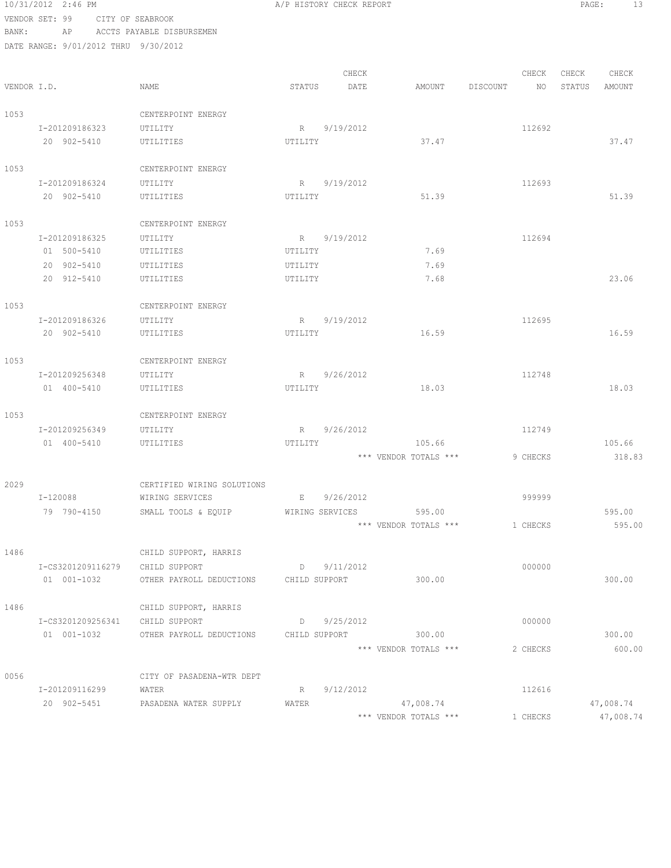|             | 10/31/2012 2:46 PM                   |                            |               | A/P HISTORY CHECK REPORT |                       |          |               | PAGE:<br>13 |
|-------------|--------------------------------------|----------------------------|---------------|--------------------------|-----------------------|----------|---------------|-------------|
|             | VENDOR SET: 99                       | CITY OF SEABROOK           |               |                          |                       |          |               |             |
| BANK:       | AP                                   | ACCTS PAYABLE DISBURSEMEN  |               |                          |                       |          |               |             |
|             | DATE RANGE: 9/01/2012 THRU 9/30/2012 |                            |               |                          |                       |          |               |             |
|             |                                      |                            |               |                          |                       |          |               |             |
|             |                                      |                            |               | CHECK                    |                       | CHECK    | CHECK         | CHECK       |
| VENDOR I.D. |                                      | NAME                       | STATUS        | DATE                     | AMOUNT                | DISCOUNT | NO.<br>STATUS | AMOUNT      |
| 1053        |                                      | CENTERPOINT ENERGY         |               |                          |                       |          |               |             |
|             | I-201209186323                       | UTILITY                    |               | R 9/19/2012              |                       | 112692   |               |             |
|             | 20 902-5410                          | UTILITIES                  | UTILITY       |                          | 37.47                 |          |               | 37.47       |
|             |                                      |                            |               |                          |                       |          |               |             |
| 1053        |                                      | CENTERPOINT ENERGY         |               |                          |                       |          |               |             |
|             | I-201209186324                       | UTILITY                    |               | R 9/19/2012              |                       | 112693   |               |             |
|             | 20 902-5410                          | UTILITIES                  | UTILITY       |                          | 51.39                 |          |               | 51.39       |
|             |                                      |                            |               |                          |                       |          |               |             |
| 1053        |                                      | CENTERPOINT ENERGY         |               |                          |                       |          |               |             |
|             | I-201209186325                       | UTILITY                    | R             | 9/19/2012                |                       | 112694   |               |             |
|             | 01 500-5410                          | UTILITIES                  | UTILITY       |                          | 7.69                  |          |               |             |
|             | 20 902-5410                          | UTILITIES                  | UTILITY       |                          | 7.69                  |          |               |             |
|             | 20 912-5410                          | UTILITIES                  | UTILITY       |                          | 7.68                  |          |               | 23.06       |
|             |                                      |                            |               |                          |                       |          |               |             |
| 1053        |                                      | CENTERPOINT ENERGY         |               |                          |                       |          |               |             |
|             | I-201209186326                       | UTILITY                    | R             | 9/19/2012                |                       | 112695   |               |             |
|             | 20 902-5410                          | UTILITIES                  | UTILITY       |                          | 16.59                 |          |               | 16.59       |
| 1053        |                                      | CENTERPOINT ENERGY         |               |                          |                       |          |               |             |
|             | I-201209256348                       | UTILITY                    |               | R 9/26/2012              |                       | 112748   |               |             |
|             | 01 400-5410                          | UTILITIES                  | UTILITY       |                          | 18.03                 |          |               | 18.03       |
|             |                                      |                            |               |                          |                       |          |               |             |
| 1053        |                                      | CENTERPOINT ENERGY         |               |                          |                       |          |               |             |
|             | I-201209256349                       | UTILITY                    |               | R 9/26/2012              |                       | 112749   |               |             |
|             | 01 400-5410                          | UTILITIES                  | UTILITY       |                          | 105.66                |          |               | 105.66      |
|             |                                      |                            |               |                          | *** VENDOR TOTALS *** | 9 CHECKS |               | 318.83      |
|             |                                      |                            |               |                          |                       |          |               |             |
| 2029        |                                      | CERTIFIED WIRING SOLUTIONS |               |                          |                       |          |               |             |
|             | I-120088                             | WIRING SERVICES            | E             | 9/26/2012                |                       | 999999   |               |             |
|             | 79 790-4150                          | SMALL TOOLS & EQUIP        |               | WIRING SERVICES          | 595.00                |          |               | 595.00      |
|             |                                      |                            |               |                          | *** VENDOR TOTALS *** | 1 CHECKS |               | 595.00      |
|             |                                      |                            |               |                          |                       |          |               |             |
| 1486        |                                      | CHILD SUPPORT, HARRIS      |               |                          |                       |          |               |             |
|             | I-CS3201209116279                    | CHILD SUPPORT              |               | $D \qquad 9/11/2012$     |                       | 000000   |               |             |
|             | 01 001-1032                          | OTHER PAYROLL DEDUCTIONS   | CHILD SUPPORT |                          | 300.00                |          |               | 300.00      |
| 1486        |                                      | CHILD SUPPORT, HARRIS      |               |                          |                       |          |               |             |
|             | I-CS3201209256341                    | CHILD SUPPORT              |               | $D$ 9/25/2012            |                       | 000000   |               |             |
|             | 01 001-1032                          | OTHER PAYROLL DEDUCTIONS   | CHILD SUPPORT |                          | 300.00                |          |               | 300.00      |
|             |                                      |                            |               |                          | *** VENDOR TOTALS *** | 2 CHECKS |               | 600.00      |
|             |                                      |                            |               |                          |                       |          |               |             |
| 0056        |                                      | CITY OF PASADENA-WTR DEPT  |               |                          |                       |          |               |             |
|             | I-201209116299                       | WATER                      | R             | 9/12/2012                |                       | 112616   |               |             |
|             | 20 902-5451                          | PASADENA WATER SUPPLY      | WATER         |                          | 47,008.74             |          |               | 47,008.74   |
|             |                                      |                            |               |                          |                       |          |               |             |

\*\*\* VENDOR TOTALS \*\*\* 1 CHECKS 47,008.74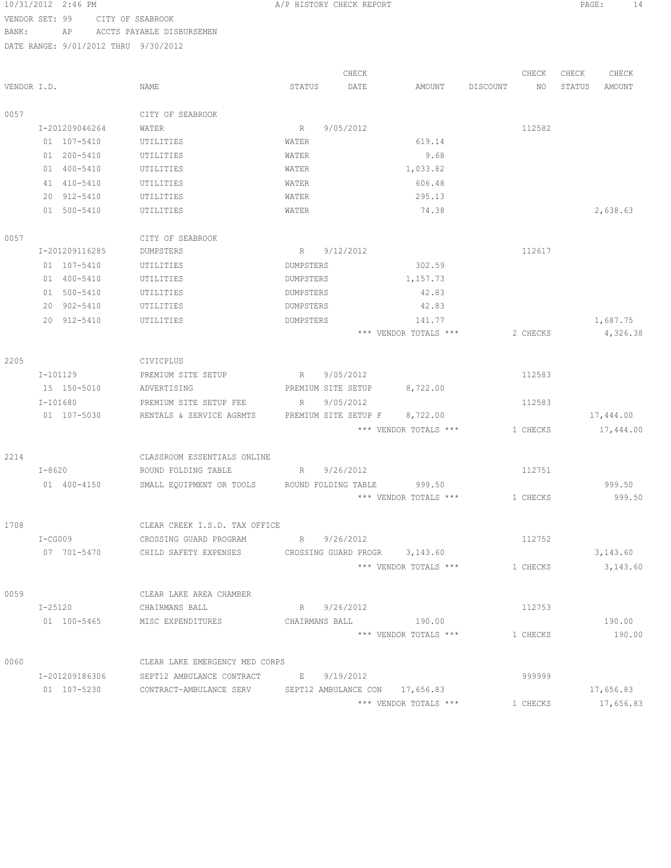| 10/31/2012 2:46 PM |            |                |             |                                                                    | A/P HISTORY CHECK REPORT |                      |      |                       |          |          | PAGE:  | 14        |
|--------------------|------------|----------------|-------------|--------------------------------------------------------------------|--------------------------|----------------------|------|-----------------------|----------|----------|--------|-----------|
| VENDOR SET: 99     |            |                |             | CITY OF SEABROOK                                                   |                          |                      |      |                       |          |          |        |           |
| BANK:              |            | AP             |             | ACCTS PAYABLE DISBURSEMEN                                          |                          |                      |      |                       |          |          |        |           |
|                    |            |                |             | DATE RANGE: 9/01/2012 THRU 9/30/2012                               |                          |                      |      |                       |          |          |        |           |
|                    |            |                |             |                                                                    |                          | CHECK                |      |                       |          | CHECK    | CHECK  | CHECK     |
| VENDOR I.D.        |            |                |             | NAME                                                               | STATUS                   |                      | DATE | AMOUNT                | DISCOUNT | NO       | STATUS | AMOUNT    |
| 0057               |            |                |             | CITY OF SEABROOK                                                   |                          |                      |      |                       |          |          |        |           |
|                    |            | I-201209046264 |             | WATER                                                              | R                        | 9/05/2012            |      |                       |          | 112582   |        |           |
|                    |            | 01 107-5410    |             | UTILITIES                                                          | WATER                    |                      |      | 619.14                |          |          |        |           |
|                    |            | 01 200-5410    |             | UTILITIES                                                          | WATER                    |                      |      | 9.68                  |          |          |        |           |
|                    |            | 01 400-5410    |             | UTILITIES                                                          | WATER                    |                      |      | 1,033.82              |          |          |        |           |
|                    |            | 41 410-5410    |             | UTILITIES                                                          | <b>WATER</b>             |                      |      | 606.48                |          |          |        |           |
|                    |            | 20 912-5410    |             | UTILITIES                                                          | <b>WATER</b>             |                      |      | 295.13                |          |          |        |           |
|                    |            | 01 500-5410    |             | UTILITIES                                                          | WATER                    |                      |      | 74.38                 |          |          |        | 2,638.63  |
| 0057               |            |                |             | CITY OF SEABROOK                                                   |                          |                      |      |                       |          |          |        |           |
|                    |            | I-201209116285 |             | DUMPSTERS                                                          | R                        | 9/12/2012            |      |                       |          | 112617   |        |           |
|                    |            | 01 107-5410    |             | UTILITIES                                                          | DUMPSTERS                |                      |      | 302.59                |          |          |        |           |
|                    |            | 01 400-5410    |             | UTILITIES                                                          | DUMPSTERS                |                      |      | 1,157.73              |          |          |        |           |
|                    |            | 01 500-5410    |             | UTILITIES                                                          | DUMPSTERS                |                      |      | 42.83                 |          |          |        |           |
|                    |            | 20 902-5410    |             | UTILITIES                                                          | DUMPSTERS                |                      |      | 42.83                 |          |          |        |           |
|                    |            | 20 912-5410    |             | UTILITIES                                                          | DUMPSTERS                |                      |      | 141.77                |          |          |        | 1,687.75  |
|                    |            |                |             |                                                                    |                          |                      |      | *** VENDOR TOTALS *** |          | 2 CHECKS |        | 4,326.38  |
|                    |            |                |             |                                                                    |                          |                      |      |                       |          |          |        |           |
| 2205               |            |                |             | CIVICPLUS                                                          |                          |                      |      |                       |          |          |        |           |
|                    |            | $I-101129$     |             | PREMIUM SITE SETUP                                                 | R                        | 9/05/2012            |      |                       |          | 112583   |        |           |
|                    |            | 15 150-5010    |             | ADVERTISING                                                        |                          | PREMIUM SITE SETUP   |      | 8,722.00              |          |          |        |           |
|                    | $I-101680$ |                |             | PREMIUM SITE SETUP FEE                                             | R                        | 9/05/2012            |      |                       |          | 112583   |        |           |
|                    |            | 01 107-5030    |             | RENTALS & SERVICE AGRMTS                                           |                          | PREMIUM SITE SETUP F |      | 8,722.00              |          |          |        | 17,444.00 |
|                    |            |                |             |                                                                    |                          |                      |      | *** VENDOR TOTALS *** |          | 1 CHECKS |        | 17,444.00 |
| 2214               |            |                |             | CLASSROOM ESSENTIALS ONLINE                                        |                          |                      |      |                       |          |          |        |           |
|                    |            | $I-8620$       |             | ROUND FOLDING TABLE                                                | R                        | 9/26/2012            |      |                       |          | 112751   |        |           |
|                    |            | 01 400-4150    |             | SMALL EQUIPMENT OR TOOLS                                           |                          | ROUND FOLDING TABLE  |      | 999.50                |          |          |        | 999.50    |
|                    |            |                |             |                                                                    |                          |                      |      | *** VENDOR TOTALS *** |          | 1 CHECKS |        | 999.50    |
| 1708               |            |                |             | CLEAR CREEK I.S.D. TAX OFFICE                                      |                          |                      |      |                       |          |          |        |           |
|                    |            |                | $I - CG009$ | CROSSING GUARD PROGRAM                                             | R 9/26/2012              |                      |      |                       |          | 112752   |        |           |
|                    |            |                |             | 07 701-5470 CHILD SAFETY EXPENSES CROSSING GUARD PROGR 3,143.60    |                          |                      |      |                       |          |          |        | 3,143.60  |
|                    |            |                |             |                                                                    |                          |                      |      | *** VENDOR TOTALS *** |          | 1 CHECKS |        | 3,143.60  |
| 0059               |            |                |             | CLEAR LAKE AREA CHAMBER                                            |                          |                      |      |                       |          |          |        |           |
|                    |            | I-25120        |             | CHAIRMANS BALL                                                     |                          | R 9/26/2012          |      |                       |          | 112753   |        |           |
|                    |            |                |             | 01 100-5465 MISC EXPENDITURES                                      | CHAIRMANS BALL           |                      |      | 190.00                |          |          |        | 190.00    |
|                    |            |                |             |                                                                    |                          |                      |      | *** VENDOR TOTALS *** |          | 1 CHECKS |        | 190.00    |
| 0060               |            |                |             | CLEAR LAKE EMERGENCY MED CORPS                                     |                          |                      |      |                       |          |          |        |           |
|                    |            |                |             | I-201209186306 SEPT12 AMBULANCE CONTRACT E 9/19/2012               |                          |                      |      |                       |          | 999999   |        |           |
|                    |            |                |             | 01 107-5230 CONTRACT-AMBULANCE SERV SEPT12 AMBULANCE CON 17,656.83 |                          |                      |      |                       |          |          |        | 17,656.83 |
|                    |            |                |             |                                                                    |                          |                      |      |                       |          |          |        |           |

\*\*\* VENDOR TOTALS \*\*\* 1 CHECKS 17,656.83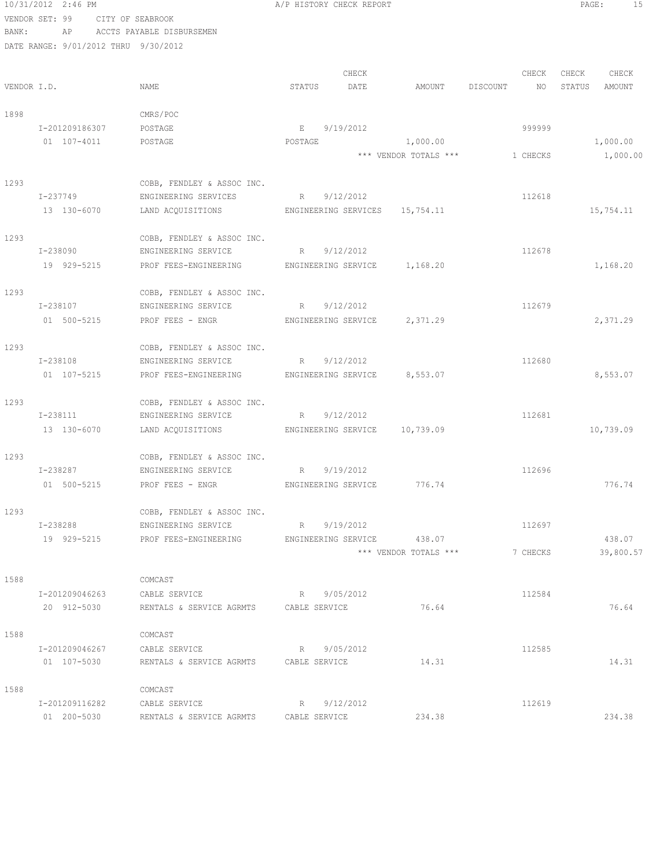```
10/31/2012 2:46 PM A/P HISTORY CHECK REPORT PAGE: 15
VENDOR SET: 99 CITY OF SEABROOK
BANK: AP ACCTS PAYABLE DISBURSEMEN
DATE RANGE: 9/01/2012 THRU 9/30/2012
                                      CHECK CHECK CHECK CHECK CHECK
VENDOR I.D. STATUS DATE STATUS DATE AMOUNT DISCOUNT NO STATUS AMOUNT
1898 CMRS/POC
   I-201209186307 POSTAGE RE 9/19/2012
    01 107-4011 POSTAGE POSTAGE 1,000.00 1,000.00
                                       *** VENDOR TOTALS *** 1 CHECKS 1,000.00
1293 COBB, FENDLEY & ASSOC INC.
   I-237749 ENGINEERING SERVICES R 9/12/2012 112618
   13 130-6070 LAND ACQUISITIONS ENGINEERING SERVICES 15,754.11 15,754.11 15,754.11
1293 COBB, FENDLEY & ASSOC INC.
   I-238090 ENGINEERING SERVICE R 9/12/2012 112678
    19 929-5215 PROF FEES-ENGINEERING ENGINEERING SERVICE 1,168.20 1,168.20
1293 COBB, FENDLEY & ASSOC INC.<br>1-238107 ENGINEERING SERVICE
               ENGINEERING SERVICE R 9/12/2012 112679
   01 500-5215 PROF FEES - ENGR ENGINEERING SERVICE 2,371.29 2,371.29
1293 COBB, FENDLEY & ASSOC INC.
   I-238108 ENGINEERING SERVICE R 9/12/2012 112680
    01 107-5215 PROF FEES-ENGINEERING ENGINEERING SERVICE 8,553.07 8,553.07
1293 COBB, FENDLEY & ASSOC INC.<br>
1-238111 ENGINEERING SERVICE
              ENGINEERING SERVICE R 9/12/2012 112681
    13 130-6070 LAND ACQUISITIONS ENGINEERING SERVICE 10,739.09 10,739.09
1293 COBB, FENDLEY & ASSOC INC.<br>I-238287 ENGINEERING SERVICE
              ENGINEERING SERVICE R 9/19/2012 112696
   01 500-5215 PROF FEES - ENGR ENGINEERING SERVICE 776.74 76.74
1293 COBB, FENDLEY & ASSOC INC.
   I-238288 ENGINEERING SERVICE R 9/19/2012 112697
    19 929-5215 PROF FEES-ENGINEERING ENGINEERING SERVICE 438.07 438.07
                                      *** VENDOR TOTALS *** 7 CHECKS 39,800.57
1588 COMCAST
    I-201209046263 CABLE SERVICE R 9/05/2012 112584
    20 912-5030 RENTALS & SERVICE AGRMTS CABLE SERVICE 76.64 76.64
1588 COMCAST
    I-201209046267 CABLE SERVICE R 9/05/2012 112585
    01 107-5030 RENTALS & SERVICE AGRMTS CABLE SERVICE 14.31 14.31 14.31
1588 COMCAST
    I-201209116282 CABLE SERVICE R 9/12/2012 112619
    01 200-5030 RENTALS & SERVICE AGRMTS CABLE SERVICE 234.38 234.38
```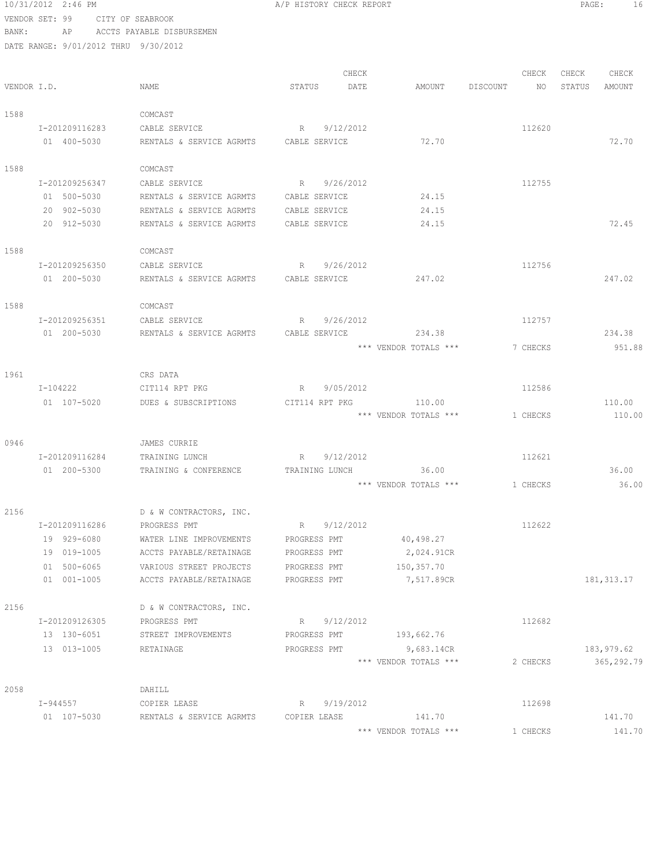10/31/2012 2:46 PM A/P HISTORY CHECK REPORT PAGE: 16 VENDOR SET: 99 CITY OF SEABROOK BANK: AP ACCTS PAYABLE DISBURSEMEN DATE RANGE: 9/01/2012 THRU 9/30/2012 CHECK CHECK CHECK CHECK VENDOR I.D. NAME STATUS DATE AMOUNT DISCOUNT NO STATUS AMOUNT 1588 COMCAST I-201209116283 CABLE SERVICE R 9/12/2012 112620 01 400-5030 RENTALS & SERVICE AGRMTS CABLE SERVICE 72.70 7400-5030 72.70 1588 COMCAST I-201209256347 CABLE SERVICE R 9/26/2012 112755 01 500-5030 RENTALS & SERVICE AGRMTS CABLE SERVICE 24.15 20 902-5030 RENTALS & SERVICE AGRMTS CABLE SERVICE 24.15 RENTALS & SERVICE AGRMTS CABLE SERVICE  $24.15$  24.15 72.45 1588 COMCAST I-201209256350 CABLE SERVICE R 9/26/2012 112756 01 200-5030 RENTALS & SERVICE AGRMTS CABLE SERVICE 247.02 247.02 1588 COMCAST I-201209256351 CABLE SERVICE R 9/26/2012 112757 01 200-5030 RENTALS & SERVICE AGRMTS CABLE SERVICE 234.38 234.38 \*\*\* VENDOR TOTALS \*\*\* 7 CHECKS 951.88 1961 CRS DATA I-104222 CIT114 RPT PKG R 9/05/2012 112586 01 107-5020 DUES & SUBSCRIPTIONS CIT114 RPT PKG 110.00 110.00 110.00 110.00 110.00 \*\*\* VENDOR TOTALS \*\*\* 1 CHECKS 0946 JAMES CURRIE I-201209116284 TRAINING LUNCH R 9/12/2012 112621 01 200-5300 TRAINING & CONFERENCE TRAINING LUNCH 36.00 \*\*\* VENDOR TOTALS \*\*\* 1 CHECKS 36.00 2156 D & W CONTRACTORS, INC. I-201209116286 PROGRESS PMT R 9/12/2012 112622 19 929-6080 WATER LINE IMPROVEMENTS PROGRESS PMT 40,498.27 19 019-1005 ACCTS PAYABLE/RETAINAGE PROGRESS PMT 2,024.91CR 01 500-6065 <br>
01 001-1005 <br>
01 001-1005 <br>
ACCTS PAYABLE/RETAINAGE PROGRESS PMT 7,517.89C ACCTS PAYABLE/RETAINAGE PROGRESS PMT 7,517.89CR 181,313.17 2156 D & W CONTRACTORS, INC. I-201209126305 PROGRESS PMT R 9/12/2012 112682 13 130-6051 STREET IMPROVEMENTS PROGRESS PMT 193,662.76 13 013-1005 RETAINAGE PROGRESS PMT 9,683.14CR 183,979.62 \*\*\* VENDOR TOTALS \*\*\* 2 CHECKS 365,292.79 2058 DAHILL I-944557 COPIER LEASE R 9/19/2012 112698 01 107-5030 RENTALS & SERVICE AGRMTS COPIER LEASE 141.70 141.70 141.70

\*\*\* VENDOR TOTALS \*\*\* 1 CHECKS 141.70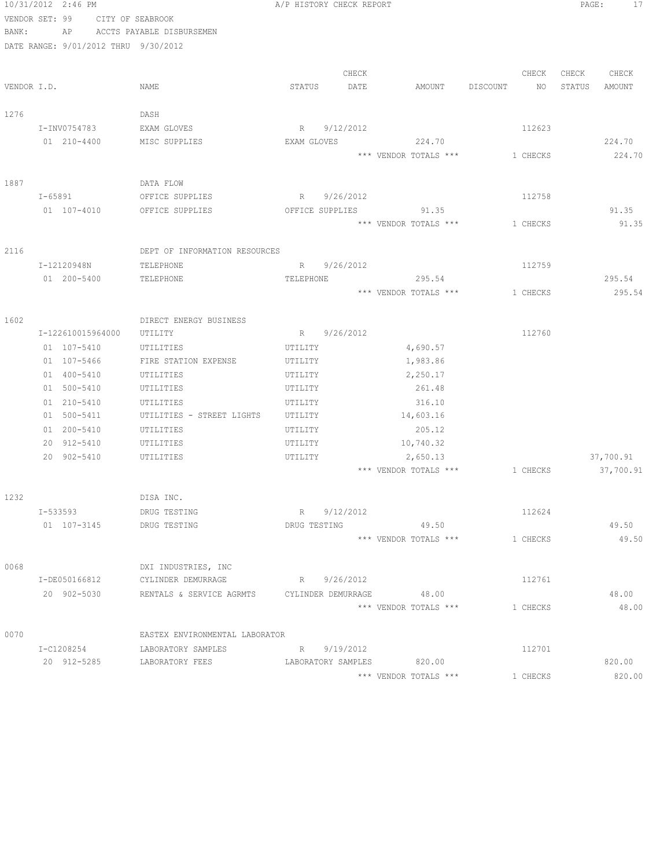|             | 10/31/2012 2:46 PM                   |                                                   | A/P HISTORY CHECK REPORT  |                       |                                | PAGE:<br>17      |
|-------------|--------------------------------------|---------------------------------------------------|---------------------------|-----------------------|--------------------------------|------------------|
|             | VENDOR SET: 99                       | CITY OF SEABROOK                                  |                           |                       |                                |                  |
| BANK:       |                                      | AP ACCTS PAYABLE DISBURSEMEN                      |                           |                       |                                |                  |
|             | DATE RANGE: 9/01/2012 THRU 9/30/2012 |                                                   |                           |                       |                                |                  |
|             |                                      |                                                   |                           |                       |                                |                  |
|             |                                      |                                                   | CHECK                     |                       | CHECK                          | CHECK CHECK      |
| VENDOR I.D. |                                      | NAME                                              | STATUS<br>DATE            | AMOUNT                | DISCOUNT NO                    | STATUS<br>AMOUNT |
|             |                                      |                                                   |                           |                       |                                |                  |
| 1276        |                                      | DASH                                              |                           |                       |                                |                  |
|             | I-INV0754783                         | EXAM GLOVES                                       | R 9/12/2012               |                       | 112623                         |                  |
|             | 01 210-4400                          | MISC SUPPLIES                                     | EXAM GLOVES               | 224.70                |                                | 224.70           |
|             |                                      |                                                   |                           | *** VENDOR TOTALS *** | 1 CHECKS                       | 224.70           |
| 1887        |                                      | DATA FLOW                                         |                           |                       |                                |                  |
|             | I-65891                              | OFFICE SUPPLIES                                   | R 9/26/2012               |                       | 112758                         |                  |
|             | 01 107-4010                          | OFFICE SUPPLIES                                   | OFFICE SUPPLIES           | 91.35                 |                                | 91.35            |
|             |                                      |                                                   |                           | *** VENDOR TOTALS *** | 1 CHECKS                       | 91.35            |
|             |                                      |                                                   |                           |                       |                                |                  |
| 2116        |                                      | DEPT OF INFORMATION RESOURCES                     |                           |                       |                                |                  |
|             | I-12120948N                          | TELEPHONE                                         | R 9/26/2012               |                       | 112759                         |                  |
|             | 01 200-5400                          | TELEPHONE                                         | TELEPHONE                 | 295.54                |                                | 295.54           |
|             |                                      |                                                   |                           | *** VENDOR TOTALS *** | 1 CHECKS                       | 295.54           |
|             |                                      |                                                   |                           |                       |                                |                  |
| 1602        |                                      | DIRECT ENERGY BUSINESS                            |                           |                       |                                |                  |
|             | I-122610015964000                    | UTILITY                                           | R 9/26/2012               |                       | 112760                         |                  |
|             | 01 107-5410                          | UTILITIES                                         | UTILITY                   | 4,690.57              |                                |                  |
|             | 01 107-5466                          | FIRE STATION EXPENSE                              | UTILITY                   | 1,983.86              |                                |                  |
|             | 01 400-5410                          | UTILITIES                                         | UTILITY                   | 2,250.17              |                                |                  |
|             | 01 500-5410                          | UTILITIES                                         | UTILITY                   | 261.48                |                                |                  |
|             | 01 210-5410<br>01 500-5411           | UTILITIES<br>UTILITIES - STREET LIGHTS            | UTILITY<br>UTILITY        | 316.10<br>14,603.16   |                                |                  |
|             | 01 200-5410                          | UTILITIES                                         | UTILITY                   | 205.12                |                                |                  |
|             | 20 912-5410                          | UTILITIES                                         | UTILITY                   | 10,740.32             |                                |                  |
|             | 20 902-5410                          | UTILITIES                                         | UTILITY                   | 2,650.13              |                                | 37,700.91        |
|             |                                      |                                                   |                           |                       | *** VENDOR TOTALS *** 1 CHECKS | 37,700.91        |
|             |                                      |                                                   |                           |                       |                                |                  |
| 1232        |                                      | DISA INC.                                         |                           |                       |                                |                  |
|             | I-533593                             | DRUG TESTING                                      | R 9/12/2012               |                       | 112624                         |                  |
|             | 01 107-3145                          | DRUG TESTING                                      | DRUG TESTING 49.50        |                       |                                | 49.50            |
|             |                                      |                                                   |                           | *** VENDOR TOTALS *** | 1 CHECKS                       | 49.50            |
|             |                                      |                                                   |                           |                       |                                |                  |
| 0068        |                                      | DXI INDUSTRIES, INC                               |                           |                       |                                |                  |
|             | I-DE050166812                        | CYLINDER DEMURRAGE                                | R 9/26/2012               |                       | 112761                         |                  |
|             | 20 902-5030                          | RENTALS & SERVICE AGRMTS CYLINDER DEMURRAGE 48.00 |                           |                       |                                | 48.00            |
|             |                                      |                                                   |                           | *** VENDOR TOTALS *** | 1 CHECKS                       | 48.00            |
| 0070        |                                      | EASTEX ENVIRONMENTAL LABORATOR                    |                           |                       |                                |                  |
|             | I-C1208254                           | LABORATORY SAMPLES                                | R 9/19/2012               |                       | 112701                         |                  |
|             |                                      | 20 912-5285 LABORATORY FEES                       | LABORATORY SAMPLES 820.00 |                       |                                | 820.00           |
|             |                                      |                                                   |                           | *** VENDOR TOTALS *** | 1 CHECKS                       | 820.00           |
|             |                                      |                                                   |                           |                       |                                |                  |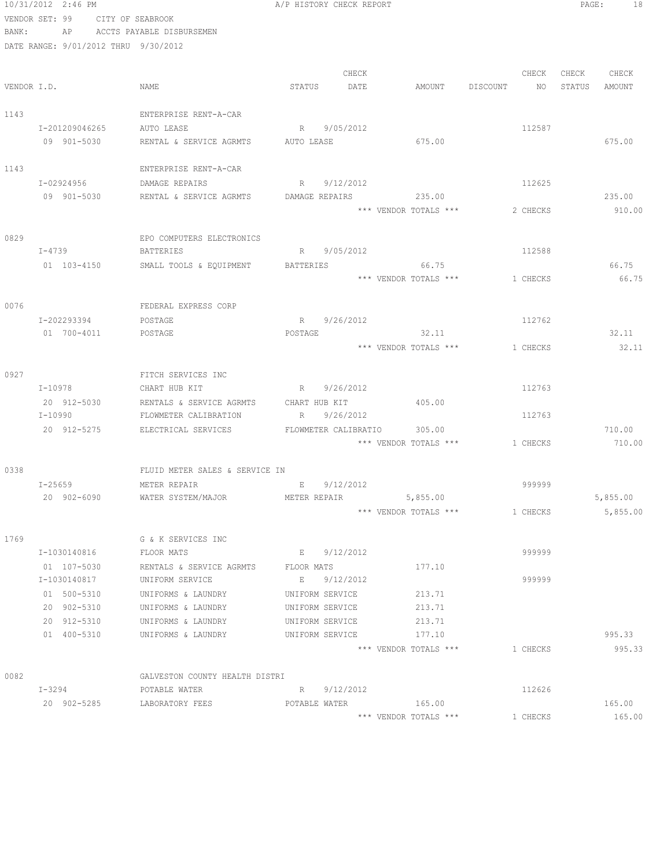|       | 10/31/2012 2:46 PM                   |                                                             | A/P HISTORY CHECK REPORT           |                       |                                | PAGE:<br>18      |
|-------|--------------------------------------|-------------------------------------------------------------|------------------------------------|-----------------------|--------------------------------|------------------|
|       | VENDOR SET: 99 CITY OF SEABROOK      |                                                             |                                    |                       |                                |                  |
| BANK: |                                      | AP ACCTS PAYABLE DISBURSEMEN                                |                                    |                       |                                |                  |
|       | DATE RANGE: 9/01/2012 THRU 9/30/2012 |                                                             |                                    |                       |                                |                  |
|       |                                      |                                                             |                                    |                       |                                |                  |
|       |                                      |                                                             | CHECK                              |                       | CHECK                          | CHECK<br>CHECK   |
|       | VENDOR I.D.                          | NAME                                                        | STATUS<br>DATE                     | AMOUNT DISCOUNT       | NO                             | STATUS<br>AMOUNT |
| 1143  |                                      | ENTERPRISE RENT-A-CAR                                       |                                    |                       |                                |                  |
|       | I-201209046265                       | AUTO LEASE                                                  | R 9/05/2012                        |                       | 112587                         |                  |
|       | 09 901-5030                          | RENTAL & SERVICE AGRMTS AUTO LEASE                          |                                    | 675.00                |                                | 675.00           |
|       |                                      |                                                             |                                    |                       |                                |                  |
| 1143  |                                      | ENTERPRISE RENT-A-CAR                                       |                                    |                       |                                |                  |
|       | I-02924956                           | DAMAGE REPAIRS                                              | R 9/12/2012                        |                       | 112625                         |                  |
|       | 09 901-5030                          | RENTAL & SERVICE AGRMTS                                     | DAMAGE REPAIRS                     | 235.00                |                                | 235.00           |
|       |                                      |                                                             |                                    | *** VENDOR TOTALS *** | 2 CHECKS                       | 910.00           |
|       |                                      |                                                             |                                    |                       |                                |                  |
| 0829  |                                      | EPO COMPUTERS ELECTRONICS                                   |                                    |                       |                                |                  |
|       | $I - 4739$<br>01 103-4150            | <b>BATTERIES</b><br>SMALL TOOLS & EQUIPMENT BATTERIES 66.75 | 9/05/2012<br>R                     |                       | 112588                         | 66.75            |
|       |                                      |                                                             |                                    |                       | *** VENDOR TOTALS *** 1 CHECKS | 66.75            |
|       |                                      |                                                             |                                    |                       |                                |                  |
| 0076  |                                      | FEDERAL EXPRESS CORP                                        |                                    |                       |                                |                  |
|       | I-202293394                          | POSTAGE                                                     | R 9/26/2012                        |                       | 112762                         |                  |
|       | 01 700-4011                          | POSTAGE                                                     | POSTAGE                            | 32.11                 |                                | 32.11            |
|       |                                      |                                                             |                                    | *** VENDOR TOTALS *** | 1 CHECKS                       | 32.11            |
|       |                                      |                                                             |                                    |                       |                                |                  |
| 0927  |                                      | FITCH SERVICES INC                                          |                                    |                       |                                |                  |
|       | I-10978                              | CHART HUB KIT                                               | R 9/26/2012                        |                       | 112763                         |                  |
|       | 20 912-5030                          | RENTALS & SERVICE AGRMTS                                    | CHART HUB KIT                      | 405.00                |                                |                  |
|       | I-10990                              | FLOWMETER CALIBRATION                                       | 9/26/2012<br>R                     |                       | 112763                         |                  |
|       | 20 912-5275                          | ELECTRICAL SERVICES FLOWMETER CALIBRATIO                    |                                    | 305.00                | *** VENDOR TOTALS *** 1 CHECKS | 710.00<br>710.00 |
|       |                                      |                                                             |                                    |                       |                                |                  |
| 0338  |                                      | FLUID METER SALES & SERVICE IN                              |                                    |                       |                                |                  |
|       | I-25659                              | METER REPAIR                                                | 9/12/2012<br>$E = 1$               |                       | 999999                         |                  |
|       | 20 902-6090                          | WATER SYSTEM/MAJOR                                          | METER REPAIR                       | 5,855.00              |                                | 5,855.00         |
|       |                                      |                                                             |                                    | *** VENDOR TOTALS *** | 1 CHECKS                       | 5,855.00         |
|       |                                      |                                                             |                                    |                       |                                |                  |
| 1769  |                                      | G & K SERVICES INC                                          |                                    |                       |                                |                  |
|       | I-1030140816                         | FLOOR MATS                                                  | E 9/12/2012                        |                       | 999999                         |                  |
|       | 01 107-5030                          | RENTALS & SERVICE AGRMTS                                    | FLOOR MATS                         | 177.10                |                                |                  |
|       | I-1030140817                         | UNIFORM SERVICE                                             | E<br>9/12/2012                     |                       | 999999                         |                  |
|       | 01 500-5310<br>20 902-5310           | UNIFORMS & LAUNDRY<br>UNIFORMS & LAUNDRY                    | UNIFORM SERVICE<br>UNIFORM SERVICE | 213.71<br>213.71      |                                |                  |
|       | 20 912-5310                          | UNIFORMS & LAUNDRY                                          | UNIFORM SERVICE                    | 213.71                |                                |                  |
|       | 01 400-5310                          | UNIFORMS & LAUNDRY                                          | UNIFORM SERVICE                    | 177.10                |                                | 995.33           |
|       |                                      |                                                             |                                    | *** VENDOR TOTALS *** | 1 CHECKS                       | 995.33           |
|       |                                      |                                                             |                                    |                       |                                |                  |
| 0082  |                                      | GALVESTON COUNTY HEALTH DISTRI                              |                                    |                       |                                |                  |
|       | I-3294                               | POTABLE WATER                                               | 9/12/2012<br>R                     |                       | 112626                         |                  |
|       | 20 902-5285                          | LABORATORY FEES                                             | POTABLE WATER                      | 165.00                |                                | 165.00           |
|       |                                      |                                                             |                                    | *** VENDOR TOTALS *** | 1 CHECKS                       | 165.00           |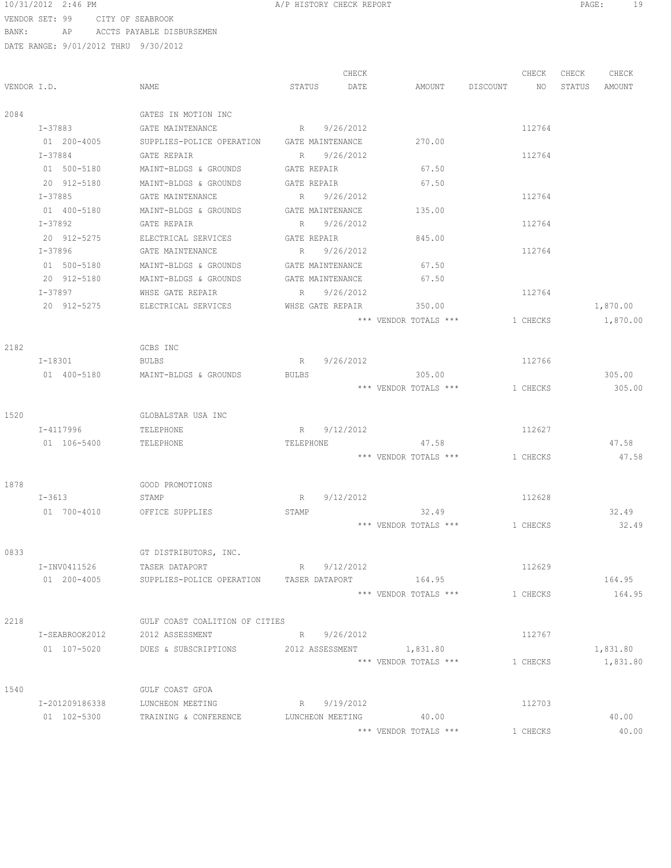#### 10/31/2012 2:46 PM A/P HISTORY CHECK REPORT PAGE: 19 VENDOR SET: 99 CITY OF SEABROOK BANK: AP ACCTS PAYABLE DISBURSEMEN

| VENDOR I.D. |                        | NAME                                                           | STATUS                   | CHECK<br>DATE | AMOUNT DISCOUNT       | CHECK<br>NO | CHECK<br>STATUS | CHECK<br>AMOUNT |
|-------------|------------------------|----------------------------------------------------------------|--------------------------|---------------|-----------------------|-------------|-----------------|-----------------|
| 2084        |                        | GATES IN MOTION INC                                            |                          |               |                       |             |                 |                 |
|             |                        |                                                                |                          |               |                       |             |                 |                 |
|             | I-37883<br>01 200-4005 | GATE MAINTENANCE<br>SUPPLIES-POLICE OPERATION GATE MAINTENANCE | R 9/26/2012              |               | 270.00                | 112764      |                 |                 |
|             | $I - 37884$            |                                                                | R 9/26/2012              |               |                       | 112764      |                 |                 |
|             | 01 500-5180            | GATE REPAIR<br>MAINT-BLDGS & GROUNDS                           | GATE REPAIR              |               | 67.50                 |             |                 |                 |
|             | 20 912-5180            | MAINT-BLDGS & GROUNDS                                          | GATE REPAIR              |               | 67.50                 |             |                 |                 |
|             | I-37885                | GATE MAINTENANCE                                               | R 9/26/2012              |               |                       | 112764      |                 |                 |
|             | 01 400-5180            | MAINT-BLDGS & GROUNDS                                          | GATE MAINTENANCE         |               | 135.00                |             |                 |                 |
|             | I-37892                | GATE REPAIR                                                    | R 9/26/2012              |               |                       | 112764      |                 |                 |
|             | 20 912-5275            | ELECTRICAL SERVICES                                            | GATE REPAIR              |               | 845.00                |             |                 |                 |
|             | I-37896                | GATE MAINTENANCE                                               | R 9/26/2012              |               |                       | 112764      |                 |                 |
|             | 01 500-5180            | MAINT-BLDGS & GROUNDS                                          | GATE MAINTENANCE         |               | 67.50                 |             |                 |                 |
|             | 20 912-5180            | MAINT-BLDGS & GROUNDS                                          | GATE MAINTENANCE         |               | 67.50                 |             |                 |                 |
|             | I-37897                | WHSE GATE REPAIR                                               | R 9/26/2012              |               |                       | 112764      |                 |                 |
|             | 20 912-5275            | ELECTRICAL SERVICES                                            | WHSE GATE REPAIR         |               | 350.00                |             |                 | 1,870.00        |
|             |                        |                                                                |                          |               | *** VENDOR TOTALS *** | 1 CHECKS    |                 | 1,870.00        |
|             |                        |                                                                |                          |               |                       |             |                 |                 |
| 2182        |                        | GCBS INC                                                       |                          |               |                       |             |                 |                 |
|             | I-18301                | <b>BULBS</b>                                                   | R 9/26/2012              |               |                       | 112766      |                 |                 |
|             | 01 400-5180            | MAINT-BLDGS & GROUNDS                                          | BULBS                    |               | 305.00                |             |                 | 305.00          |
|             |                        |                                                                |                          |               | *** VENDOR TOTALS *** | 1 CHECKS    |                 | 305.00          |
| 1520        |                        | GLOBALSTAR USA INC                                             |                          |               |                       |             |                 |                 |
|             | I-4117996              | TELEPHONE                                                      | 9/12/2012<br>$R \sim$    |               |                       | 112627      |                 |                 |
|             | 01 106-5400            | TELEPHONE                                                      | TELEPHONE                |               | 47.58                 |             |                 | 47.58           |
|             |                        |                                                                |                          |               | *** VENDOR TOTALS *** | 1 CHECKS    |                 | 47.58           |
|             |                        |                                                                |                          |               |                       |             |                 |                 |
| 1878        |                        | GOOD PROMOTIONS                                                |                          |               |                       |             |                 |                 |
|             | $I - 3613$             | STAMP                                                          | R 9/12/2012              |               |                       | 112628      |                 |                 |
|             | 01 700-4010            | OFFICE SUPPLIES                                                | STAMP                    |               | 32.49                 |             |                 | 32.49           |
|             |                        |                                                                |                          |               | *** VENDOR TOTALS *** | 1 CHECKS    |                 | 32.49           |
| 0833        |                        | GT DISTRIBUTORS, INC.                                          |                          |               |                       |             |                 |                 |
|             | I-INV0411526           | TASER DATAPORT                                                 | R 9/12/2012              |               |                       | 112629      |                 |                 |
|             | 01 200-4005            | SUPPLIES-POLICE OPERATION TASER DATAPORT 164.95                |                          |               |                       |             |                 | 164.95          |
|             |                        |                                                                |                          |               | *** VENDOR TOTALS *** | 1 CHECKS    |                 | 164.95          |
|             |                        |                                                                |                          |               |                       |             |                 |                 |
| 2218        |                        | GULF COAST COALITION OF CITIES                                 |                          |               |                       |             |                 |                 |
|             | I-SEABROOK2012         | 2012 ASSESSMENT                                                | R 9/26/2012              |               |                       | 112767      |                 |                 |
|             | 01 107-5020            | DUES & SUBSCRIPTIONS                                           | 2012 ASSESSMENT 1,831.80 |               |                       |             |                 | 1,831.80        |
|             |                        |                                                                |                          |               | *** VENDOR TOTALS *** | 1 CHECKS    |                 | 1,831.80        |
| 1540        |                        | GULF COAST GFOA                                                |                          |               |                       |             |                 |                 |
|             | I-201209186338         | LUNCHEON MEETING                                               | R 9/19/2012              |               |                       | 112703      |                 |                 |
|             | 01 102-5300            | TRAINING & CONFERENCE                                          | LUNCHEON MEETING         |               | 40.00                 |             |                 | 40.00           |
|             |                        |                                                                |                          |               | *** VENDOR TOTALS *** | 1 CHECKS    |                 | 40.00           |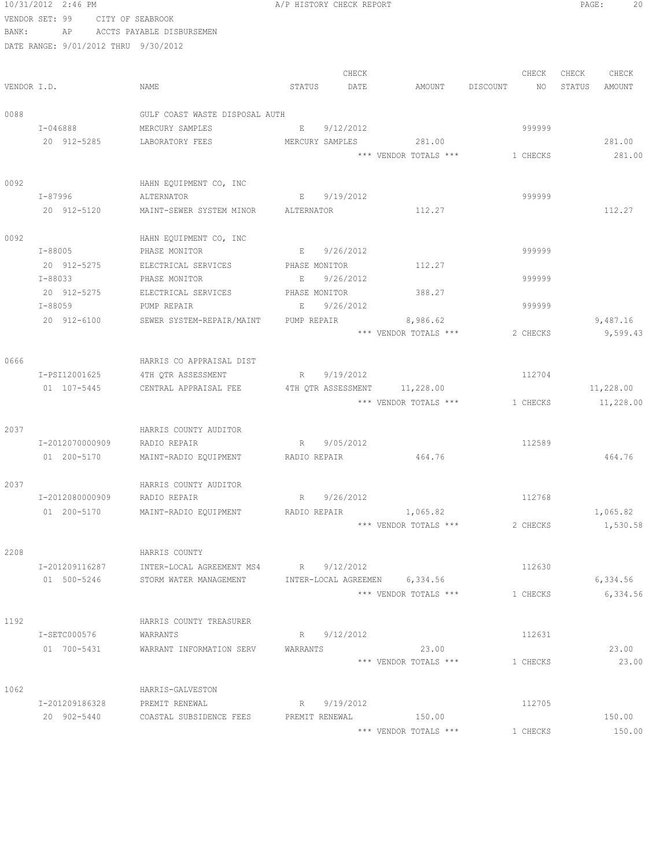|             | 10/31/2012 2:46 PM                   |                                                                          | A/P HISTORY CHECK REPORT      |                                   |          | PAGE:<br>20      |
|-------------|--------------------------------------|--------------------------------------------------------------------------|-------------------------------|-----------------------------------|----------|------------------|
|             | VENDOR SET: 99                       | CITY OF SEABROOK                                                         |                               |                                   |          |                  |
| BANK:       |                                      | AP ACCTS PAYABLE DISBURSEMEN                                             |                               |                                   |          |                  |
|             | DATE RANGE: 9/01/2012 THRU 9/30/2012 |                                                                          |                               |                                   |          |                  |
|             |                                      |                                                                          |                               |                                   |          |                  |
|             |                                      |                                                                          | CHECK                         |                                   | CHECK    | CHECK<br>CHECK   |
| VENDOR I.D. |                                      | NAME                                                                     | STATUS<br>DATE                | AMOUNT DISCOUNT                   | NO       | STATUS<br>AMOUNT |
|             |                                      |                                                                          |                               |                                   |          |                  |
| 0088        |                                      | GULF COAST WASTE DISPOSAL AUTH                                           |                               |                                   |          |                  |
|             | I-046888                             | MERCURY SAMPLES                                                          | 9/12/2012<br>$E = 1$          |                                   | 999999   |                  |
|             | 20 912-5285                          | LABORATORY FEES                                                          | MERCURY SAMPLES               | 281.00                            |          | 281.00           |
|             |                                      |                                                                          |                               | *** VENDOR TOTALS ***             | 1 CHECKS | 281.00           |
|             |                                      |                                                                          |                               |                                   |          |                  |
| 0092        |                                      | HAHN EQUIPMENT CO, INC                                                   |                               |                                   |          |                  |
|             | I-87996                              | ALTERNATOR                                                               | 9/19/2012<br>E                |                                   | 999999   |                  |
|             | 20 912-5120                          | MAINT-SEWER SYSTEM MINOR ALTERNATOR                                      |                               | 112.27                            |          | 112.27           |
|             |                                      |                                                                          |                               |                                   |          |                  |
| 0092        |                                      | HAHN EQUIPMENT CO, INC                                                   |                               |                                   |          |                  |
|             | $I - 88005$                          | PHASE MONITOR                                                            | E 9/26/2012                   |                                   | 999999   |                  |
|             | 20 912-5275                          | ELECTRICAL SERVICES PHASE MONITOR                                        |                               | 112.27                            |          |                  |
|             | I-88033                              | PHASE MONITOR                                                            | 9/26/2012<br>E                |                                   | 999999   |                  |
|             | 20 912-5275                          | ELECTRICAL SERVICES                                                      | PHASE MONITOR                 | 388.27                            |          |                  |
|             | $I - 88059$                          | PUMP REPAIR                                                              | 9/26/2012<br>E                |                                   | 999999   |                  |
|             | 20 912-6100                          | SEWER SYSTEM-REPAIR/MAINT                                                | PUMP REPAIR                   | 8,986.62<br>*** VENDOR TOTALS *** | 2 CHECKS | 9,487.16         |
|             |                                      |                                                                          |                               |                                   |          | 9,599.43         |
| 0666        |                                      | HARRIS CO APPRAISAL DIST                                                 |                               |                                   |          |                  |
|             | I-PSI12001625                        |                                                                          | R 9/19/2012                   |                                   | 112704   |                  |
|             | 01 107-5445                          | 4TH QTR ASSESSMENT<br>CENTRAL APPRAISAL FEE 4TH QTR ASSESSMENT 11,228.00 |                               |                                   |          | 11,228.00        |
|             |                                      |                                                                          |                               | *** VENDOR TOTALS ***             | 1 CHECKS | 11,228.00        |
|             |                                      |                                                                          |                               |                                   |          |                  |
| 2037        |                                      | HARRIS COUNTY AUDITOR                                                    |                               |                                   |          |                  |
|             | I-2012070000909                      | RADIO REPAIR                                                             | R<br>9/05/2012                |                                   | 112589   |                  |
|             | 01 200-5170                          | MAINT-RADIO EQUIPMENT RADIO REPAIR                                       |                               | 464.76                            |          | 464.76           |
|             |                                      |                                                                          |                               |                                   |          |                  |
| 2037        |                                      | HARRIS COUNTY AUDITOR                                                    |                               |                                   |          |                  |
|             | I-2012080000909                      | RADIO REPAIR                                                             | 9/26/2012<br>R                |                                   | 112768   |                  |
|             | 01 200-5170                          | MAINT-RADIO EQUIPMENT                                                    | RADIO REPAIR 1,065.82         |                                   |          | 1,065.82         |
|             |                                      |                                                                          |                               | *** VENDOR TOTALS ***             | 2 CHECKS | 1,530.58         |
|             |                                      |                                                                          |                               |                                   |          |                  |
| 2208        |                                      | HARRIS COUNTY                                                            |                               |                                   |          |                  |
|             | I-201209116287                       | INTER-LOCAL AGREEMENT MS4 R 9/12/2012                                    |                               |                                   | 112630   |                  |
|             | 01 500-5246                          | STORM WATER MANAGEMENT                                                   | INTER-LOCAL AGREEMEN 6,334.56 |                                   |          | 6,334.56         |
|             |                                      |                                                                          |                               | *** VENDOR TOTALS ***             | 1 CHECKS | 6,334.56         |
|             |                                      |                                                                          |                               |                                   |          |                  |
| 1192        |                                      | HARRIS COUNTY TREASURER                                                  |                               |                                   |          |                  |
|             | I-SETC000576                         | WARRANTS                                                                 | R 9/12/2012                   |                                   | 112631   |                  |
|             | 01 700-5431                          | WARRANT INFORMATION SERV                                                 | WARRANTS                      | 23.00                             |          | 23.00            |
|             |                                      |                                                                          |                               | *** VENDOR TOTALS ***             | 1 CHECKS | 23.00            |
|             |                                      |                                                                          |                               |                                   |          |                  |
| 1062        |                                      | HARRIS-GALVESTON                                                         |                               |                                   |          |                  |
|             | I-201209186328                       | PREMIT RENEWAL                                                           | 9/19/2012<br>$R_{\perp}$      |                                   | 112705   |                  |
|             | 20 902-5440                          | COASTAL SUBSIDENCE FEES                                                  | PREMIT RENEWAL                | 150.00                            |          | 150.00           |
|             |                                      |                                                                          |                               | *** VENDOR TOTALS ***             | 1 CHECKS | 150.00           |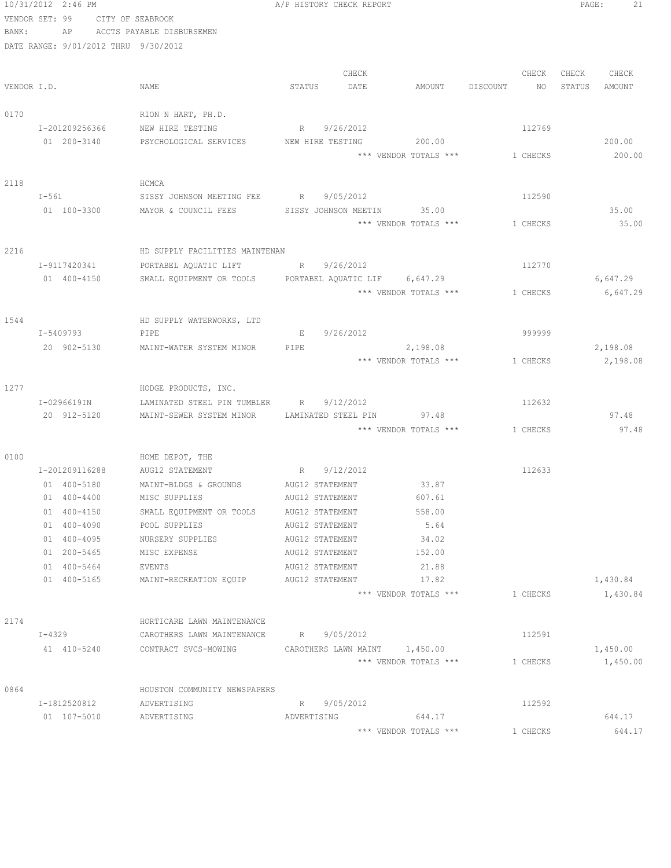|             | 10/31/2012 2:46 PM<br>VENDOR SET: 99<br>CITY OF SEABROOK |                                                                | A/P HISTORY CHECK REPORT |                                |                  | PAGE:<br>21      |
|-------------|----------------------------------------------------------|----------------------------------------------------------------|--------------------------|--------------------------------|------------------|------------------|
| BANK:       | AP                                                       | ACCTS PAYABLE DISBURSEMEN                                      |                          |                                |                  |                  |
|             | DATE RANGE: 9/01/2012 THRU 9/30/2012                     |                                                                |                          |                                |                  |                  |
|             |                                                          |                                                                | CHECK                    |                                | CHECK            | CHECK<br>CHECK   |
| VENDOR I.D. |                                                          | NAME                                                           | STATUS<br>DATE           | AMOUNT                         | DISCOUNT<br>NO – | STATUS<br>AMOUNT |
| 0170        |                                                          | RION N HART, PH.D.                                             |                          |                                |                  |                  |
|             | I-201209256366                                           | NEW HIRE TESTING                                               | R 9/26/2012              |                                | 112769           |                  |
|             | 01 200-3140                                              | PSYCHOLOGICAL SERVICES NEW HIRE TESTING                        |                          | 200.00                         |                  | 200.00           |
|             |                                                          |                                                                |                          | *** VENDOR TOTALS *** 1 CHECKS |                  | 200.00           |
| 2118        |                                                          | HCMCA                                                          |                          |                                |                  |                  |
|             | $I-561$                                                  | SISSY JOHNSON MEETING FEE R 9/05/2012                          |                          |                                | 112590           |                  |
|             | 01 100-3300                                              | MAYOR & COUNCIL FEES SISSY JOHNSON MEETIN 35.00                |                          |                                |                  | 35.00            |
|             |                                                          |                                                                |                          | *** VENDOR TOTALS *** 1 CHECKS |                  | 35.00            |
| 2216        |                                                          | HD SUPPLY FACILITIES MAINTENAN                                 |                          |                                |                  |                  |
|             | I-9117420341                                             | PORTABEL AQUATIC LIFT                                          | R 9/26/2012              |                                | 112770           |                  |
|             | 01 400-4150                                              | SMALL EQUIPMENT OR TOOLS PORTABEL AQUATIC LIF 6,647.29         |                          |                                |                  | 6,647.29         |
|             |                                                          |                                                                |                          | *** VENDOR TOTALS ***          | 1 CHECKS         | 6,647.29         |
| 1544        |                                                          | HD SUPPLY WATERWORKS, LTD                                      |                          |                                |                  |                  |
|             | I-5409793                                                | PIPE                                                           | E 9/26/2012              |                                | 999999           |                  |
|             | 20 902-5130                                              | MAINT-WATER SYSTEM MINOR                                       | PIPE                     | 2,198.08                       |                  | 2,198.08         |
|             |                                                          |                                                                |                          | *** VENDOR TOTALS *** 1 CHECKS |                  | 2,198.08         |
| 1277        |                                                          | HODGE PRODUCTS, INC.                                           |                          |                                |                  |                  |
|             | I-0296619IN                                              | LAMINATED STEEL PIN TUMBLER                                    | 9/12/2012<br>R           |                                | 112632           |                  |
|             | 20 912-5120                                              | MAINT-SEWER SYSTEM MINOR                                       |                          | LAMINATED STEEL PIN 97.48      |                  | 97.48            |
|             |                                                          |                                                                |                          | *** VENDOR TOTALS ***          | 1 CHECKS         | 97.48            |
| 0100        |                                                          | HOME DEPOT, THE                                                |                          |                                |                  |                  |
|             | I-201209116288                                           | AUG12 STATEMENT R 9/12/2012                                    |                          |                                | 112633           |                  |
|             | 01 400-5180                                              | MAINT-BLDGS & GROUNDS                                          | AUG12 STATEMENT          | 33.87                          |                  |                  |
|             | 01 400-4400                                              | MISC SUPPLIES                                                  | AUG12 STATEMENT          | 607.61                         |                  |                  |
|             | 01 400-4150                                              | SMALL EQUIPMENT OR TOOLS                                       | AUG12 STATEMENT          | 558.00                         |                  |                  |
|             | 01 400-4090                                              | POOL SUPPLIES                                                  | AUG12 STATEMENT          | 5.64                           |                  |                  |
|             | 01 400-4095                                              | NURSERY SUPPLIES                                               | AUG12 STATEMENT          | 34.02                          |                  |                  |
|             | 01 200-5465                                              | MISC EXPENSE                                                   | AUG12 STATEMENT          | 152.00                         |                  |                  |
|             | 01 400-5464                                              | EVENTS                                                         | AUG12 STATEMENT          | 21.88                          |                  |                  |
|             | 01 400-5165                                              | MAINT-RECREATION EQUIP                                         | AUG12 STATEMENT          | 17.82                          |                  | 1,430.84         |
|             |                                                          |                                                                |                          | *** VENDOR TOTALS ***          | 1 CHECKS         | 1,430.84         |
| 2174        |                                                          | HORTICARE LAWN MAINTENANCE                                     |                          |                                |                  |                  |
|             | $I-4329$                                                 | CAROTHERS LAWN MAINTENANCE R 9/05/2012                         |                          |                                | 112591           |                  |
|             |                                                          | 41 410-5240 CONTRACT SVCS-MOWING CAROTHERS LAWN MAINT 1,450.00 |                          |                                |                  | 1,450.00         |
|             |                                                          |                                                                |                          | *** VENDOR TOTALS ***          | 1 CHECKS         | 1,450.00         |
| 0864        |                                                          | HOUSTON COMMUNITY NEWSPAPERS                                   |                          |                                |                  |                  |
|             | I-1812520812                                             | ADVERTISING                                                    | R 9/05/2012              |                                | 112592           |                  |
|             | 01 107-5010                                              | ADVERTISING                                                    |                          | ADVERTISING 644.17             |                  | 644.17           |
|             |                                                          |                                                                |                          | *** VENDOR TOTALS ***          | 1 CHECKS         | 644.17           |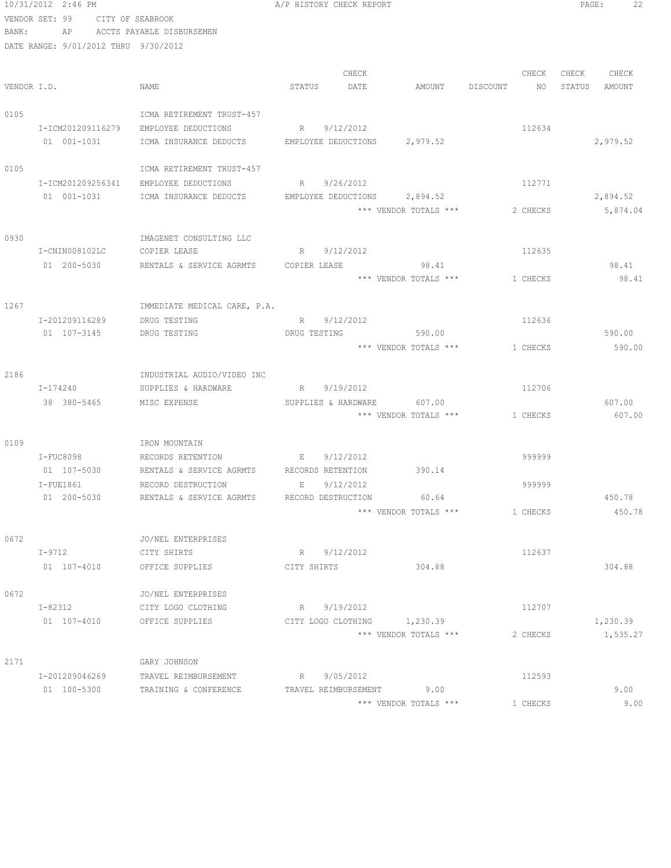|             | 10/31/2012 2:46 PM                   |                              | A/P HISTORY CHECK REPORT     |                       |                | 22<br>PAGE:      |
|-------------|--------------------------------------|------------------------------|------------------------------|-----------------------|----------------|------------------|
|             | VENDOR SET: 99<br>CITY OF SEABROOK   |                              |                              |                       |                |                  |
| BANK:       |                                      | AP ACCTS PAYABLE DISBURSEMEN |                              |                       |                |                  |
|             | DATE RANGE: 9/01/2012 THRU 9/30/2012 |                              |                              |                       |                |                  |
|             |                                      |                              |                              |                       |                |                  |
|             |                                      |                              | CHECK                        |                       | CHECK          | CHECK<br>CHECK   |
| VENDOR I.D. |                                      | NAME                         | STATUS<br>DATE               | AMOUNT                | DISCOUNT<br>NO | STATUS<br>AMOUNT |
|             |                                      |                              |                              |                       |                |                  |
| 0105        |                                      | ICMA RETIREMENT TRUST-457    |                              |                       |                |                  |
|             | I-ICM201209116279                    | EMPLOYEE DEDUCTIONS          | R 9/12/2012                  |                       | 112634         |                  |
|             | 01 001-1031                          | ICMA INSURANCE DEDUCTS       | EMPLOYEE DEDUCTIONS          | 2,979.52              |                | 2,979.52         |
|             |                                      |                              |                              |                       |                |                  |
| 0105        |                                      | ICMA RETIREMENT TRUST-457    |                              |                       |                |                  |
|             | I-ICM201209256341                    | EMPLOYEE DEDUCTIONS          | R 9/26/2012                  |                       | 112771         |                  |
|             | 01 001-1031                          | ICMA INSURANCE DEDUCTS       | EMPLOYEE DEDUCTIONS 2,894.52 |                       |                | 2,894.52         |
|             |                                      |                              |                              | *** VENDOR TOTALS *** | 2 CHECKS       | 5,874.04         |
|             |                                      |                              |                              |                       |                |                  |
| 0930        |                                      | IMAGENET CONSULTING LLC      |                              |                       |                |                  |
|             | I-CNIN008102LC                       | COPIER LEASE                 | 9/12/2012<br>R               |                       | 112635         |                  |
|             | 01 200-5030                          | RENTALS & SERVICE AGRMTS     | COPIER LEASE                 | 98.41                 |                | 98.41            |
|             |                                      |                              |                              | *** VENDOR TOTALS *** | 1 CHECKS       | 98.41            |
|             |                                      |                              |                              |                       |                |                  |
| 1267        |                                      | IMMEDIATE MEDICAL CARE, P.A. |                              |                       |                |                  |
|             | I-201209116289                       | DRUG TESTING                 | 9/12/2012<br>R               |                       | 112636         |                  |
|             | 01 107-3145                          | DRUG TESTING                 | DRUG TESTING                 | 590.00                |                | 590.00           |
|             |                                      |                              |                              | *** VENDOR TOTALS *** | 1 CHECKS       | 590.00           |
|             |                                      |                              |                              |                       |                |                  |
| 2186        |                                      | INDUSTRIAL AUDIO/VIDEO INC   |                              |                       |                |                  |
|             | I-174240                             | SUPPLIES & HARDWARE          | R 9/19/2012                  |                       | 112706         |                  |
|             | 38 380-5465                          | MISC EXPENSE                 | SUPPLIES & HARDWARE          | 607.00                |                | 607.00           |
|             |                                      |                              |                              | *** VENDOR TOTALS *** | 1 CHECKS       | 607.00           |
|             |                                      |                              |                              |                       |                |                  |
| 0109        |                                      | IRON MOUNTAIN                |                              |                       |                |                  |
|             | $I-FUC8098$                          | RECORDS RETENTION            | $E = -$<br>9/12/2012         |                       | 999999         |                  |
|             | 01 107-5030                          | RENTALS & SERVICE AGRMTS     | RECORDS RETENTION            | 390.14                |                |                  |
|             | $I-FUE1861$                          | RECORD DESTRUCTION           | 9/12/2012<br>E               |                       | 999999         |                  |
|             | 01 200-5030                          | RENTALS & SERVICE AGRMTS     | RECORD DESTRUCTION           | 60.64                 |                | 450.78           |
|             |                                      |                              |                              | *** VENDOR TOTALS *** | 1 CHECKS       | 450.78           |
|             |                                      |                              |                              |                       |                |                  |
| 0672        |                                      | JO/NEL ENTERPRISES           |                              |                       |                |                  |
|             | $I-9712$                             | CITY SHIRTS                  | R 9/12/2012                  |                       | 112637         |                  |
|             | 01 107-4010                          | OFFICE SUPPLIES              | CITY SHIRTS                  | 304.88                |                | 304.88           |
|             |                                      |                              |                              |                       |                |                  |
| 0672        |                                      | JO/NEL ENTERPRISES           |                              |                       |                |                  |
|             | I-82312                              | CITY LOGO CLOTHING           | R 9/19/2012                  |                       | 112707         |                  |
|             | 01 107-4010                          | OFFICE SUPPLIES              | CITY LOGO CLOTHING 1,230.39  |                       |                | 1,230.39         |
|             |                                      |                              |                              | *** VENDOR TOTALS *** | 2 CHECKS       | 1,535.27         |
|             |                                      |                              |                              |                       |                |                  |
| 2171        |                                      | GARY JOHNSON                 |                              |                       |                |                  |
|             | I-201209046269                       | TRAVEL REIMBURSEMENT         | R 9/05/2012                  |                       | 112593         |                  |
|             | 01 100-5300                          | TRAINING & CONFERENCE        | TRAVEL REIMBURSEMENT         | 9.00                  |                | 9.00             |
|             |                                      |                              |                              | *** VENDOR TOTALS *** | 1 CHECKS       | 9.00             |
|             |                                      |                              |                              |                       |                |                  |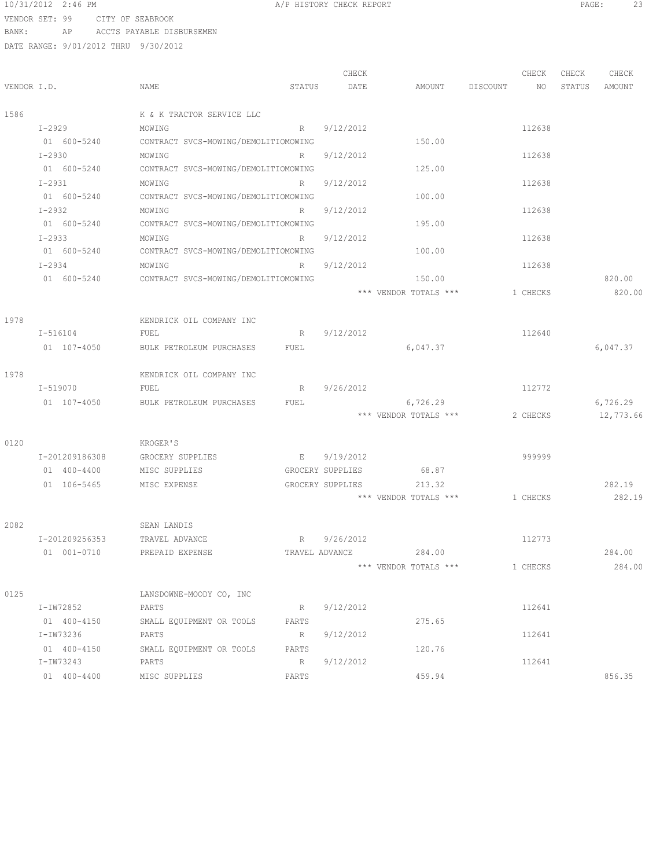#### 10/31/2012 2:46 PM A/P HISTORY CHECK REPORT PAGE: 23 VENDOR SET: 99 CITY OF SEABROOK

BANK: AP ACCTS PAYABLE DISBURSEMEN

|             |                |                                      |             | CHECK          |                         | CHECK              | CHECK  | CHECK     |
|-------------|----------------|--------------------------------------|-------------|----------------|-------------------------|--------------------|--------|-----------|
| VENDOR I.D. |                | NAME                                 | STATUS      | DATE           |                         | AMOUNT DISCOUNT NO | STATUS | AMOUNT    |
| 1586        |                | K & K TRACTOR SERVICE LLC            |             |                |                         |                    |        |           |
|             | I-2929         | MOWING                               | R           | 9/12/2012      |                         | 112638             |        |           |
|             | 01 600-5240    | CONTRACT SVCS-MOWING/DEMOLITIOMOWING |             |                | 150.00                  |                    |        |           |
|             | $I - 2930$     | MOWING                               | $R$ and $R$ | 9/12/2012      |                         | 112638             |        |           |
|             | 01 600-5240    | CONTRACT SVCS-MOWING/DEMOLITIOMOWING |             |                | 125.00                  |                    |        |           |
|             | $I - 2931$     | MOWING                               | R           | 9/12/2012      |                         | 112638             |        |           |
|             | 01 600-5240    | CONTRACT SVCS-MOWING/DEMOLITIOMOWING |             |                | 100.00                  |                    |        |           |
|             | I-2932         | MOWING                               | $R \sim$    | 9/12/2012      |                         | 112638             |        |           |
|             | 01 600-5240    | CONTRACT SVCS-MOWING/DEMOLITIOMOWING |             |                | 195.00                  |                    |        |           |
|             | $I-2933$       | MOWING                               | $R \sim$    | 9/12/2012      |                         | 112638             |        |           |
|             | 01 600-5240    | CONTRACT SVCS-MOWING/DEMOLITIOMOWING |             |                | 100.00                  |                    |        |           |
|             | $I-2934$       | MOWING                               | R           | 9/12/2012      |                         | 112638             |        |           |
|             | 01 600-5240    | CONTRACT SVCS-MOWING/DEMOLITIOMOWING |             |                | 150.00                  |                    |        | 820.00    |
|             |                |                                      |             |                | *** VENDOR TOTALS ***   | 1 CHECKS           |        | 820.00    |
| 1978        |                | KENDRICK OIL COMPANY INC             |             |                |                         |                    |        |           |
|             | I-516104       | FUEL                                 | R           | 9/12/2012      |                         | 112640             |        |           |
|             | 01 107-4050    | BULK PETROLEUM PURCHASES             | FUEL        |                | 6,047.37                |                    |        | 6,047.37  |
| 1978        |                | KENDRICK OIL COMPANY INC             |             |                |                         |                    |        |           |
|             | I-519070       | FUEL                                 | R           | 9/26/2012      |                         | 112772             |        |           |
|             | 01 107-4050    | BULK PETROLEUM PURCHASES             | FUEL        |                | 6,726.29                |                    |        | 6,726.29  |
|             |                |                                      |             |                | *** VENDOR TOTALS ***   | 2 CHECKS           |        | 12,773.66 |
|             |                |                                      |             |                |                         |                    |        |           |
| 0120        |                | KROGER'S                             |             |                |                         |                    |        |           |
|             | I-201209186308 | GROCERY SUPPLIES                     |             | E 9/19/2012    |                         | 999999             |        |           |
|             | 01 400-4400    | MISC SUPPLIES                        |             |                | GROCERY SUPPLIES 68.87  |                    |        |           |
|             | 01 106-5465    | MISC EXPENSE                         |             |                | GROCERY SUPPLIES 213.32 |                    |        | 282.19    |
|             |                |                                      |             |                | *** VENDOR TOTALS ***   | 1 CHECKS           |        | 282.19    |
| 2082        |                | SEAN LANDIS                          |             |                |                         |                    |        |           |
|             | I-201209256353 | TRAVEL ADVANCE                       |             | R 9/26/2012    |                         | 112773             |        |           |
|             | 01 001-0710    | PREPAID EXPENSE                      |             | TRAVEL ADVANCE | 284.00                  |                    |        | 284.00    |
|             |                |                                      |             |                | *** VENDOR TOTALS ***   | 1 CHECKS           |        | 284.00    |
| 0125        |                | LANSDOWNE-MOODY CO, INC              |             |                |                         |                    |        |           |
|             | I-IW72852      | PARTS                                | R           | 9/12/2012      |                         | 112641             |        |           |
|             | 01 400-4150    | SMALL EQUIPMENT OR TOOLS             | PARTS       |                | 275.65                  |                    |        |           |
|             | I-IW73236      | PARTS                                | R           | 9/12/2012      |                         | 112641             |        |           |
|             | 01 400-4150    | SMALL EQUIPMENT OR TOOLS             | PARTS       |                | 120.76                  |                    |        |           |
|             | I-IW73243      | PARTS                                | R           | 9/12/2012      |                         | 112641             |        |           |
|             | 01 400-4400    | MISC SUPPLIES                        | PARTS       |                | 459.94                  |                    |        | 856.35    |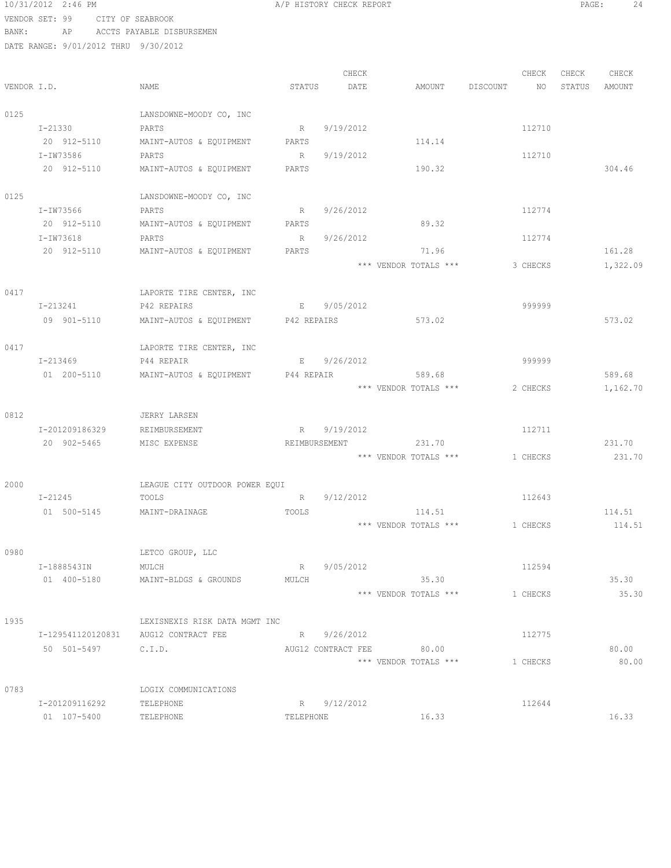10/31/2012 2:46 PM **A/P HISTORY CHECK REPORT** PAGE: 24 VENDOR SET: 99 CITY OF SEABROOK

BANK: AP ACCTS PAYABLE DISBURSEMEN

|             |                   |                                |             | CHECK              |                       |          | CHECK    | CHECK  | CHECK    |
|-------------|-------------------|--------------------------------|-------------|--------------------|-----------------------|----------|----------|--------|----------|
| VENDOR I.D. |                   | NAME                           | STATUS      | DATE               | AMOUNT                | DISCOUNT | NO       | STATUS | AMOUNT   |
| 0125        |                   | LANSDOWNE-MOODY CO, INC        |             |                    |                       |          |          |        |          |
|             | I-21330           | PARTS                          | R           | 9/19/2012          |                       |          | 112710   |        |          |
|             | 20 912-5110       | MAINT-AUTOS & EQUIPMENT        | PARTS       |                    | 114.14                |          |          |        |          |
|             | I-IW73586         | PARTS                          | R           | 9/19/2012          |                       |          | 112710   |        |          |
|             | 20 912-5110       | MAINT-AUTOS & EQUIPMENT        | PARTS       |                    | 190.32                |          |          |        | 304.46   |
| 0125        |                   | LANSDOWNE-MOODY CO, INC        |             |                    |                       |          |          |        |          |
|             | I-IW73566         | PARTS                          | R           | 9/26/2012          |                       |          | 112774   |        |          |
|             | 20 912-5110       | MAINT-AUTOS & EQUIPMENT        | PARTS       |                    | 89.32                 |          |          |        |          |
|             | I-IW73618         | PARTS                          | R           | 9/26/2012          |                       |          | 112774   |        |          |
|             | 20 912-5110       | MAINT-AUTOS & EQUIPMENT        | PARTS       |                    | 71.96                 |          |          |        | 161.28   |
|             |                   |                                |             |                    | *** VENDOR TOTALS *** |          | 3 CHECKS |        | 1,322.09 |
| 0417        |                   | LAPORTE TIRE CENTER, INC       |             |                    |                       |          |          |        |          |
|             | I-213241          | P42 REPAIRS                    | E           | 9/05/2012          |                       |          | 999999   |        |          |
|             | 09 901-5110       | MAINT-AUTOS & EQUIPMENT        | P42 REPAIRS |                    | 573.02                |          |          |        | 573.02   |
| 0417        |                   | LAPORTE TIRE CENTER, INC       |             |                    |                       |          |          |        |          |
|             | I-213469          | P44 REPAIR                     |             | E 9/26/2012        |                       |          | 999999   |        |          |
|             | 01 200-5110       | MAINT-AUTOS & EQUIPMENT        | P44 REPAIR  |                    | 589.68                |          |          |        | 589.68   |
|             |                   |                                |             |                    | *** VENDOR TOTALS *** |          | 2 CHECKS |        | 1,162.70 |
| 0812        |                   | JERRY LARSEN                   |             |                    |                       |          |          |        |          |
|             | I-201209186329    | REIMBURSEMENT                  | R           | 9/19/2012          |                       |          | 112711   |        |          |
|             | 20 902-5465       | MISC EXPENSE                   |             | REIMBURSEMENT      | 231.70                |          |          |        | 231.70   |
|             |                   |                                |             |                    | *** VENDOR TOTALS *** |          | 1 CHECKS |        | 231.70   |
| 2000        |                   | LEAGUE CITY OUTDOOR POWER EQUI |             |                    |                       |          |          |        |          |
|             | I-21245           | TOOLS                          | R           | 9/12/2012          |                       |          | 112643   |        |          |
|             | 01 500-5145       | MAINT-DRAINAGE                 | TOOLS       |                    | 114.51                |          |          |        | 114.51   |
|             |                   |                                |             |                    | *** VENDOR TOTALS *** |          | 1 CHECKS |        | 114.51   |
| 0980        |                   | LETCO GROUP, LLC               |             |                    |                       |          |          |        |          |
|             | I-1888543IN       | MULCH                          | R           | 9/05/2012          |                       |          | 112594   |        |          |
|             | 01 400-5180       | MAINT-BLDGS & GROUNDS          | MULCH       |                    | 35.30                 |          |          |        | 35.30    |
|             |                   |                                |             |                    | *** VENDOR TOTALS *** |          | 1 CHECKS |        | 35.30    |
| 1935        |                   | LEXISNEXIS RISK DATA MGMT INC  |             |                    |                       |          |          |        |          |
|             | I-129541120120831 | AUG12 CONTRACT FEE             |             | R 9/26/2012        |                       |          | 112775   |        |          |
|             | 50 501-5497       | C.I.D.                         |             | AUG12 CONTRACT FEE | 80.00                 |          |          |        | 80.00    |
|             |                   |                                |             |                    | *** VENDOR TOTALS *** |          | 1 CHECKS |        | 80.00    |
| 0783        |                   | LOGIX COMMUNICATIONS           |             |                    |                       |          |          |        |          |
|             | I-201209116292    | TELEPHONE                      |             | R 9/12/2012        |                       |          | 112644   |        |          |
|             | 01 107-5400       | TELEPHONE                      | TELEPHONE   |                    | 16.33                 |          |          |        | 16.33    |
|             |                   |                                |             |                    |                       |          |          |        |          |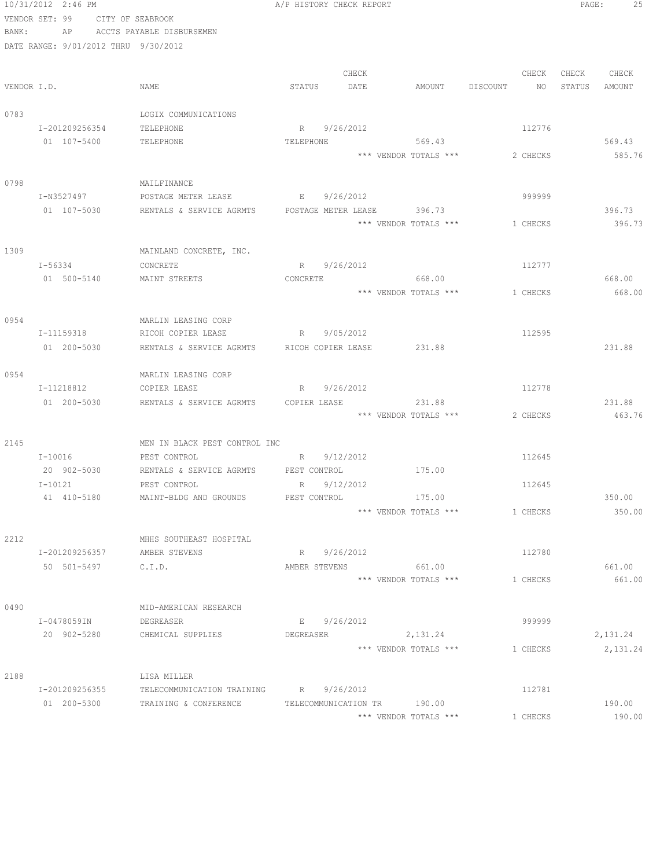|       | 10/31/2012 2:46 PM                   |                                                                   |             | A/P HISTORY CHECK REPORT |       |                                |  |          | PAGE:  | 25       |
|-------|--------------------------------------|-------------------------------------------------------------------|-------------|--------------------------|-------|--------------------------------|--|----------|--------|----------|
|       | VENDOR SET: 99                       | CITY OF SEABROOK                                                  |             |                          |       |                                |  |          |        |          |
| BANK: |                                      | AP ACCTS PAYABLE DISBURSEMEN                                      |             |                          |       |                                |  |          |        |          |
|       | DATE RANGE: 9/01/2012 THRU 9/30/2012 |                                                                   |             |                          |       |                                |  |          |        |          |
|       |                                      |                                                                   |             |                          |       |                                |  |          |        |          |
|       |                                      |                                                                   |             |                          | CHECK |                                |  | CHECK    | CHECK  | CHECK    |
|       | VENDOR I.D.                          | NAME                                                              | STATUS      |                          | DATE  | AMOUNT DISCOUNT NO             |  |          | STATUS | AMOUNT   |
|       |                                      |                                                                   |             |                          |       |                                |  |          |        |          |
| 0783  |                                      | LOGIX COMMUNICATIONS                                              |             |                          |       |                                |  |          |        |          |
|       | I-201209256354<br>01 107-5400        | TELEPHONE<br>TELEPHONE                                            | R           | 9/26/2012                |       | TELEPHONE 569.43               |  | 112776   |        | 569.43   |
|       |                                      |                                                                   |             |                          |       | *** VENDOR TOTALS *** 2 CHECKS |  |          |        | 585.76   |
|       |                                      |                                                                   |             |                          |       |                                |  |          |        |          |
| 0798  |                                      | MAILFINANCE                                                       |             |                          |       |                                |  |          |        |          |
|       | I-N3527497                           | POSTAGE METER LEASE                                               | $E = 1$     | 9/26/2012                |       |                                |  | 999999   |        |          |
|       | 01 107-5030                          | RENTALS & SERVICE AGRMTS  POSTAGE METER LEASE  396.73             |             |                          |       |                                |  |          |        | 396.73   |
|       |                                      |                                                                   |             |                          |       | *** VENDOR TOTALS ***          |  | 1 CHECKS |        | 396.73   |
|       |                                      |                                                                   |             |                          |       |                                |  |          |        |          |
| 1309  |                                      | MAINLAND CONCRETE, INC.                                           |             |                          |       |                                |  |          |        |          |
|       | $I - 56334$                          | CONCRETE                                                          |             | R 9/26/2012              |       |                                |  | 112777   |        |          |
|       | 01 500-5140                          | MAINT STREETS                                                     | CONCRETE    |                          |       | 668.00                         |  |          |        | 668.00   |
|       |                                      |                                                                   |             |                          |       | *** VENDOR TOTALS *** 1 CHECKS |  |          |        | 668.00   |
|       |                                      |                                                                   |             |                          |       |                                |  |          |        |          |
| 0954  |                                      | MARLIN LEASING CORP                                               |             |                          |       |                                |  |          |        |          |
|       | I-11159318                           | RICOH COPIER LEASE                                                | R 9/05/2012 |                          |       |                                |  | 112595   |        |          |
|       | 01 200-5030                          | RENTALS & SERVICE AGRMTS RICOH COPIER LEASE 231.88                |             |                          |       |                                |  |          |        | 231.88   |
|       |                                      |                                                                   |             |                          |       |                                |  |          |        |          |
| 0954  | I-11218812                           | MARLIN LEASING CORP<br>COPIER LEASE                               |             | R 9/26/2012              |       |                                |  | 112778   |        |          |
|       | 01 200-5030                          | RENTALS & SERVICE AGRMTS COPIER LEASE                             |             |                          |       | 231.88                         |  |          |        | 231.88   |
|       |                                      |                                                                   |             |                          |       | *** VENDOR TOTALS ***          |  | 2 CHECKS |        | 463.76   |
|       |                                      |                                                                   |             |                          |       |                                |  |          |        |          |
| 2145  |                                      | MEN IN BLACK PEST CONTROL INC                                     |             |                          |       |                                |  |          |        |          |
|       | $I-10016$                            | R 9/12/2012<br>PEST CONTROL                                       |             |                          |       |                                |  | 112645   |        |          |
|       | 20 902-5030                          | RENTALS & SERVICE AGRMTS PEST CONTROL 6 175.00                    |             |                          |       |                                |  |          |        |          |
|       | $I-10121$                            | PEST CONTROL R 9/12/2012                                          |             |                          |       |                                |  | 112645   |        |          |
|       |                                      | 41 410-5180 MAINT-BLDG AND GROUNDS PEST CONTROL                   |             |                          |       | 175.00                         |  |          |        | 350.00   |
|       |                                      |                                                                   |             |                          |       | *** VENDOR TOTALS ***          |  | 1 CHECKS |        | 350.00   |
|       |                                      |                                                                   |             |                          |       |                                |  |          |        |          |
| 2212  |                                      | MHHS SOUTHEAST HOSPITAL                                           |             |                          |       |                                |  |          |        |          |
|       | I-201209256357                       | AMBER STEVENS                                                     |             | R 9/26/2012              |       |                                |  | 112780   |        |          |
|       | 50 501-5497 C.I.D.                   |                                                                   |             |                          |       | AMBER STEVENS 661.00           |  |          |        | 661.00   |
|       |                                      |                                                                   |             |                          |       | *** VENDOR TOTALS *** 1 CHECKS |  |          |        | 661.00   |
|       |                                      |                                                                   |             |                          |       |                                |  |          |        |          |
| 0490  |                                      | MID-AMERICAN RESEARCH                                             |             |                          |       |                                |  |          |        |          |
|       | I-0478059IN                          | DEGREASER                                                         |             | E 9/26/2012              |       |                                |  | 999999   |        |          |
|       |                                      | 20 902-5280 CHEMICAL SUPPLIES DEGREASER 2,131.24                  |             |                          |       |                                |  |          |        | 2,131.24 |
|       |                                      |                                                                   |             |                          |       | *** VENDOR TOTALS ***          |  | 1 CHECKS |        | 2,131.24 |
| 2188  |                                      | LISA MILLER                                                       |             |                          |       |                                |  |          |        |          |
|       | I-201209256355                       | TELECOMMUNICATION TRAINING R 9/26/2012                            |             |                          |       |                                |  | 112781   |        |          |
|       |                                      | 01  200-5300  TRAINING & CONFERENCE  TELECOMMUNICATION TR  190.00 |             |                          |       |                                |  |          |        | 190.00   |
|       |                                      |                                                                   |             |                          |       | *** VENDOR TOTALS ***          |  | 1 CHECKS |        | 190.00   |
|       |                                      |                                                                   |             |                          |       |                                |  |          |        |          |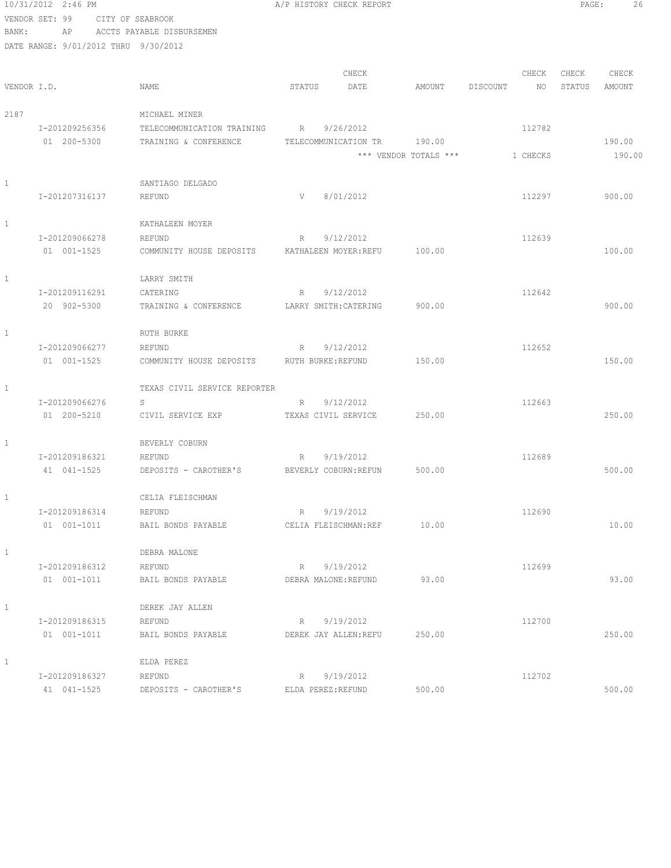|              | 10/31/2012 2:46 PM                   |                                 | A/P HISTORY CHECK REPORT                | PAGE:<br>26           |                |        |        |
|--------------|--------------------------------------|---------------------------------|-----------------------------------------|-----------------------|----------------|--------|--------|
|              | VENDOR SET: 99                       | CITY OF SEABROOK                |                                         |                       |                |        |        |
| BANK:        | AP                                   | ACCTS PAYABLE DISBURSEMEN       |                                         |                       |                |        |        |
|              | DATE RANGE: 9/01/2012 THRU 9/30/2012 |                                 |                                         |                       |                |        |        |
|              |                                      |                                 |                                         |                       |                |        |        |
|              |                                      |                                 | CHECK                                   |                       | CHECK          | CHECK  | CHECK  |
| VENDOR I.D.  |                                      | NAME                            | STATUS<br>DATE                          | AMOUNT                | DISCOUNT<br>NO | STATUS | AMOUNT |
|              |                                      |                                 |                                         |                       |                |        |        |
| 2187         |                                      | MICHAEL MINER                   |                                         |                       |                |        |        |
|              | I-201209256356                       | TELECOMMUNICATION TRAINING      | 9/26/2012<br>R                          |                       | 112782         |        |        |
|              | 01 200-5300                          | TRAINING & CONFERENCE           | TELECOMMUNICATION TR                    | 190.00                |                |        | 190.00 |
|              |                                      |                                 |                                         | *** VENDOR TOTALS *** | 1 CHECKS       |        | 190.00 |
|              |                                      |                                 |                                         |                       |                |        |        |
| 1            | I-201207316137                       | SANTIAGO DELGADO<br>REFUND      | V<br>8/01/2012                          |                       | 112297         |        | 900.00 |
|              |                                      |                                 |                                         |                       |                |        |        |
| $\mathbf{1}$ |                                      | KATHALEEN MOYER                 |                                         |                       |                |        |        |
|              | I-201209066278                       | REFUND                          | 9/12/2012<br>R                          |                       | 112639         |        |        |
|              | 01 001-1525                          | COMMUNITY HOUSE DEPOSITS        | KATHALEEN MOYER: REFU                   | 100.00                |                |        | 100.00 |
|              |                                      |                                 |                                         |                       |                |        |        |
| $\mathbf{1}$ |                                      | LARRY SMITH                     |                                         |                       |                |        |        |
|              | I-201209116291                       | CATERING                        | 9/12/2012<br>R                          |                       | 112642         |        |        |
|              | 20 902-5300                          | TRAINING & CONFERENCE           | LARRY SMITH: CATERING                   | 900.00                |                |        | 900.00 |
|              |                                      |                                 |                                         |                       |                |        |        |
| $\mathbf{1}$ |                                      | RUTH BURKE                      |                                         |                       |                |        |        |
|              | I-201209066277                       | REFUND                          | 9/12/2012<br>R                          |                       | 112652         |        |        |
|              | 01 001-1525                          | COMMUNITY HOUSE DEPOSITS        | RUTH BURKE: REFUND                      | 150.00                |                |        | 150.00 |
|              |                                      |                                 |                                         |                       |                |        |        |
| $\mathbf{1}$ |                                      | TEXAS CIVIL SERVICE REPORTER    |                                         |                       |                |        |        |
|              | I-201209066276                       | S                               | 9/12/2012<br>R                          |                       | 112663         |        |        |
|              | 01 200-5210                          | CIVIL SERVICE EXP               | TEXAS CIVIL SERVICE                     | 250.00                |                |        | 250.00 |
|              |                                      |                                 |                                         |                       |                |        |        |
| 1            | I-201209186321                       | BEVERLY COBURN                  |                                         |                       |                |        |        |
|              | 41 041-1525                          | REFUND<br>DEPOSITS - CAROTHER'S | 9/19/2012<br>R<br>BEVERLY COBURN: REFUN | 500.00                | 112689         |        | 500.00 |
|              |                                      |                                 |                                         |                       |                |        |        |
| $\mathbf{1}$ |                                      | CELIA FLEISCHMAN                |                                         |                       |                |        |        |
|              | I-201209186314                       | REFUND                          | 9/19/2012<br>R                          |                       | 112690         |        |        |
|              | 01 001-1011                          | BAIL BONDS PAYABLE              | CELIA FLEISCHMAN:REF                    | 10.00                 |                |        | 10.00  |
|              |                                      |                                 |                                         |                       |                |        |        |
| $\mathbf{1}$ |                                      | DEBRA MALONE                    |                                         |                       |                |        |        |
|              | I-201209186312                       | REFUND                          | 9/19/2012<br>R                          |                       | 112699         |        |        |
|              | 01 001-1011                          | BAIL BONDS PAYABLE              | DEBRA MALONE: REFUND                    | 93.00                 |                |        | 93.00  |
|              |                                      |                                 |                                         |                       |                |        |        |
| $\mathbf{1}$ |                                      | DEREK JAY ALLEN                 |                                         |                       |                |        |        |
|              | I-201209186315                       | REFUND                          | 9/19/2012<br>R                          |                       | 112700         |        |        |
|              | 01 001-1011                          | BAIL BONDS PAYABLE              | DEREK JAY ALLEN: REFU                   | 250.00                |                |        | 250.00 |
|              |                                      |                                 |                                         |                       |                |        |        |
| $\mathbf{1}$ |                                      | ELDA PEREZ                      |                                         |                       |                |        |        |
|              | I-201209186327                       | REFUND                          | 9/19/2012<br>R                          |                       | 112702         |        |        |
|              | 41 041-1525                          | DEPOSITS - CAROTHER'S           | ELDA PEREZ:REFUND                       | 500.00                |                |        | 500.00 |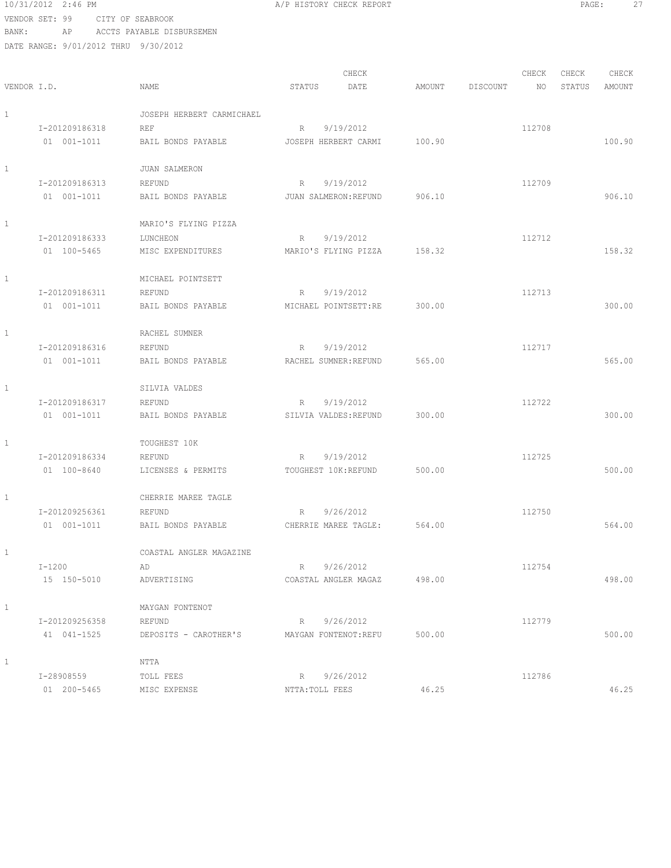10/31/2012 2:46 PM **A/P HISTORY CHECK REPORT PAGE:** 27 VENDOR SET: 99 CITY OF SEABROOK

| BANK:        |                                      | AP – AUCTS PAYABLE DISBURSEMEN |             |                             |        |          |        |        |        |
|--------------|--------------------------------------|--------------------------------|-------------|-----------------------------|--------|----------|--------|--------|--------|
|              | DATE RANGE: 9/01/2012 THRU 9/30/2012 |                                |             |                             |        |          |        |        |        |
|              |                                      |                                |             | CHECK                       |        |          | CHECK  | CHECK  | CHECK  |
| VENDOR I.D.  |                                      | NAME                           | STATUS      | DATE                        | AMOUNT | DISCOUNT | NO.    | STATUS | AMOUNT |
|              |                                      |                                |             |                             |        |          |        |        |        |
| $\mathbf{1}$ |                                      | JOSEPH HERBERT CARMICHAEL      |             |                             |        |          |        |        |        |
|              | I-201209186318                       | REF                            | $R_{\perp}$ | 9/19/2012                   |        |          | 112708 |        |        |
|              | 01 001-1011                          | BAIL BONDS PAYABLE             |             | JOSEPH HERBERT CARMI        | 100.90 |          |        |        | 100.90 |
|              |                                      |                                |             |                             |        |          |        |        |        |
| 1            |                                      | <b>JUAN SALMERON</b>           |             |                             |        |          |        |        |        |
|              | I-201209186313                       | REFUND                         | R           | 9/19/2012                   |        |          | 112709 |        |        |
|              | 01 001-1011                          | BAIL BONDS PAYABLE             |             | JUAN SALMERON: REFUND       | 906.10 |          |        |        | 906.10 |
| $\mathbf{1}$ |                                      | MARIO'S FLYING PIZZA           |             |                             |        |          |        |        |        |
|              | I-201209186333                       | LUNCHEON                       |             | R 9/19/2012                 |        |          | 112712 |        |        |
|              | 01 100-5465                          | MISC EXPENDITURES              |             | MARIO'S FLYING PIZZA        | 158.32 |          |        |        | 158.32 |
|              |                                      |                                |             |                             |        |          |        |        |        |
| 1            |                                      | MICHAEL POINTSETT              |             |                             |        |          |        |        |        |
|              | I-201209186311                       | REFUND                         | R           | 9/19/2012                   |        |          | 112713 |        |        |
|              | 01 001-1011                          | BAIL BONDS PAYABLE             |             | MICHAEL POINTSETT:RE        | 300.00 |          |        |        | 300.00 |
| $\mathbf{1}$ |                                      |                                |             |                             |        |          |        |        |        |
|              |                                      | RACHEL SUMNER                  |             |                             |        |          |        |        |        |
|              | I-201209186316                       | REFUND                         | R           | 9/19/2012                   |        |          | 112717 |        |        |
|              | 01 001-1011                          | BAIL BONDS PAYABLE             |             | RACHEL SUMNER: REFUND       | 565.00 |          |        |        | 565.00 |
| $\mathbf{1}$ |                                      | SILVIA VALDES                  |             |                             |        |          |        |        |        |
|              | I-201209186317                       | REFUND                         | R           | 9/19/2012                   |        |          | 112722 |        |        |
|              | 01 001-1011                          | BAIL BONDS PAYABLE             |             | SILVIA VALDES: REFUND       | 300.00 |          |        |        | 300.00 |
|              |                                      |                                |             |                             |        |          |        |        |        |
| 1            |                                      | TOUGHEST 10K                   |             |                             |        |          |        |        |        |
|              | I-201209186334                       | REFUND                         | R           | 9/19/2012                   |        |          | 112725 |        |        |
|              | 01 100-8640                          | LICENSES & PERMITS             |             | TOUGHEST 10K: REFUND        | 500.00 |          |        |        | 500.00 |
| 1            |                                      | CHERRIE MAREE TAGLE            |             |                             |        |          |        |        |        |
|              | I-201209256361                       | REFUND                         | R 9/26/2012 |                             |        |          | 112750 |        |        |
|              | 01 001-1011                          | BAIL BONDS PAYABLE             |             | CHERRIE MAREE TAGLE: 564.00 |        |          |        |        | 564.00 |
| $\mathbf{1}$ |                                      | COASTAL ANGLER MAGAZINE        |             |                             |        |          |        |        |        |
|              |                                      |                                |             |                             |        |          |        |        |        |
|              | $I - 1200$                           | AD                             |             | R 9/26/2012                 |        |          | 112754 |        |        |
|              | 15 150-5010                          | ADVERTISING                    |             | COASTAL ANGLER MAGAZ 498.00 |        |          |        |        | 498.00 |
| 1            |                                      | MAYGAN FONTENOT                |             |                             |        |          |        |        |        |
|              | I-201209256358                       | REFUND                         |             | R 9/26/2012                 |        |          | 112779 |        |        |
|              | 41 041-1525                          | DEPOSITS - CAROTHER'S          |             | MAYGAN FONTENOT:REFU        | 500.00 |          |        |        | 500.00 |
| $\mathbf{1}$ |                                      | NTTA                           |             |                             |        |          |        |        |        |
|              |                                      |                                |             |                             |        |          |        |        |        |
|              | I-28908559                           | TOLL FEES                      | R           | 9/26/2012                   |        |          | 112786 |        |        |

01 200-5465 MISC EXPENSE NTTA:TOLL FEES 46.25 46.25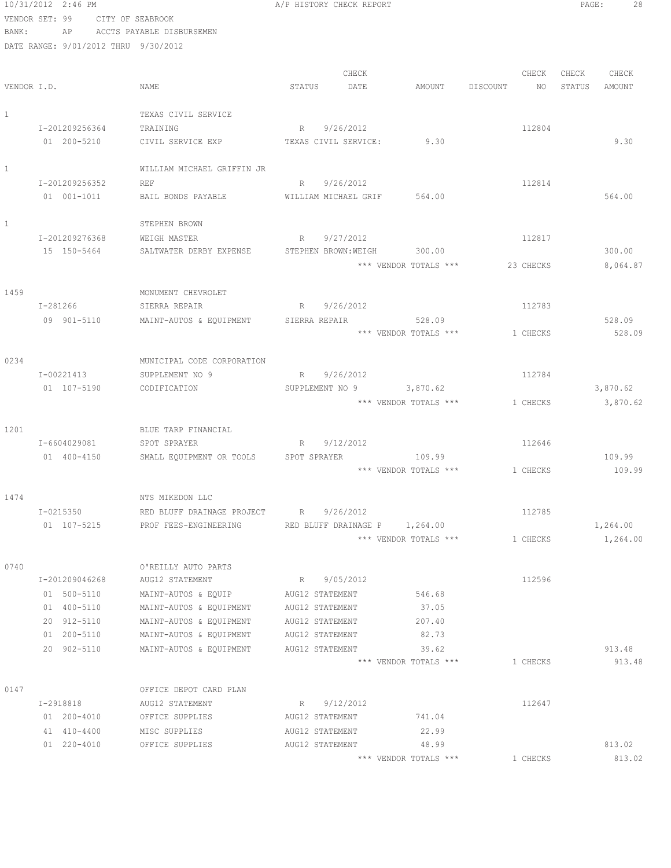|              | 10/31/2012 2:46 PM                   |                                                     | A/P HISTORY CHECK REPORT    |                                 |                                 | PAGE:<br>28      |
|--------------|--------------------------------------|-----------------------------------------------------|-----------------------------|---------------------------------|---------------------------------|------------------|
|              | VENDOR SET: 99<br>CITY OF SEABROOK   |                                                     |                             |                                 |                                 |                  |
| BANK:        | AP                                   | ACCTS PAYABLE DISBURSEMEN                           |                             |                                 |                                 |                  |
|              | DATE RANGE: 9/01/2012 THRU 9/30/2012 |                                                     |                             |                                 |                                 |                  |
|              |                                      |                                                     |                             |                                 |                                 |                  |
|              |                                      |                                                     | CHECK                       |                                 | CHECK                           | CHECK<br>CHECK   |
|              | VENDOR I.D.                          | NAME                                                | DATE<br>STATUS              | AMOUNT                          | DISCOUNT<br>NO                  | STATUS<br>AMOUNT |
|              |                                      |                                                     |                             |                                 |                                 |                  |
| $\mathbf{1}$ |                                      | TEXAS CIVIL SERVICE                                 |                             |                                 |                                 |                  |
|              | I-201209256364                       | TRAINING                                            | 9/26/2012<br>R              |                                 | 112804                          |                  |
|              | 01 200-5210                          | CIVIL SERVICE EXP TEXAS CIVIL SERVICE:              |                             | 9.30                            |                                 | 9.30             |
| $\mathbf{1}$ |                                      | WILLIAM MICHAEL GRIFFIN JR                          |                             |                                 |                                 |                  |
|              | I-201209256352                       | <b>REF</b>                                          | R 9/26/2012                 |                                 | 112814                          |                  |
|              | 01 001-1011                          | BAIL BONDS PAYABLE                                  | WILLIAM MICHAEL GRIF 564.00 |                                 |                                 | 564.00           |
|              |                                      |                                                     |                             |                                 |                                 |                  |
| 1            |                                      | STEPHEN BROWN                                       |                             |                                 |                                 |                  |
|              | I-201209276368                       | WEIGH MASTER                                        | 9/27/2012<br>R              |                                 | 112817                          |                  |
|              | 15 150-5464                          | SALTWATER DERBY EXPENSE                             | STEPHEN BROWN: WEIGH        | 300.00                          |                                 | 300.00           |
|              |                                      |                                                     |                             |                                 | *** VENDOR TOTALS *** 23 CHECKS | 8,064.87         |
|              |                                      |                                                     |                             |                                 |                                 |                  |
| 1459         |                                      | MONUMENT CHEVROLET                                  |                             |                                 |                                 |                  |
|              | I-281266                             | SIERRA REPAIR                                       | 9/26/2012<br>R              |                                 | 112783                          |                  |
|              | 09 901-5110                          | MAINT-AUTOS & EQUIPMENT SIERRA REPAIR               |                             | 528.09                          |                                 | 528.09           |
|              |                                      |                                                     |                             | *** VENDOR TOTALS ***           | 1 CHECKS                        | 528.09           |
|              |                                      |                                                     |                             |                                 |                                 |                  |
| 0234         |                                      | MUNICIPAL CODE CORPORATION                          |                             |                                 |                                 |                  |
|              | I-00221413                           | SUPPLEMENT NO 9                                     | 9/26/2012<br>R              |                                 | 112784                          |                  |
|              | 01 107-5190                          | CODIFICATION                                        | SUPPLEMENT NO 9 3,870.62    |                                 |                                 | 3,870.62         |
|              |                                      |                                                     |                             | *** VENDOR TOTALS ***           | 1 CHECKS                        | 3,870.62         |
|              |                                      |                                                     |                             |                                 |                                 |                  |
| 1201         | I-6604029081                         | BLUE TARP FINANCIAL                                 | 9/12/2012                   |                                 |                                 |                  |
|              |                                      | SPOT SPRAYER                                        | R                           |                                 | 112646                          |                  |
|              | 01 400-4150                          | SMALL EQUIPMENT OR TOOLS                            | SPOT SPRAYER                | 109.99<br>*** VENDOR TOTALS *** | 1 CHECKS                        | 109.99<br>109.99 |
|              |                                      |                                                     |                             |                                 |                                 |                  |
| 1474         |                                      | NTS MIKEDON LLC                                     |                             |                                 |                                 |                  |
|              | I-0215350                            | RED BLUFF DRAINAGE PROJECT R                        | 9/26/2012                   |                                 | 112785                          |                  |
|              | 01 107-5215                          | PROF FEES-ENGINEERING RED BLUFF DRAINAGE P 1,264.00 |                             |                                 |                                 | 1,264.00         |
|              |                                      |                                                     |                             | *** VENDOR TOTALS ***           | 1 CHECKS                        | 1,264.00         |
|              |                                      |                                                     |                             |                                 |                                 |                  |
| 0740         |                                      | O'REILLY AUTO PARTS                                 |                             |                                 |                                 |                  |
|              | I-201209046268                       | AUG12 STATEMENT                                     | R 9/05/2012                 |                                 | 112596                          |                  |
|              | 01 500-5110                          | MAINT-AUTOS & EQUIP                                 | AUG12 STATEMENT             | 546.68                          |                                 |                  |
|              | 01 400-5110                          | MAINT-AUTOS & EQUIPMENT                             | AUG12 STATEMENT             | 37.05                           |                                 |                  |
|              | 20 912-5110                          | MAINT-AUTOS & EQUIPMENT                             | AUG12 STATEMENT             | 207.40                          |                                 |                  |
|              | 01 200-5110                          | MAINT-AUTOS & EQUIPMENT                             | AUG12 STATEMENT             | 82.73                           |                                 |                  |
|              | 20 902-5110                          | MAINT-AUTOS & EQUIPMENT                             | AUG12 STATEMENT             | 39.62                           |                                 | 913.48           |
|              |                                      |                                                     |                             | *** VENDOR TOTALS ***           | 1 CHECKS                        | 913.48           |
|              |                                      |                                                     |                             |                                 |                                 |                  |
| 0147         |                                      | OFFICE DEPOT CARD PLAN                              |                             |                                 |                                 |                  |
|              | I-2918818                            | AUG12 STATEMENT                                     | R 9/12/2012                 |                                 | 112647                          |                  |
|              | 01 200-4010                          | OFFICE SUPPLIES                                     | AUG12 STATEMENT             | 741.04                          |                                 |                  |
|              | 41 410-4400                          | MISC SUPPLIES                                       | AUG12 STATEMENT             | 22.99                           |                                 |                  |
|              | 01 220-4010                          | OFFICE SUPPLIES                                     | AUG12 STATEMENT             | 48.99                           |                                 | 813.02           |
|              |                                      |                                                     |                             | *** VENDOR TOTALS ***           | 1 CHECKS                        | 813.02           |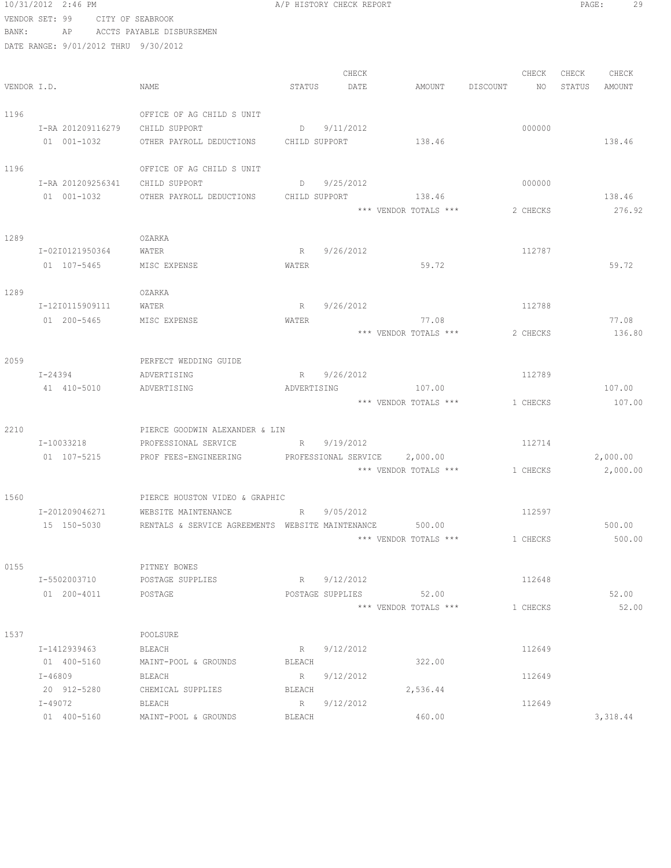|             | 10/31/2012 2:46 PM         |                                      |                                                  |                   | A/P HISTORY CHECK REPORT   |                       |          |          | PAGE:  | 29       |
|-------------|----------------------------|--------------------------------------|--------------------------------------------------|-------------------|----------------------------|-----------------------|----------|----------|--------|----------|
|             | VENDOR SET: 99             |                                      | CITY OF SEABROOK                                 |                   |                            |                       |          |          |        |          |
| BANK:       | AP                         |                                      | ACCTS PAYABLE DISBURSEMEN                        |                   |                            |                       |          |          |        |          |
|             |                            | DATE RANGE: 9/01/2012 THRU 9/30/2012 |                                                  |                   |                            |                       |          |          |        |          |
|             |                            |                                      |                                                  |                   |                            |                       |          |          |        |          |
|             |                            |                                      |                                                  |                   | CHECK                      |                       |          | CHECK    | CHECK  | CHECK    |
| VENDOR I.D. |                            |                                      | NAME                                             | STATUS            | DATE                       | AMOUNT                | DISCOUNT | NO       | STATUS | AMOUNT   |
|             |                            |                                      | OFFICE OF AG CHILD S UNIT                        |                   |                            |                       |          |          |        |          |
| 1196        |                            |                                      | CHILD SUPPORT                                    |                   |                            |                       |          |          |        |          |
|             | 01 001-1032                | I-RA 201209116279                    | OTHER PAYROLL DEDUCTIONS                         | $D \qquad \qquad$ | 9/11/2012<br>CHILD SUPPORT | 138.46                |          | 000000   |        | 138.46   |
|             |                            |                                      |                                                  |                   |                            |                       |          |          |        |          |
| 1196        |                            |                                      | OFFICE OF AG CHILD S UNIT                        |                   |                            |                       |          |          |        |          |
|             |                            | I-RA 201209256341                    | CHILD SUPPORT                                    | $D \qquad \qquad$ | 9/25/2012                  |                       |          | 000000   |        |          |
|             | 01 001-1032                |                                      | OTHER PAYROLL DEDUCTIONS                         |                   | CHILD SUPPORT              | 138.46                |          |          |        | 138.46   |
|             |                            |                                      |                                                  |                   |                            | *** VENDOR TOTALS *** |          | 2 CHECKS |        | 276.92   |
|             |                            |                                      |                                                  |                   |                            |                       |          |          |        |          |
| 1289        |                            |                                      | OZARKA                                           |                   |                            |                       |          |          |        |          |
|             |                            | I-02I0121950364                      | WATER                                            | $R_{\perp}$       | 9/26/2012                  |                       |          | 112787   |        |          |
|             | 01 107-5465                |                                      | MISC EXPENSE                                     | WATER             |                            | 59.72                 |          |          |        | 59.72    |
|             |                            |                                      |                                                  |                   |                            |                       |          |          |        |          |
| 1289        |                            | I-12I0115909111                      | OZARKA<br>WATER                                  | $R_{\perp}$       | 9/26/2012                  |                       |          | 112788   |        |          |
|             | 01 200-5465                |                                      | MISC EXPENSE                                     | WATER             |                            | 77.08                 |          |          |        | 77.08    |
|             |                            |                                      |                                                  |                   |                            | *** VENDOR TOTALS *** |          | 2 CHECKS |        | 136.80   |
|             |                            |                                      |                                                  |                   |                            |                       |          |          |        |          |
| 2059        |                            |                                      | PERFECT WEDDING GUIDE                            |                   |                            |                       |          |          |        |          |
|             | I-24394                    |                                      | ADVERTISING                                      | $R_{\perp}$       | 9/26/2012                  |                       |          | 112789   |        |          |
|             | 41 410-5010                |                                      | ADVERTISING                                      | ADVERTISING       |                            | 107.00                |          |          |        | 107.00   |
|             |                            |                                      |                                                  |                   |                            | *** VENDOR TOTALS *** |          | 1 CHECKS |        | 107.00   |
|             |                            |                                      |                                                  |                   |                            |                       |          |          |        |          |
| 2210        |                            |                                      | PIERCE GOODWIN ALEXANDER & LIN                   |                   |                            |                       |          |          |        |          |
|             | I-10033218                 |                                      | PROFESSIONAL SERVICE                             | R                 | 9/19/2012                  |                       |          | 112714   |        |          |
|             | 01 107-5215                |                                      | PROF FEES-ENGINEERING                            |                   | PROFESSIONAL SERVICE       | 2,000.00              |          |          |        | 2,000.00 |
|             |                            |                                      |                                                  |                   |                            | *** VENDOR TOTALS *** |          | 1 CHECKS |        | 2,000.00 |
| 1560        |                            |                                      | PIERCE HOUSTON VIDEO & GRAPHIC                   |                   |                            |                       |          |          |        |          |
|             | I-201209046271             |                                      | WEBSITE MAINTENANCE                              | $R \sim$          | 9/05/2012                  |                       |          | 112597   |        |          |
|             |                            | 15 150-5030                          | RENTALS & SERVICE AGREEMENTS WEBSITE MAINTENANCE |                   |                            | 500.00                |          |          |        | 500.00   |
|             |                            |                                      |                                                  |                   |                            | *** VENDOR TOTALS *** |          | 1 CHECKS |        | 500.00   |
|             |                            |                                      |                                                  |                   |                            |                       |          |          |        |          |
| 0155        |                            |                                      | PITNEY BOWES                                     |                   |                            |                       |          |          |        |          |
|             | I-5502003710               |                                      | POSTAGE SUPPLIES                                 |                   | R 9/12/2012                |                       |          | 112648   |        |          |
|             | 01 200-4011                |                                      | POSTAGE                                          |                   | POSTAGE SUPPLIES           | 52.00                 |          |          |        | 52.00    |
|             |                            |                                      |                                                  |                   |                            | *** VENDOR TOTALS *** |          | 1 CHECKS |        | 52.00    |
|             |                            |                                      |                                                  |                   |                            |                       |          |          |        |          |
| 1537        |                            |                                      | POOLSURE                                         |                   |                            |                       |          |          |        |          |
|             | I-1412939463               |                                      | BLEACH                                           |                   | R 9/12/2012                |                       |          | 112649   |        |          |
|             | 01 400-5160                |                                      | MAINT-POOL & GROUNDS                             | BLEACH            |                            | 322.00                |          |          |        |          |
|             | $I - 46809$<br>20 912-5280 |                                      | BLEACH<br>CHEMICAL SUPPLIES                      | BLEACH            | R 9/12/2012                | 2,536.44              |          | 112649   |        |          |
|             | I-49072                    |                                      | BLEACH                                           |                   | R 9/12/2012                |                       |          | 112649   |        |          |
|             | 01 400-5160                |                                      | MAINT-POOL & GROUNDS                             | BLEACH            |                            | 460.00                |          |          |        | 3,318.44 |
|             |                            |                                      |                                                  |                   |                            |                       |          |          |        |          |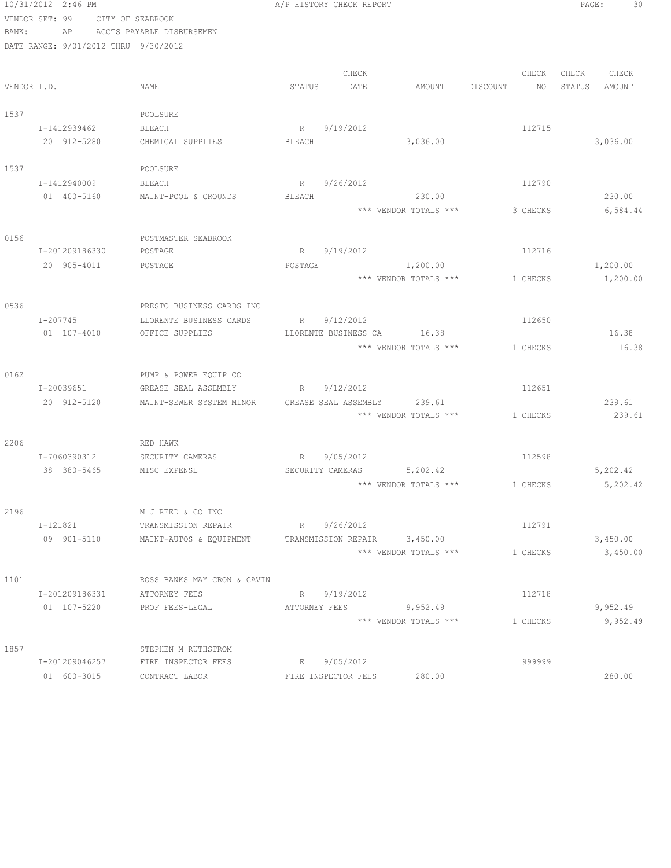|             | 10/31/2012 2:46 PM                   |                             |               | A/P HISTORY CHECK REPORT |                              |          |          |        | PAGE:<br>30 |
|-------------|--------------------------------------|-----------------------------|---------------|--------------------------|------------------------------|----------|----------|--------|-------------|
|             | VENDOR SET: 99                       | CITY OF SEABROOK            |               |                          |                              |          |          |        |             |
| BANK:       | AP                                   | ACCTS PAYABLE DISBURSEMEN   |               |                          |                              |          |          |        |             |
|             | DATE RANGE: 9/01/2012 THRU 9/30/2012 |                             |               |                          |                              |          |          |        |             |
|             |                                      |                             |               | CHECK                    |                              |          | CHECK    | CHECK  | CHECK       |
| VENDOR I.D. |                                      | NAME                        | STATUS        | DATE                     | AMOUNT                       | DISCOUNT | NO       | STATUS | AMOUNT      |
| 1537        |                                      | POOLSURE                    |               |                          |                              |          |          |        |             |
|             | I-1412939462                         | BLEACH                      | R             | 9/19/2012                |                              |          | 112715   |        |             |
|             | 20 912-5280                          | CHEMICAL SUPPLIES           | BLEACH        |                          | 3,036.00                     |          |          |        | 3,036.00    |
| 1537        |                                      | POOLSURE                    |               |                          |                              |          |          |        |             |
|             | I-1412940009                         | BLEACH                      |               | R 9/26/2012              |                              |          | 112790   |        |             |
|             | 01 400-5160                          | MAINT-POOL & GROUNDS        | BLEACH        |                          | 230.00                       |          |          |        | 230.00      |
|             |                                      |                             |               |                          | *** VENDOR TOTALS ***        |          | 3 CHECKS |        | 6,584.44    |
| 0156        |                                      | POSTMASTER SEABROOK         |               |                          |                              |          |          |        |             |
|             | I-201209186330                       | POSTAGE                     |               | R 9/19/2012              |                              |          | 112716   |        |             |
|             | 20 905-4011                          | POSTAGE                     | POSTAGE       |                          | 1,200.00                     |          |          |        | 1,200.00    |
|             |                                      |                             |               |                          | *** VENDOR TOTALS ***        |          | 1 CHECKS |        | 1,200.00    |
| 0536        |                                      | PRESTO BUSINESS CARDS INC   |               |                          |                              |          |          |        |             |
|             | I-207745                             | LLORENTE BUSINESS CARDS     |               | R 9/12/2012              |                              |          | 112650   |        |             |
|             | $01 107 - 4010$                      | OFFICE SUPPLIES             |               |                          | LLORENTE BUSINESS CA 16.38   |          |          |        | 16.38       |
|             |                                      |                             |               |                          | *** VENDOR TOTALS ***        |          | 1 CHECKS |        | 16.38       |
| 0162        |                                      | PUMP & POWER EQUIP CO       |               |                          |                              |          |          |        |             |
|             | I-20039651                           | GREASE SEAL ASSEMBLY        |               | R 9/12/2012              |                              |          | 112651   |        |             |
|             | 20 912-5120                          | MAINT-SEWER SYSTEM MINOR    |               | GREASE SEAL ASSEMBLY     | 239.61                       |          |          |        | 239.61      |
|             |                                      |                             |               |                          | *** VENDOR TOTALS ***        |          | 1 CHECKS |        | 239.61      |
| 2206        |                                      | RED HAWK                    |               |                          |                              |          |          |        |             |
|             | I-7060390312                         | SECURITY CAMERAS            | R             | 9/05/2012                |                              |          | 112598   |        |             |
|             | 38 380-5465                          | MISC EXPENSE                |               |                          | SECURITY CAMERAS 5,202.42    |          |          |        | 5,202.42    |
|             |                                      |                             |               |                          | *** VENDOR TOTALS ***        | 1 CHECKS |          |        | 5,202.42    |
| 2196        |                                      | M J REED & CO INC           |               |                          |                              |          |          |        |             |
|             | I-121821                             | TRANSMISSION REPAIR         |               | R 9/26/2012              |                              |          | 112791   |        |             |
|             | 09 901-5110                          | MAINT-AUTOS & EOUIPMENT     |               |                          | TRANSMISSION REPAIR 3,450.00 |          |          |        | 3,450.00    |
|             |                                      |                             |               |                          | *** VENDOR TOTALS ***        |          | 1 CHECKS |        | 3,450.00    |
| 1101        |                                      | ROSS BANKS MAY CRON & CAVIN |               |                          |                              |          |          |        |             |
|             | I-201209186331                       | ATTORNEY FEES               |               | R 9/19/2012              |                              |          | 112718   |        |             |
|             | 01 107-5220                          | PROF FEES-LEGAL             | ATTORNEY FEES |                          | 9,952.49                     |          |          |        | 9,952.49    |
|             |                                      |                             |               |                          | *** VENDOR TOTALS ***        |          | 1 CHECKS |        | 9,952.49    |
| 1857        |                                      | STEPHEN M RUTHSTROM         |               |                          |                              |          |          |        |             |
|             | I-201209046257                       | FIRE INSPECTOR FEES         |               | E 9/05/2012              |                              |          | 999999   |        |             |
|             | 01 600-3015                          | CONTRACT LABOR              |               | FIRE INSPECTOR FEES      | 280.00                       |          |          |        | 280.00      |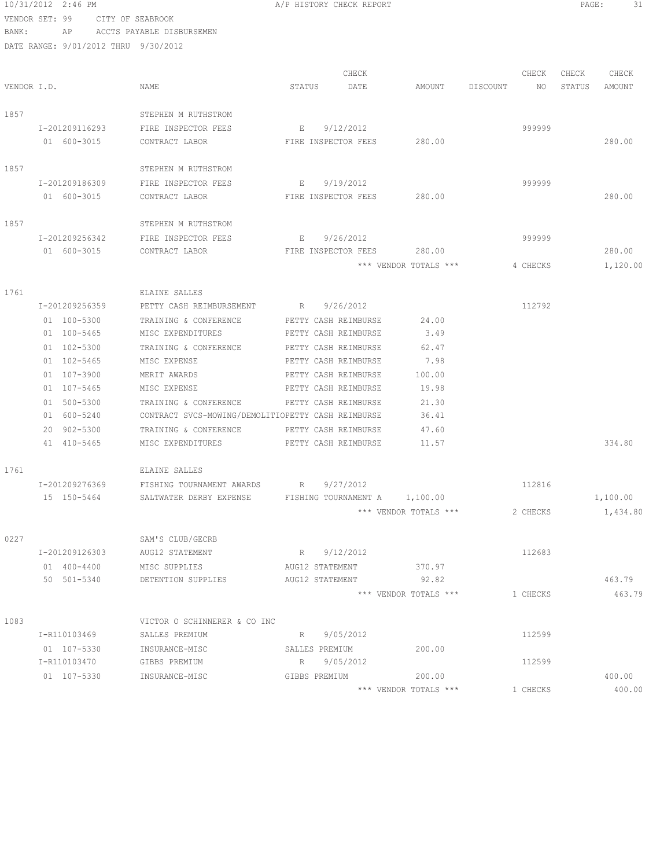10/31/2012 2:46 PM A/P HISTORY CHECK REPORT PAGE: 31 VENDOR SET: 99 CITY OF SEABROOK BANK: AP ACCTS PAYABLE DISBURSEMEN DATE RANGE: 9/01/2012 THRU 9/30/2012 CHECK CHECK CHECK CHECK CHECK VENDOR I.D. STATUS DATE STATUS DATE AMOUNT DISCOUNT NO STATUS AMOUNT 1857 STEPHEN M RIITHSTROM I-201209116293 FIRE INSPECTOR FEES E 9/12/2012 999999 01 600-3015 CONTRACT LABOR FIRE INSPECTOR FEES 280.00 280.00 1857 STEPHEN M RUTHSTROM I-201209186309 FIRE INSPECTOR FEES E 9/19/2012 999999 01 600-3015 CONTRACT LABOR FIRE INSPECTOR FEES 280.00 280.00 1857 STEPHEN M RUTHSTROM I-201209256342 FIRE INSPECTOR FEES E 9/26/2012 999999 01 600-3015 CONTRACT LABOR FIRE INSPECTOR FEES 280.00 280.00 \*\*\* VENDOR TOTALS \*\*\* 4 CHECKS 1,120.00 1761 ELAINE SALLES I-201209256359 PETTY CASH REIMBURSEMENT R 9/26/2012 112792 01 100-5300 TRAINING & CONFERENCE PETTY CASH REIMBURSE 24.00 01 100-5465 MISC EXPENDITURES PETTY CASH REIMBURSE 3.49 01 102-5300 TRAINING & CONFERENCE PETTY CASH REIMBURSE 62.47<br>01 102-5465 MISC EXPENSE PETTY CASH REIMBURSE 7.98 01 102-5465 MISC EXPENSE PETTY CASH REIMBURSE 7.98 01 107-3900 MERIT AWARDS PETTY CASH REIMBURSE 100.00<br>01 107-5465 MISC EXPENSE PETTY CASH REIMBURSE 19.98 MISC EXPENSE PETTY CASH REIMBURSE 19.98 01 500-5300 TRAINING & CONFERENCE PETTY CASH REIMBURSE 21.30 01 600-5240 CONTRACT SVCS-MOWING/DEMOLITIOPETTY CASH REIMBURSE 36.41<br>20 902-5300 TRAINING & CONFERENCE PETTY CASH REIMBURSE 47.60 TRAINING & CONFERENCE PETTY CASH REIMBURSE 47.60 41 410-5465 MISC EXPENDITURES PETTY CASH REIMBURSE 11.57 1761 ELAINE SALLES I-201209276369 FISHING TOURNAMENT AWARDS R 9/27/2012 112816 15 150-5464 SALTWATER DERBY EXPENSE FISHING TOURNAMENT A 1,100.00 1,100.00 \*\*\* VENDOR TOTALS \*\*\* 2 CHECKS 1,434.80 0227 SAM'S CLUB/GECRB I-201209126303 AUG12 STATEMENT R 9/12/2012 112683 01 400-4400 MISC SUPPLIES AUG12 STATEMENT 370.97<br>50 501-5340 DETENTION SUPPLIES AUG12 STATEMENT 92.82 50 501-5340 DETENTION SUPPLIES AUG12 STATEMENT 92.82 463.79 \*\*\* VENDOR TOTALS \*\*\* 1 CHECKS 463.79 1083 VICTOR O SCHINNERER & CO INC I-R110103469 SALLES PREMIUM R 9/05/2012 112599

01 107-5330 INSURANCE-MISC SALLES PREMIUM 200.00

I-R110103470 GIBBS PREMIUM R 9/05/2012<br>
01 107-5330 INSURANCE-MISC GIBBS PREMIUM 200.00

01 107-5330 INSURANCE-MISC GIBBS PREMIUM 200.00 400.00

\*\*\* VENDOR TOTALS \*\*\* 1 CHECKS 400.00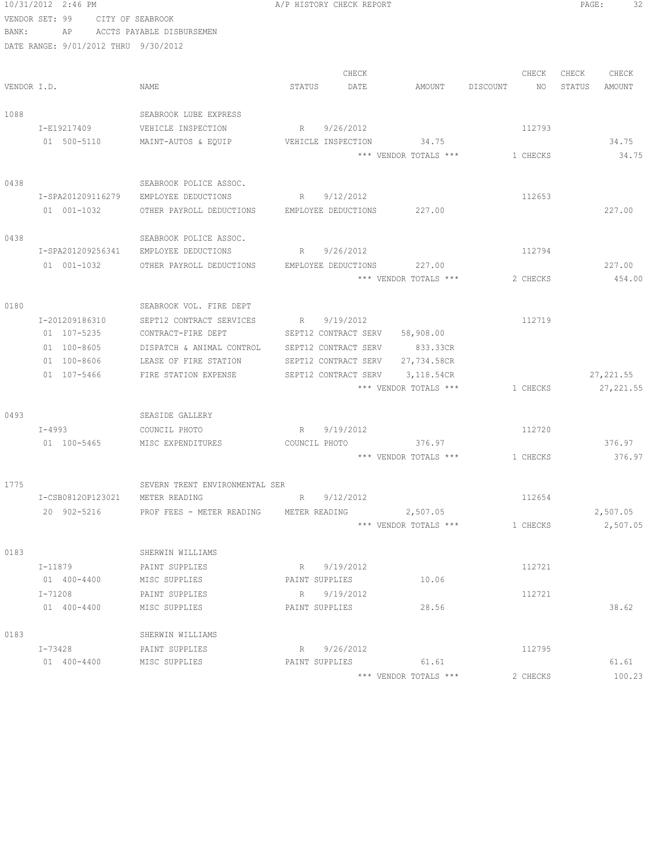|             | 10/31/2012 2:46 PM                   |                                                     | A/P HISTORY CHECK REPORT |                       |                                | PAGE:<br>32      |
|-------------|--------------------------------------|-----------------------------------------------------|--------------------------|-----------------------|--------------------------------|------------------|
|             | VENDOR SET: 99 CITY OF SEABROOK      |                                                     |                          |                       |                                |                  |
| BANK:       | AP                                   | ACCTS PAYABLE DISBURSEMEN                           |                          |                       |                                |                  |
|             | DATE RANGE: 9/01/2012 THRU 9/30/2012 |                                                     |                          |                       |                                |                  |
|             |                                      |                                                     |                          |                       |                                |                  |
|             |                                      |                                                     | CHECK                    |                       | CHECK                          | CHECK<br>CHECK   |
| VENDOR I.D. |                                      | NAME                                                | STATUS<br>DATE           | AMOUNT                | DISCOUNT<br>NO                 | STATUS<br>AMOUNT |
|             |                                      |                                                     |                          |                       |                                |                  |
| 1088        |                                      | SEABROOK LUBE EXPRESS                               |                          |                       |                                |                  |
|             | I-E19217409                          | VEHICLE INSPECTION                                  | 9/26/2012<br>$R \sim$    |                       | 112793                         |                  |
|             | 01 500-5110                          | MAINT-AUTOS & EQUIP                                 | VEHICLE INSPECTION       | 34.75                 |                                | 34.75            |
|             |                                      |                                                     |                          | *** VENDOR TOTALS *** | 1 CHECKS                       | 34.75            |
|             |                                      |                                                     |                          |                       |                                |                  |
| 0438        |                                      | SEABROOK POLICE ASSOC.                              |                          |                       |                                |                  |
|             | I-SPA201209116279                    | EMPLOYEE DEDUCTIONS                                 | R 9/12/2012              |                       | 112653                         |                  |
|             | 01 001-1032                          | OTHER PAYROLL DEDUCTIONS EMPLOYEE DEDUCTIONS 227.00 |                          |                       |                                | 227.00           |
|             |                                      |                                                     |                          |                       |                                |                  |
| 0438        |                                      | SEABROOK POLICE ASSOC.                              |                          |                       |                                |                  |
|             | I-SPA201209256341                    | EMPLOYEE DEDUCTIONS                                 | R 9/26/2012              |                       | 112794                         |                  |
|             | 01 001-1032                          | OTHER PAYROLL DEDUCTIONS                            | EMPLOYEE DEDUCTIONS      | 227.00                |                                | 227.00           |
|             |                                      |                                                     |                          | *** VENDOR TOTALS *** | 2 CHECKS                       | 454.00           |
| 0180        |                                      | SEABROOK VOL. FIRE DEPT                             |                          |                       |                                |                  |
|             | I-201209186310                       | SEPT12 CONTRACT SERVICES                            | R<br>9/19/2012           |                       | 112719                         |                  |
|             | 01 107-5235                          | CONTRACT-FIRE DEPT                                  | SEPT12 CONTRACT SERV     | 58,908.00             |                                |                  |
|             | 01 100-8605                          | DISPATCH & ANIMAL CONTROL                           | SEPT12 CONTRACT SERV     | 833.33CR              |                                |                  |
|             | 01 100-8606                          | LEASE OF FIRE STATION                               | SEPT12 CONTRACT SERV     | 27,734.58CR           |                                |                  |
|             | 01 107-5466                          | FIRE STATION EXPENSE                                | SEPT12 CONTRACT SERV     | 3,118.54CR            |                                | 27, 221.55       |
|             |                                      |                                                     |                          | *** VENDOR TOTALS *** | 1 CHECKS                       | 27, 221.55       |
|             |                                      |                                                     |                          |                       |                                |                  |
| 0493        |                                      | SEASIDE GALLERY                                     |                          |                       |                                |                  |
|             | I-4993                               | COUNCIL PHOTO                                       | 9/19/2012<br>R           |                       | 112720                         |                  |
|             | 01 100-5465                          | MISC EXPENDITURES                                   | COUNCIL PHOTO            | 376.97                |                                | 376.97           |
|             |                                      |                                                     |                          |                       | *** VENDOR TOTALS *** 1 CHECKS | 376.97           |
|             |                                      |                                                     |                          |                       |                                |                  |
| 1775        |                                      | SEVERN TRENT ENVIRONMENTAL SER                      |                          |                       |                                |                  |
|             | I-CSB0812OP123021                    | METER READING                                       | 9/12/2012<br>R           |                       | 112654                         |                  |
|             | 20 902-5216                          | PROF FEES - METER READING                           | METER READING            | 2,507.05              |                                | 2,507.05         |
|             |                                      |                                                     |                          | *** VENDOR TOTALS *** | 1 CHECKS                       | 2,507.05         |
|             |                                      |                                                     |                          |                       |                                |                  |
| 0183        |                                      | SHERWIN WILLIAMS                                    |                          |                       |                                |                  |
|             | I-11879                              | PAINT SUPPLIES                                      | R 9/19/2012              |                       | 112721                         |                  |
|             | 01 400-4400                          | MISC SUPPLIES                                       | PAINT SUPPLIES           | 10.06                 |                                |                  |
|             | $I - 71208$                          | PAINT SUPPLIES                                      | R 9/19/2012              |                       | 112721                         |                  |
|             | $01 400 - 4400$                      | MISC SUPPLIES                                       | PAINT SUPPLIES           | 28.56                 |                                | 38.62            |
|             |                                      |                                                     |                          |                       |                                |                  |
| 0183        |                                      | SHERWIN WILLIAMS                                    |                          |                       |                                |                  |
|             | I-73428                              | PAINT SUPPLIES                                      | R 9/26/2012              |                       | 112795                         |                  |
|             | 01 400-4400                          | MISC SUPPLIES                                       | PAINT SUPPLIES           | 61.61                 |                                | 61.61            |
|             |                                      |                                                     |                          | *** VENDOR TOTALS *** | 2 CHECKS                       | 100.23           |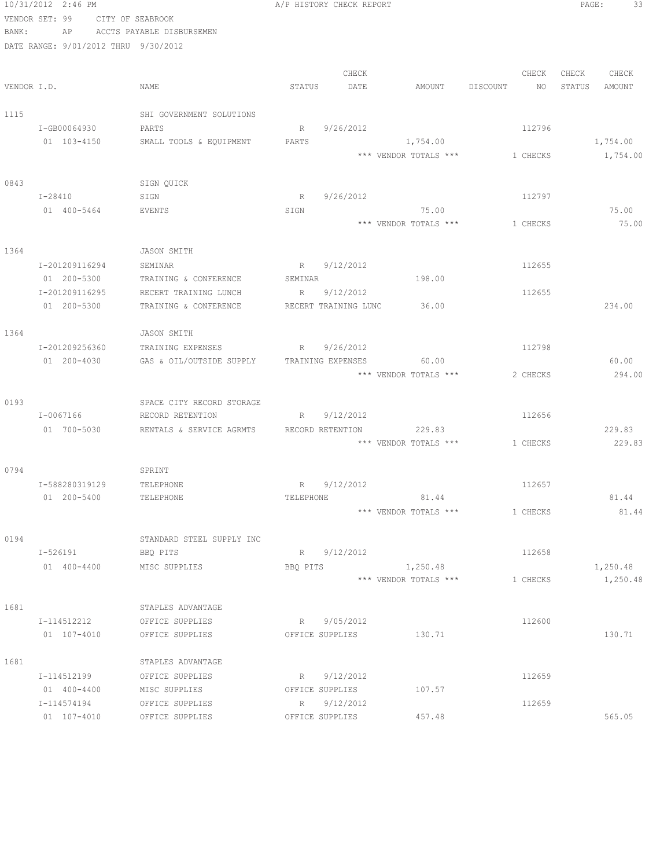|             | 10/31/2012 2:46 PM                   |                                            |           | A/P HISTORY CHECK REPORT |                       |                                | PAGE:<br>33      |
|-------------|--------------------------------------|--------------------------------------------|-----------|--------------------------|-----------------------|--------------------------------|------------------|
|             | VENDOR SET: 99<br>CITY OF SEABROOK   |                                            |           |                          |                       |                                |                  |
| BANK:       | AP                                   | ACCTS PAYABLE DISBURSEMEN                  |           |                          |                       |                                |                  |
|             | DATE RANGE: 9/01/2012 THRU 9/30/2012 |                                            |           |                          |                       |                                |                  |
|             |                                      |                                            |           | CHECK                    |                       | CHECK                          | CHECK<br>CHECK   |
| VENDOR I.D. |                                      | NAME                                       | STATUS    | DATE                     | AMOUNT                | DISCOUNT<br>NO                 | STATUS<br>AMOUNT |
|             |                                      |                                            |           |                          |                       |                                |                  |
| 1115        |                                      | SHI GOVERNMENT SOLUTIONS                   |           |                          |                       |                                |                  |
|             | I-GB00064930                         | PARTS                                      | $R \sim$  | 9/26/2012                |                       | 112796                         |                  |
|             | 01 103-4150                          | SMALL TOOLS & EQUIPMENT                    | PARTS     |                          | 1,754.00              |                                | 1,754.00         |
|             |                                      |                                            |           |                          |                       | *** VENDOR TOTALS *** 1 CHECKS | 1,754.00         |
| 0843        |                                      | SIGN QUICK                                 |           |                          |                       |                                |                  |
|             | $I - 28410$                          | SIGN                                       | R         | 9/26/2012                |                       | 112797                         |                  |
|             | 01 400-5464                          | EVENTS                                     | SIGN      |                          | 75.00                 |                                | 75.00            |
|             |                                      |                                            |           |                          | *** VENDOR TOTALS *** | 1 CHECKS                       | 75.00            |
|             |                                      |                                            |           |                          |                       |                                |                  |
| 1364        |                                      | <b>JASON SMITH</b>                         |           |                          |                       |                                |                  |
|             | I-201209116294                       | SEMINAR                                    |           | R 9/12/2012              |                       | 112655                         |                  |
|             | 01 200-5300                          | TRAINING & CONFERENCE                      | SEMINAR   |                          | 198.00                |                                |                  |
|             | I-201209116295                       | RECERT TRAINING LUNCH                      |           | R 9/12/2012              |                       | 112655                         |                  |
|             | 01 200-5300                          | TRAINING & CONFERENCE                      |           | RECERT TRAINING LUNC     | 36.00                 |                                | 234.00           |
| 1364        |                                      | JASON SMITH                                |           |                          |                       |                                |                  |
|             | I-201209256360                       | TRAINING EXPENSES                          |           | R 9/26/2012              |                       | 112798                         |                  |
|             | 01 200-4030                          | GAS & OIL/OUTSIDE SUPPLY TRAINING EXPENSES |           |                          | 60.00                 |                                | 60.00            |
|             |                                      |                                            |           |                          | *** VENDOR TOTALS *** | 2 CHECKS                       | 294.00           |
|             |                                      |                                            |           |                          |                       |                                |                  |
| 0193        |                                      | SPACE CITY RECORD STORAGE                  |           |                          |                       |                                |                  |
|             | I-0067166                            | RECORD RETENTION                           |           | R 9/12/2012              |                       | 112656                         |                  |
|             | 01 700-5030                          | RENTALS & SERVICE AGRMTS RECORD RETENTION  |           |                          | 229.83                |                                | 229.83           |
|             |                                      |                                            |           |                          | *** VENDOR TOTALS *** | 1 CHECKS                       | 229.83           |
| 0794        |                                      | SPRINT                                     |           |                          |                       |                                |                  |
|             | I-588280319129                       | TELEPHONE                                  |           | R 9/12/2012              |                       | 112657                         |                  |
|             | 01 200-5400                          | TELEPHONE                                  | TELEPHONE |                          | 81.44                 |                                | 81.44            |
|             |                                      |                                            |           |                          | *** VENDOR TOTALS *** | 1 CHECKS                       | 81.44            |
| 0194        |                                      | STANDARD STEEL SUPPLY INC                  |           |                          |                       |                                |                  |
|             | I-526191                             | BBQ PITS                                   |           | R 9/12/2012              |                       | 112658                         |                  |
|             | 01 400-4400                          | MISC SUPPLIES                              | BBO PITS  |                          | 1,250.48              |                                | 1,250.48         |
|             |                                      |                                            |           |                          | *** VENDOR TOTALS *** | 1 CHECKS                       | 1,250.48         |
|             |                                      |                                            |           |                          |                       |                                |                  |
| 1681        | I-114512212                          | STAPLES ADVANTAGE<br>OFFICE SUPPLIES       |           | R 9/05/2012              |                       | 112600                         |                  |
|             | 01 107-4010                          | OFFICE SUPPLIES                            |           | OFFICE SUPPLIES          | 130.71                |                                | 130.71           |
|             |                                      |                                            |           |                          |                       |                                |                  |
| 1681        |                                      | STAPLES ADVANTAGE                          |           |                          |                       |                                |                  |
|             | I-114512199                          | OFFICE SUPPLIES                            |           | R 9/12/2012              |                       | 112659                         |                  |
|             | 01 400-4400                          | MISC SUPPLIES                              |           | OFFICE SUPPLIES          | 107.57                |                                |                  |
|             | I-114574194                          | OFFICE SUPPLIES                            |           | R 9/12/2012              |                       | 112659                         |                  |
|             | 01 107-4010                          | OFFICE SUPPLIES                            |           | OFFICE SUPPLIES          | 457.48                |                                | 565.05           |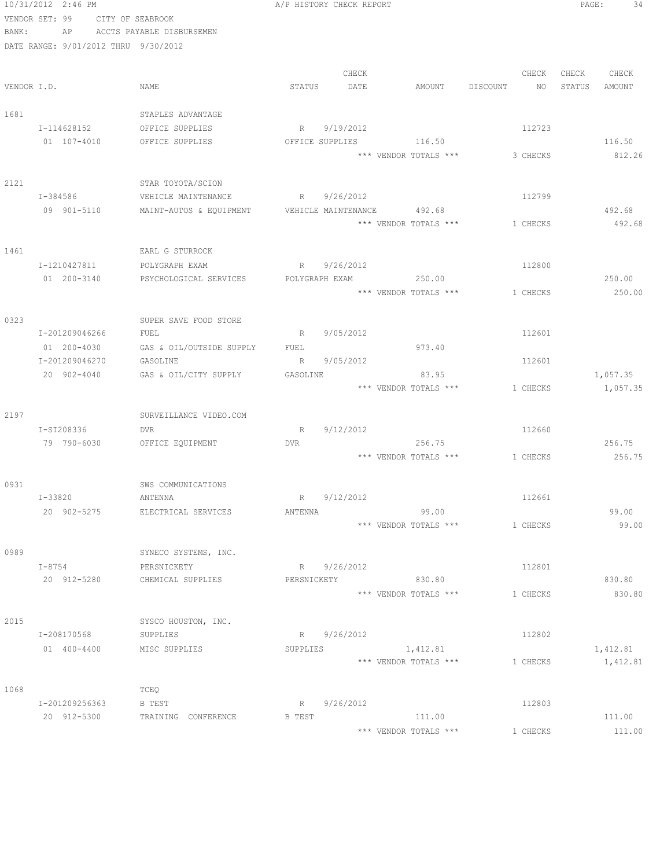|       | 10/31/2012 2:46 PM                   |                                      | A/P HISTORY CHECK REPORT | PAGE:<br>34 |                                |             |                      |
|-------|--------------------------------------|--------------------------------------|--------------------------|-------------|--------------------------------|-------------|----------------------|
|       | VENDOR SET: 99                       | CITY OF SEABROOK                     |                          |             |                                |             |                      |
| BANK: |                                      | AP ACCTS PAYABLE DISBURSEMEN         |                          |             |                                |             |                      |
|       | DATE RANGE: 9/01/2012 THRU 9/30/2012 |                                      |                          |             |                                |             |                      |
|       |                                      |                                      |                          |             |                                |             |                      |
|       |                                      |                                      |                          | CHECK       |                                | CHECK       | CHECK<br>CHECK       |
|       | VENDOR I.D.                          | NAME                                 | STATUS                   | DATE        | AMOUNT                         | DISCOUNT NO | STATUS<br>AMOUNT     |
|       |                                      |                                      |                          |             |                                |             |                      |
| 1681  |                                      | STAPLES ADVANTAGE                    |                          |             |                                |             |                      |
|       | I-114628152                          | OFFICE SUPPLIES                      | R 9/19/2012              |             |                                | 112723      |                      |
|       | 01 107-4010                          | OFFICE SUPPLIES                      |                          |             | OFFICE SUPPLIES 116.50         |             | 116.50               |
|       |                                      |                                      |                          |             | *** VENDOR TOTALS ***          | 3 CHECKS    | 812.26               |
|       |                                      |                                      |                          |             |                                |             |                      |
| 2121  |                                      | STAR TOYOTA/SCION                    |                          |             |                                |             |                      |
|       | I-384586                             | VEHICLE MAINTENANCE                  | R 9/26/2012              |             |                                | 112799      |                      |
|       | 09 901-5110                          | MAINT-AUTOS & EQUIPMENT              |                          |             | VEHICLE MAINTENANCE 492.68     |             | 492.68               |
|       |                                      |                                      |                          |             | *** VENDOR TOTALS ***          | 1 CHECKS    | 492.68               |
|       |                                      |                                      |                          |             |                                |             |                      |
| 1461  |                                      | EARL G STURROCK                      |                          |             |                                |             |                      |
|       | I-1210427811                         | POLYGRAPH EXAM                       | R 9/26/2012              |             |                                | 112800      |                      |
|       | 01 200-3140                          | PSYCHOLOGICAL SERVICES               |                          |             | POLYGRAPH EXAM 250.00          |             | 250.00               |
|       |                                      |                                      |                          |             | *** VENDOR TOTALS ***          | 1 CHECKS    | 250.00               |
|       |                                      |                                      |                          |             |                                |             |                      |
| 0323  |                                      | SUPER SAVE FOOD STORE                |                          |             |                                |             |                      |
|       | I-201209046266                       | FUEL                                 | R 9/05/2012              |             |                                | 112601      |                      |
|       | 01 200-4030<br>I-201209046270        | GAS & OIL/OUTSIDE SUPPLY<br>GASOLINE | FUEL<br>R 9/05/2012      |             | 973.40                         | 112601      |                      |
|       | 20 902-4040                          |                                      |                          |             | 83.95                          |             |                      |
|       |                                      | GAS & OIL/CITY SUPPLY                | GASOLINE                 |             | *** VENDOR TOTALS ***          | 1 CHECKS    | 1,057.35<br>1,057.35 |
|       |                                      |                                      |                          |             |                                |             |                      |
| 2197  |                                      | SURVEILLANCE VIDEO.COM               |                          |             |                                |             |                      |
|       | I-SI208336                           | DVR                                  | R                        | 9/12/2012   |                                | 112660      |                      |
|       | 79 790-6030                          | OFFICE EQUIPMENT                     | <b>DVR</b>               |             | 256.75                         |             | 256.75               |
|       |                                      |                                      |                          |             | *** VENDOR TOTALS *** 1 CHECKS |             | 256.75               |
|       |                                      |                                      |                          |             |                                |             |                      |
| 0931  |                                      | SWS COMMUNICATIONS                   |                          |             |                                |             |                      |
|       | I-33820                              | ANTENNA                              | R 9/12/2012              |             |                                | 112661      |                      |
|       | 20 902-5275                          | ELECTRICAL SERVICES                  | ANTENNA                  |             | 99.00                          |             | 99.00                |
|       |                                      |                                      |                          |             | *** VENDOR TOTALS ***          | 1 CHECKS    | 99.00                |
|       |                                      |                                      |                          |             |                                |             |                      |
| 0989  |                                      | SYNECO SYSTEMS, INC.                 |                          |             |                                |             |                      |
|       | $I - 8754$                           | PERSNICKETY                          | R 9/26/2012              |             |                                | 112801      |                      |
|       | 20 912-5280                          | CHEMICAL SUPPLIES                    | PERSNICKETY              |             | 830.80                         |             | 830.80               |
|       |                                      |                                      |                          |             | *** VENDOR TOTALS ***          | 1 CHECKS    | 830.80               |
|       |                                      |                                      |                          |             |                                |             |                      |
| 2015  |                                      | SYSCO HOUSTON, INC.                  |                          |             |                                |             |                      |
|       | I-208170568                          | SUPPLIES                             | R 9/26/2012              |             |                                | 112802      |                      |
|       | 01 400-4400                          | MISC SUPPLIES                        | SUPPLIES                 |             | 1,412.81                       |             | 1,412.81             |
|       |                                      |                                      |                          |             | *** VENDOR TOTALS ***          | 1 CHECKS    | 1,412.81             |
|       |                                      |                                      |                          |             |                                |             |                      |
| 1068  |                                      | TCEQ                                 |                          |             |                                |             |                      |
|       | I-201209256363                       | B TEST                               | R 9/26/2012              |             |                                | 112803      |                      |
|       | 20 912-5300                          | TRAINING CONFERENCE                  | B TEST                   |             | 111.00                         |             | 111.00               |
|       |                                      |                                      |                          |             | *** VENDOR TOTALS ***          | 1 CHECKS    | 111.00               |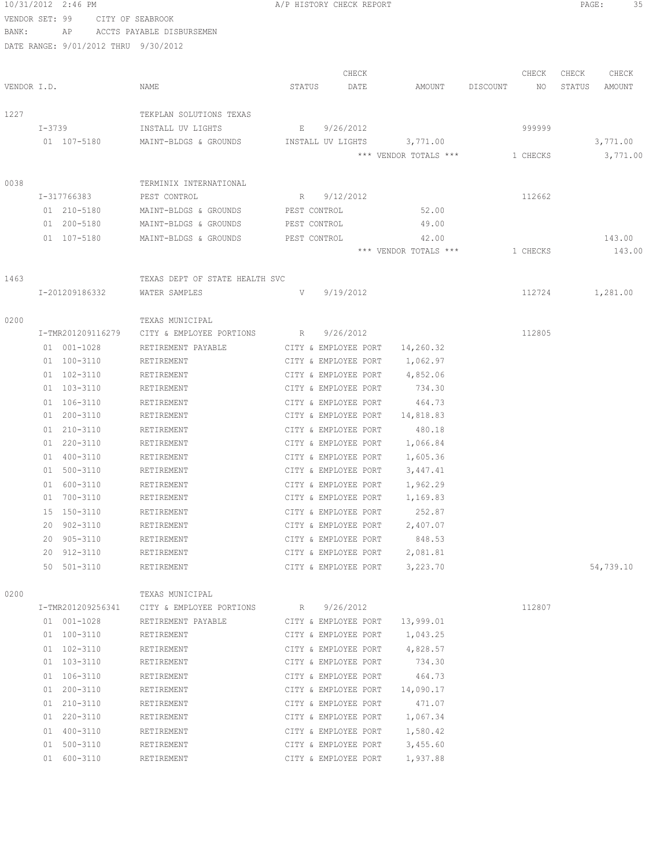|                |        | 10/31/2012 2:46 PM                   |                                | A/P HISTORY CHECK REPORT                     |               |                                |          |             | PAGE:           | 35               |  |
|----------------|--------|--------------------------------------|--------------------------------|----------------------------------------------|---------------|--------------------------------|----------|-------------|-----------------|------------------|--|
| VENDOR SET: 99 |        |                                      | CITY OF SEABROOK               |                                              |               |                                |          |             |                 |                  |  |
| BANK:          |        | AP                                   | ACCTS PAYABLE DISBURSEMEN      |                                              |               |                                |          |             |                 |                  |  |
|                |        | DATE RANGE: 9/01/2012 THRU 9/30/2012 |                                |                                              |               |                                |          |             |                 |                  |  |
|                |        |                                      |                                |                                              |               |                                |          |             |                 |                  |  |
| VENDOR I.D.    |        |                                      | NAME                           | STATUS                                       | CHECK<br>DATE | AMOUNT                         | DISCOUNT | CHECK<br>NO | CHECK<br>STATUS | CHECK<br>AMOUNT  |  |
|                |        |                                      |                                |                                              |               |                                |          |             |                 |                  |  |
| 1227           |        |                                      | TEKPLAN SOLUTIONS TEXAS        |                                              |               |                                |          |             |                 |                  |  |
|                | I-3739 |                                      | INSTALL UV LIGHTS              | E                                            | 9/26/2012     |                                |          | 999999      |                 |                  |  |
|                |        | 01 107-5180                          | MAINT-BLDGS & GROUNDS          | INSTALL UV LIGHTS                            |               | 3,771.00                       |          |             |                 | 3,771.00         |  |
|                |        |                                      |                                |                                              |               | *** VENDOR TOTALS ***          |          | 1 CHECKS    |                 | 3,771.00         |  |
|                |        |                                      |                                |                                              |               |                                |          |             |                 |                  |  |
| 0038           |        |                                      | TERMINIX INTERNATIONAL         |                                              |               |                                |          |             |                 |                  |  |
|                |        | I-317766383                          | PEST CONTROL                   | R                                            | 9/12/2012     |                                |          | 112662      |                 |                  |  |
|                |        | 01 210-5180                          | MAINT-BLDGS & GROUNDS          | PEST CONTROL                                 |               | 52.00                          |          |             |                 |                  |  |
|                |        | 01 200-5180                          | MAINT-BLDGS & GROUNDS          | PEST CONTROL                                 |               | 49.00                          |          |             |                 |                  |  |
|                |        | 01 107-5180                          | MAINT-BLDGS & GROUNDS          | PEST CONTROL                                 |               | 42.00<br>*** VENDOR TOTALS *** |          | 1 CHECKS    |                 | 143.00<br>143.00 |  |
|                |        |                                      |                                |                                              |               |                                |          |             |                 |                  |  |
| 1463           |        |                                      | TEXAS DEPT OF STATE HEALTH SVC |                                              |               |                                |          |             |                 |                  |  |
|                |        | I-201209186332                       | WATER SAMPLES                  | V                                            | 9/19/2012     |                                |          | 112724      |                 | 1,281.00         |  |
|                |        |                                      |                                |                                              |               |                                |          |             |                 |                  |  |
| 0200           |        |                                      | TEXAS MUNICIPAL                |                                              |               |                                |          |             |                 |                  |  |
|                |        | I-TMR201209116279                    | CITY & EMPLOYEE PORTIONS       | R                                            | 9/26/2012     |                                |          | 112805      |                 |                  |  |
|                |        | 01 001-1028                          | RETIREMENT PAYABLE             | CITY & EMPLOYEE PORT                         |               | 14,260.32                      |          |             |                 |                  |  |
|                |        | 01 100-3110                          | RETIREMENT                     | CITY & EMPLOYEE PORT                         |               | 1,062.97                       |          |             |                 |                  |  |
|                |        | 01 102-3110                          | RETIREMENT                     | CITY & EMPLOYEE PORT                         |               | 4,852.06                       |          |             |                 |                  |  |
|                |        | 01 103-3110                          | RETIREMENT                     | CITY & EMPLOYEE PORT                         |               | 734.30                         |          |             |                 |                  |  |
|                |        | 01 106-3110                          | RETIREMENT                     | CITY & EMPLOYEE PORT                         |               | 464.73                         |          |             |                 |                  |  |
|                |        | 01 200-3110                          | RETIREMENT                     | CITY & EMPLOYEE PORT                         |               | 14,818.83                      |          |             |                 |                  |  |
|                |        | 01 210-3110                          | RETIREMENT                     | CITY & EMPLOYEE PORT                         |               | 480.18                         |          |             |                 |                  |  |
|                |        | 01 220-3110                          | RETIREMENT                     | CITY & EMPLOYEE PORT                         |               | 1,066.84                       |          |             |                 |                  |  |
|                |        | 01 400-3110<br>01 500-3110           | RETIREMENT<br>RETIREMENT       | CITY & EMPLOYEE PORT<br>CITY & EMPLOYEE PORT |               | 1,605.36                       |          |             |                 |                  |  |
|                |        | 01 600-3110                          | RETIREMENT                     | CITY & EMPLOYEE PORT                         |               | 3,447.41<br>1,962.29           |          |             |                 |                  |  |
|                | 01     | 700-3110                             | RETIREMENT                     | CITY & EMPLOYEE PORT                         |               | 1,169.83                       |          |             |                 |                  |  |
|                |        | 15 150-3110                          | RETIREMENT                     | CITY & EMPLOYEE PORT                         |               | 252.87                         |          |             |                 |                  |  |
|                | 20     | 902-3110                             | RETIREMENT                     | CITY & EMPLOYEE PORT                         |               | 2,407.07                       |          |             |                 |                  |  |
|                | 20     | $905 - 3110$                         | RETIREMENT                     | CITY & EMPLOYEE PORT                         |               | 848.53                         |          |             |                 |                  |  |
|                | 20     | 912-3110                             | RETIREMENT                     | CITY & EMPLOYEE PORT                         |               | 2,081.81                       |          |             |                 |                  |  |
|                |        | 50 501-3110                          | RETIREMENT                     | CITY & EMPLOYEE PORT                         |               | 3,223.70                       |          |             |                 | 54,739.10        |  |
|                |        |                                      |                                |                                              |               |                                |          |             |                 |                  |  |
| 0200           |        |                                      | TEXAS MUNICIPAL                |                                              |               |                                |          |             |                 |                  |  |
|                |        | I-TMR201209256341                    | CITY & EMPLOYEE PORTIONS       | $R_{\rm max}$                                | 9/26/2012     |                                |          | 112807      |                 |                  |  |
|                |        | 01 001-1028<br>01 100-3110           | RETIREMENT PAYABLE             | CITY & EMPLOYEE PORT                         |               | 13,999.01                      |          |             |                 |                  |  |
|                |        |                                      | RETIREMENT                     | CITY & EMPLOYEE PORT                         |               | 1,043.25                       |          |             |                 |                  |  |
|                |        | 01 102-3110<br>01 103-3110           | RETIREMENT<br>RETIREMENT       | CITY & EMPLOYEE PORT<br>CITY & EMPLOYEE PORT |               | 4,828.57<br>734.30             |          |             |                 |                  |  |
|                |        | 01 106-3110                          | RETIREMENT                     | CITY & EMPLOYEE PORT                         |               | 464.73                         |          |             |                 |                  |  |
|                |        | 01 200-3110                          | RETIREMENT                     | CITY & EMPLOYEE PORT                         |               | 14,090.17                      |          |             |                 |                  |  |
|                |        | 01 210-3110                          | RETIREMENT                     | CITY & EMPLOYEE PORT                         |               | 471.07                         |          |             |                 |                  |  |
|                |        | 01 220-3110                          | RETIREMENT                     | CITY & EMPLOYEE PORT                         |               | 1,067.34                       |          |             |                 |                  |  |
|                |        | 01 400-3110                          | RETIREMENT                     | CITY & EMPLOYEE PORT                         |               | 1,580.42                       |          |             |                 |                  |  |
|                |        | 01 500-3110                          | RETIREMENT                     | CITY & EMPLOYEE PORT                         |               | 3,455.60                       |          |             |                 |                  |  |
|                |        | 01 600-3110                          | RETIREMENT                     | CITY & EMPLOYEE PORT                         |               | 1,937.88                       |          |             |                 |                  |  |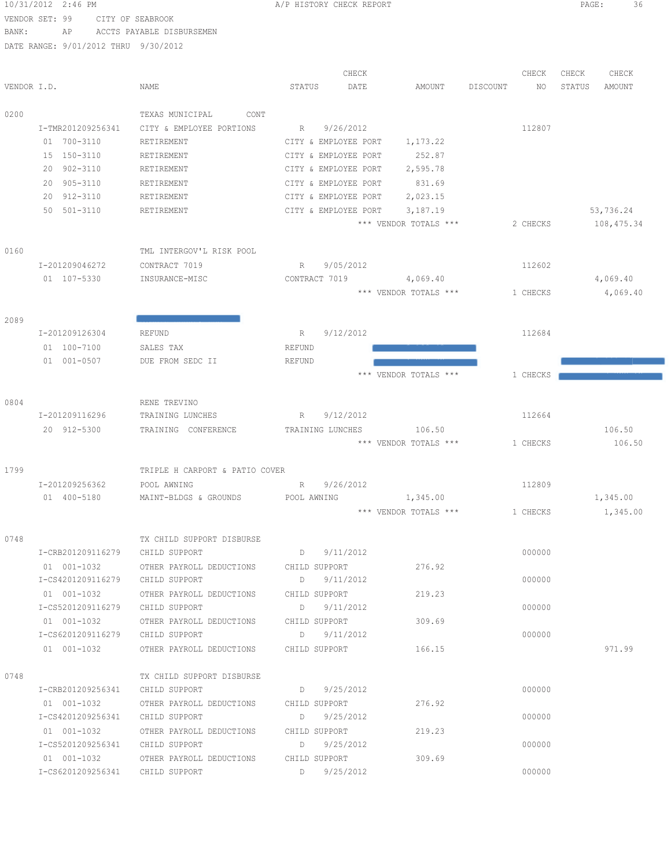|                | 10/31/2012 2:46 PM                   |                                               | A/P HISTORY CHECK REPORT |                       |                | PAGE:<br>36       |
|----------------|--------------------------------------|-----------------------------------------------|--------------------------|-----------------------|----------------|-------------------|
| VENDOR SET: 99 | CITY OF SEABROOK                     |                                               |                          |                       |                |                   |
| BANK:          | AP                                   | ACCTS PAYABLE DISBURSEMEN                     |                          |                       |                |                   |
|                | DATE RANGE: 9/01/2012 THRU 9/30/2012 |                                               |                          |                       |                |                   |
|                |                                      |                                               | CHECK                    |                       | CHECK          | CHECK<br>CHECK    |
| VENDOR I.D.    |                                      | NAME                                          | DATE<br>STATUS           | AMOUNT                | DISCOUNT<br>NO | STATUS<br>AMOUNT  |
|                |                                      |                                               |                          |                       |                |                   |
| 0200           |                                      | TEXAS MUNICIPAL<br>CONT                       |                          |                       |                |                   |
|                | I-TMR201209256341                    | CITY & EMPLOYEE PORTIONS                      | R 9/26/2012              |                       | 112807         |                   |
|                | 01 700-3110                          | RETIREMENT                                    | CITY & EMPLOYEE PORT     | 1,173.22              |                |                   |
|                | 15 150-3110                          | RETIREMENT                                    | CITY & EMPLOYEE PORT     | 252.87                |                |                   |
|                | 20 902-3110                          | RETIREMENT                                    | CITY & EMPLOYEE PORT     | 2,595.78              |                |                   |
|                | 20 905-3110                          | RETIREMENT                                    | CITY & EMPLOYEE PORT     | 831.69                |                |                   |
|                | 20 912-3110                          | RETIREMENT                                    | CITY & EMPLOYEE PORT     | 2,023.15              |                |                   |
|                | 50 501-3110                          | RETIREMENT                                    | CITY & EMPLOYEE PORT     | 3,187.19              |                | 53,736.24         |
|                |                                      |                                               |                          | *** VENDOR TOTALS *** | 2 CHECKS       | 108,475.34        |
| 0160           |                                      | TML INTERGOV'L RISK POOL                      |                          |                       |                |                   |
|                | I-201209046272                       | CONTRACT 7019                                 | 9/05/2012<br>R           |                       | 112602         |                   |
|                | 01 107-5330                          | INSURANCE-MISC                                | CONTRACT 7019            | 4,069.40              |                | 4,069.40          |
|                |                                      |                                               |                          | *** VENDOR TOTALS *** | 1 CHECKS       | 4,069.40          |
|                |                                      |                                               |                          |                       |                |                   |
| 2089           |                                      |                                               |                          |                       |                |                   |
|                | I-201209126304                       | REFUND                                        | 9/12/2012<br>R           |                       | 112684         |                   |
|                | 01 100-7100                          | SALES TAX                                     | REFUND                   |                       |                |                   |
|                | 01 001-0507                          | DUE FROM SEDC II                              | REFUND                   |                       |                |                   |
|                |                                      |                                               |                          | *** VENDOR TOTALS *** | 1 CHECKS       |                   |
| 0804           |                                      | RENE TREVINO                                  |                          |                       |                |                   |
|                | I-201209116296                       | TRAINING LUNCHES                              | 9/12/2012<br>R           |                       | 112664         |                   |
|                | 20 912-5300                          | TRAINING CONFERENCE                           | TRAINING LUNCHES         | 106.50                |                | 106.50            |
|                |                                      |                                               |                          | *** VENDOR TOTALS *** | 1 CHECKS       | 106.50            |
|                |                                      |                                               |                          |                       |                |                   |
| 1799           | I-201209256362                       | TRIPLE H CARPORT & PATIO COVER<br>POOL AWNING | R 9/26/2012              |                       | 112809         |                   |
|                |                                      | 01 400-5180 MAINT-BLDGS & GROUNDS             | POOL AWNING              | 1,345.00              |                | 1,345.00          |
|                |                                      |                                               |                          | *** VENDOR TOTALS *** |                | 1 CHECKS 1,345.00 |
|                |                                      |                                               |                          |                       |                |                   |
| 0748           |                                      | TX CHILD SUPPORT DISBURSE                     |                          |                       |                |                   |
|                | I-CRB201209116279 CHILD SUPPORT      |                                               | $D \qquad 9/11/2012$     |                       | 000000         |                   |
|                | 01  001-1032                         | OTHER PAYROLL DEDUCTIONS CHILD SUPPORT        |                          | 276.92                |                |                   |
|                | I-CS4201209116279                    | CHILD SUPPORT                                 | D 9/11/2012              |                       | 000000         |                   |
|                | 01 001-1032                          | OTHER PAYROLL DEDUCTIONS                      | CHILD SUPPORT            | 219.23                |                |                   |
|                | I-CS5201209116279                    | CHILD SUPPORT                                 | D 9/11/2012              |                       | 000000         |                   |
|                | 01 001-1032                          | OTHER PAYROLL DEDUCTIONS                      | CHILD SUPPORT            | 309.69                |                |                   |
|                | I-CS6201209116279                    | CHILD SUPPORT                                 | D 9/11/2012              |                       | 000000         |                   |
|                | 01 001-1032                          | OTHER PAYROLL DEDUCTIONS                      | CHILD SUPPORT            | 166.15                |                | 971.99            |
| 0748           |                                      | TX CHILD SUPPORT DISBURSE                     |                          |                       |                |                   |
|                | I-CRB201209256341                    | CHILD SUPPORT                                 | D 9/25/2012              |                       | 000000         |                   |
|                | 01 001-1032                          | OTHER PAYROLL DEDUCTIONS                      | CHILD SUPPORT            | 276.92                |                |                   |
|                | I-CS4201209256341                    | CHILD SUPPORT                                 | D<br>9/25/2012           |                       | 000000         |                   |
|                | 01 001-1032                          | OTHER PAYROLL DEDUCTIONS                      | CHILD SUPPORT            | 219.23                |                |                   |
|                | I-CS5201209256341                    | CHILD SUPPORT                                 | D 9/25/2012              |                       | 000000         |                   |
|                | 01 001-1032                          | OTHER PAYROLL DEDUCTIONS                      | CHILD SUPPORT            | 309.69                |                |                   |

I-CS6201209256341 CHILD SUPPORT D 9/25/2012 000000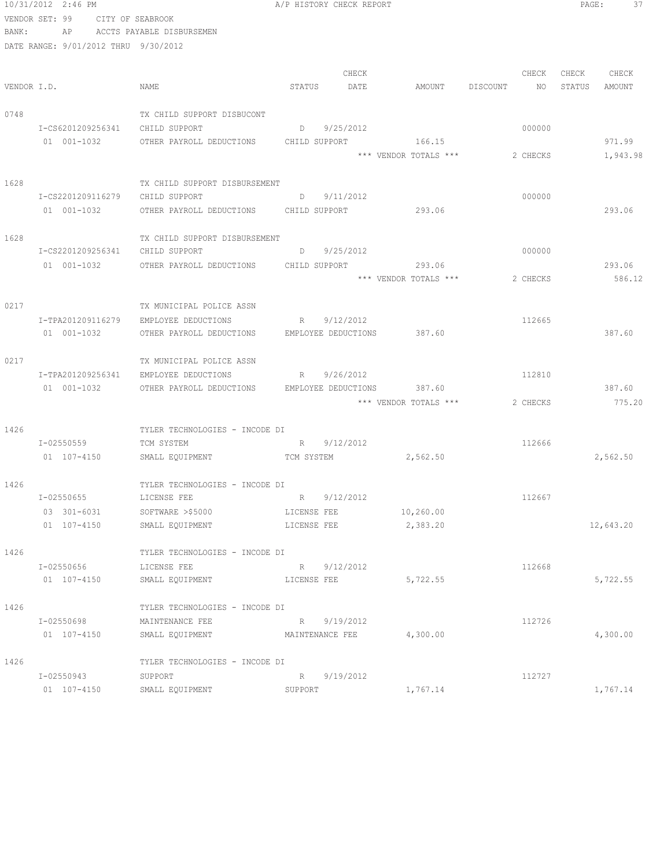|       | 10/31/2012 2:46 PM                   |                                               | A/P HISTORY CHECK REPORT   |           |                       |                 | PAGE:<br>37   |
|-------|--------------------------------------|-----------------------------------------------|----------------------------|-----------|-----------------------|-----------------|---------------|
|       | VENDOR SET: 99 CITY OF SEABROOK      |                                               |                            |           |                       |                 |               |
| BANK: |                                      | AP ACCTS PAYABLE DISBURSEMEN                  |                            |           |                       |                 |               |
|       | DATE RANGE: 9/01/2012 THRU 9/30/2012 |                                               |                            |           |                       |                 |               |
|       |                                      |                                               |                            | CHECK     |                       | CHECK           | CHECK CHECK   |
|       | VENDOR I.D.                          | NAME                                          | STATUS                     | DATE      | AMOUNT DISCOUNT       | NO <sub>1</sub> | STATUS AMOUNT |
| 0748  |                                      | TX CHILD SUPPORT DISBUCONT                    |                            |           |                       |                 |               |
|       | I-CS6201209256341                    | CHILD SUPPORT                                 | D 9/25/2012                |           |                       | 000000          |               |
|       | 01 001-1032                          | OTHER PAYROLL DEDUCTIONS CHILD SUPPORT 166.15 |                            |           |                       |                 | 971.99        |
|       |                                      |                                               |                            |           | *** VENDOR TOTALS *** | 2 CHECKS        | 1,943.98      |
| 1628  |                                      | TX CHILD SUPPORT DISBURSEMENT                 |                            |           |                       |                 |               |
|       | I-CS2201209116279 CHILD SUPPORT      |                                               | D 9/11/2012                |           |                       | 000000          |               |
|       | 01 001-1032                          | OTHER PAYROLL DEDUCTIONS CHILD SUPPORT 293.06 |                            |           |                       |                 | 293.06        |
| 1628  |                                      | TX CHILD SUPPORT DISBURSEMENT                 |                            |           |                       |                 |               |
|       | I-CS2201209256341 CHILD SUPPORT      |                                               | $D = 9/25/2012$            |           |                       | 000000          |               |
|       | 01  001-1032                         | OTHER PAYROLL DEDUCTIONS CHILD SUPPORT 293.06 |                            |           |                       |                 | 293.06        |
|       |                                      |                                               |                            |           | *** VENDOR TOTALS *** | 2 CHECKS        | 586.12        |
| 0217  |                                      | TX MUNICIPAL POLICE ASSN                      |                            |           |                       |                 |               |
|       |                                      | I-TPA201209116279 EMPLOYEE DEDUCTIONS         | R 9/12/2012                |           |                       | 112665          |               |
|       | 01 001-1032                          | OTHER PAYROLL DEDUCTIONS                      | EMPLOYEE DEDUCTIONS 387.60 |           |                       |                 | 387.60        |
| 0217  |                                      | TX MUNICIPAL POLICE ASSN                      |                            |           |                       |                 |               |
|       | I-TPA201209256341                    | EMPLOYEE DEDUCTIONS                           | R 9/26/2012                |           |                       | 112810          |               |
|       | 01 001-1032                          | OTHER PAYROLL DEDUCTIONS                      | EMPLOYEE DEDUCTIONS        |           | 387.60                |                 | 387.60        |
|       |                                      |                                               |                            |           | *** VENDOR TOTALS *** | 2 CHECKS        | 775.20        |
| 1426  |                                      | TYLER TECHNOLOGIES - INCODE DI                |                            |           |                       |                 |               |
|       | I-02550559                           | TCM SYSTEM                                    | R 9/12/2012                |           |                       | 112666          |               |
|       | 01 107-4150                          | SMALL EQUIPMENT TCM SYSTEM 2,562.50           |                            |           |                       |                 | 2,562.50      |
| 1426  |                                      | TYLER TECHNOLOGIES - INCODE DI                |                            |           |                       |                 |               |
|       | I-02550655                           | LICENSE FEE                                   | R 9/12/2012                |           |                       | 112667          |               |
|       | 03 301-6031                          | SOFTWARE >\$5000                              | LICENSE FEE                |           | 10,260.00             |                 |               |
|       | 01 107-4150                          | SMALL EQUIPMENT                               | LICENSE FEE                |           | 2,383.20              |                 | 12,643.20     |
| 1426  |                                      | TYLER TECHNOLOGIES - INCODE DI                |                            |           |                       |                 |               |
|       | I-02550656                           | LICENSE FEE                                   | R 9/12/2012                |           |                       | 112668          |               |
|       | 01 107-4150                          | SMALL EQUIPMENT                               | LICENSE FEE                |           | 5,722.55              |                 | 5,722.55      |
| 1426  |                                      | TYLER TECHNOLOGIES - INCODE DI                |                            |           |                       |                 |               |
|       | I-02550698                           | MAINTENANCE FEE                               | R                          | 9/19/2012 |                       | 112726          |               |
|       | 01 107-4150                          | SMALL EQUIPMENT                               | MAINTENANCE FEE            |           | 4,300.00              |                 | 4,300.00      |
| 1426  |                                      | TYLER TECHNOLOGIES - INCODE DI                |                            |           |                       |                 |               |
|       | I-02550943                           | SUPPORT                                       | R 9/19/2012                |           |                       | 112727          |               |
|       | 01 107-4150                          | SMALL EQUIPMENT                               | SUPPORT                    |           | 1,767.14              |                 | 1,767.14      |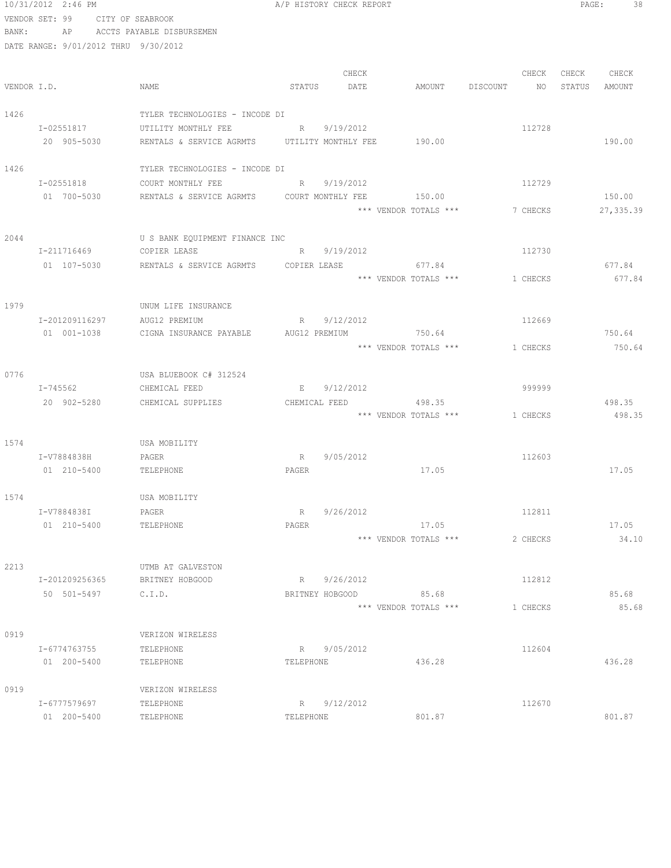|      | 10/31/2012 2:46 PM                   |                                                     |             | A/P HISTORY CHECK REPORT |                                |          |       | PAGE:<br>38   |
|------|--------------------------------------|-----------------------------------------------------|-------------|--------------------------|--------------------------------|----------|-------|---------------|
|      | VENDOR SET: 99 CITY OF SEABROOK      |                                                     |             |                          |                                |          |       |               |
|      |                                      | BANK: AP ACCTS PAYABLE DISBURSEMEN                  |             |                          |                                |          |       |               |
|      | DATE RANGE: 9/01/2012 THRU 9/30/2012 |                                                     |             |                          |                                |          |       |               |
|      |                                      |                                                     |             |                          |                                |          |       |               |
|      |                                      |                                                     |             | CHECK                    |                                | CHECK    | CHECK | CHECK         |
|      | VENDOR I.D.                          | NAME                                                | STATUS      | DATE                     | AMOUNT DISCOUNT                | NO       |       | STATUS AMOUNT |
| 1426 |                                      | TYLER TECHNOLOGIES - INCODE DI                      |             |                          |                                |          |       |               |
|      | I-02551817                           | UTILITY MONTHLY FEE                                 | R 9/19/2012 |                          |                                | 112728   |       |               |
|      | 20 905-5030                          | RENTALS & SERVICE AGRMTS UTILITY MONTHLY FEE 190.00 |             |                          |                                |          |       | 190.00        |
|      |                                      |                                                     |             |                          |                                |          |       |               |
| 1426 |                                      | TYLER TECHNOLOGIES - INCODE DI                      |             |                          |                                |          |       |               |
|      | I-02551818                           | COURT MONTHLY FEE                                   |             | R 9/19/2012              |                                | 112729   |       |               |
|      | 01 700-5030                          | RENTALS & SERVICE AGRMTS COURT MONTHLY FEE          |             |                          | 150.00                         |          |       | 150.00        |
|      |                                      |                                                     |             |                          | *** VENDOR TOTALS *** 7 CHECKS |          |       | 27,335.39     |
|      |                                      |                                                     |             |                          |                                |          |       |               |
| 2044 |                                      | U S BANK EQUIPMENT FINANCE INC                      |             |                          |                                |          |       |               |
|      | I-211716469                          | COPIER LEASE                                        |             | R 9/19/2012              |                                | 112730   |       |               |
|      | 01 107-5030                          | RENTALS & SERVICE AGRMTS COPIER LEASE 677.84        |             |                          |                                |          |       | 677.84        |
|      |                                      |                                                     |             |                          | *** VENDOR TOTALS *** 1 CHECKS |          |       | 677.84        |
| 1979 |                                      | UNUM LIFE INSURANCE                                 |             |                          |                                |          |       |               |
|      | I-201209116297                       | AUG12 PREMIUM                                       |             | R 9/12/2012              |                                | 112669   |       |               |
|      | 01 001-1038                          | CIGNA INSURANCE PAYABLE                             |             |                          | AUG12 PREMIUM 750.64           |          |       | 750.64        |
|      |                                      |                                                     |             |                          | *** VENDOR TOTALS ***          | 1 CHECKS |       | 750.64        |
|      |                                      |                                                     |             |                          |                                |          |       |               |
| 0776 |                                      | USA BLUEBOOK C# 312524                              |             |                          |                                |          |       |               |
|      | I-745562                             | CHEMICAL FEED                                       |             | E 9/12/2012              |                                | 999999   |       |               |
|      | 20 902-5280                          | CHEMICAL SUPPLIES                                   |             |                          | CHEMICAL FEED 498.35           |          |       | 498.35        |
|      |                                      |                                                     |             |                          | *** VENDOR TOTALS *** 1 CHECKS |          |       | 498.35        |
|      |                                      |                                                     |             |                          |                                |          |       |               |
| 1574 |                                      | USA MOBILITY                                        |             |                          |                                |          |       |               |
|      | I-V7884838H PAGER                    |                                                     | R           | 9/05/2012                |                                | 112603   |       |               |
|      | 01 210-5400                          | TELEPHONE                                           | PAGER       |                          | 17.05                          |          |       | 17.05         |
| 1574 |                                      |                                                     |             |                          |                                |          |       |               |
|      | I-V7884838I                          | USA MOBILITY<br>PAGER                               | $R_{\perp}$ | 9/26/2012                |                                | 112811   |       |               |
|      | 01 210-5400                          | TELEPHONE                                           | PAGER       |                          | 17.05                          |          |       | 17.05         |
|      |                                      |                                                     |             |                          | *** VENDOR TOTALS ***          | 2 CHECKS |       | 34.10         |
|      |                                      |                                                     |             |                          |                                |          |       |               |
| 2213 |                                      | UTMB AT GALVESTON                                   |             |                          |                                |          |       |               |
|      | I-201209256365                       | BRITNEY HOBGOOD                                     |             | R 9/26/2012              |                                | 112812   |       |               |
|      | 50 501-5497                          | C.I.D.                                              |             | BRITNEY HOBGOOD          | 85.68                          |          |       | 85.68         |
|      |                                      |                                                     |             |                          | *** VENDOR TOTALS ***          | 1 CHECKS |       | 85.68         |
|      |                                      |                                                     |             |                          |                                |          |       |               |
| 0919 |                                      | VERIZON WIRELESS                                    |             |                          |                                |          |       |               |
|      | I-6774763755                         | TELEPHONE                                           |             | R 9/05/2012              |                                | 112604   |       |               |
|      | 01 200-5400                          | TELEPHONE                                           | TELEPHONE   |                          | 436.28                         |          |       | 436.28        |
| 0919 |                                      | VERIZON WIRELESS                                    |             |                          |                                |          |       |               |
|      | I-6777579697                         | TELEPHONE                                           |             | R 9/12/2012              |                                | 112670   |       |               |
|      | 01 200-5400                          | TELEPHONE                                           | TELEPHONE   |                          | 801.87                         |          |       | 801.87        |
|      |                                      |                                                     |             |                          |                                |          |       |               |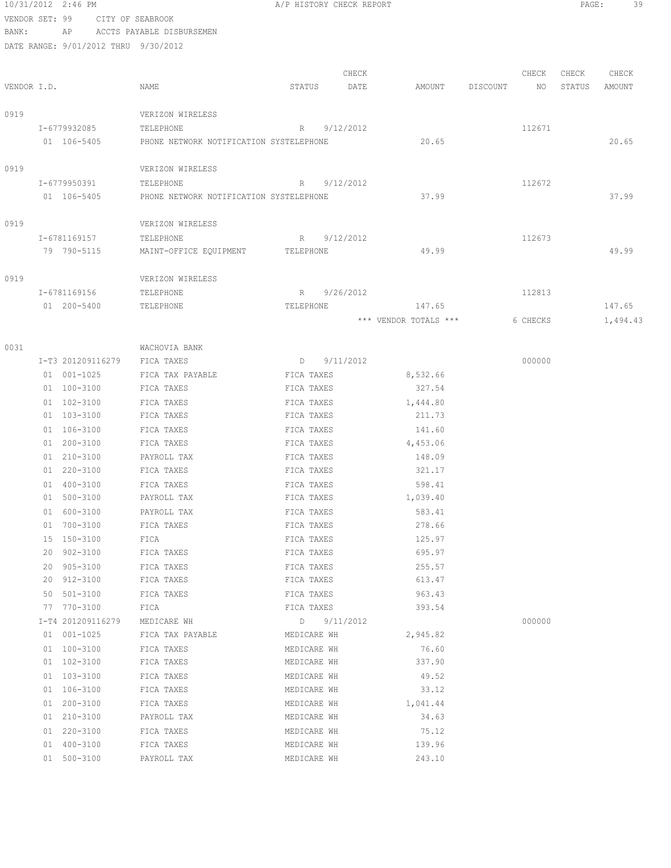|                |    | 10/31/2012 2:46 PM |                                         |             | A/P HISTORY CHECK REPORT |                       |          |          | PAGE:  | 39       |
|----------------|----|--------------------|-----------------------------------------|-------------|--------------------------|-----------------------|----------|----------|--------|----------|
| VENDOR SET: 99 |    |                    | CITY OF SEABROOK                        |             |                          |                       |          |          |        |          |
| BANK:          |    | AP                 | ACCTS PAYABLE DISBURSEMEN               |             |                          |                       |          |          |        |          |
|                |    |                    | DATE RANGE: 9/01/2012 THRU 9/30/2012    |             |                          |                       |          |          |        |          |
|                |    |                    |                                         |             |                          |                       |          |          |        |          |
|                |    |                    |                                         |             | CHECK                    |                       |          | CHECK    | CHECK  | CHECK    |
| VENDOR I.D.    |    |                    | NAME                                    | STATUS      | DATE                     | AMOUNT                | DISCOUNT | NO       | STATUS | AMOUNT   |
|                |    |                    |                                         |             |                          |                       |          |          |        |          |
| 0919           |    |                    | VERIZON WIRELESS                        |             |                          |                       |          |          |        |          |
|                |    | I-6779932085       | TELEPHONE                               | R           | 9/12/2012                |                       |          | 112671   |        |          |
|                |    | 01 106-5405        | PHONE NETWORK NOTIFICATION SYSTELEPHONE |             |                          | 20.65                 |          |          |        | 20.65    |
| 0919           |    |                    | VERIZON WIRELESS                        |             |                          |                       |          |          |        |          |
|                |    | I-6779950391       | TELEPHONE                               | R           | 9/12/2012                |                       |          | 112672   |        |          |
|                |    | 01 106-5405        | PHONE NETWORK NOTIFICATION SYSTELEPHONE |             |                          | 37.99                 |          |          |        | 37.99    |
|                |    |                    |                                         |             |                          |                       |          |          |        |          |
| 0919           |    |                    | VERIZON WIRELESS                        |             |                          |                       |          |          |        |          |
|                |    | I-6781169157       | TELEPHONE                               | $R_{\perp}$ | 9/12/2012                |                       |          | 112673   |        |          |
|                |    | 79 790-5115        | MAINT-OFFICE EQUIPMENT                  | TELEPHONE   |                          | 49.99                 |          |          |        | 49.99    |
|                |    |                    |                                         |             |                          |                       |          |          |        |          |
| 0919           |    |                    | VERIZON WIRELESS                        |             |                          |                       |          |          |        |          |
|                |    | I-6781169156       | TELEPHONE                               | $R_{\perp}$ | 9/26/2012                |                       |          | 112813   |        |          |
|                |    | 01 200-5400        | TELEPHONE                               | TELEPHONE   |                          | 147.65                |          |          |        | 147.65   |
|                |    |                    |                                         |             |                          | *** VENDOR TOTALS *** |          | 6 CHECKS |        | 1,494.43 |
|                |    |                    |                                         |             |                          |                       |          |          |        |          |
| 0031           |    | I-T3 201209116279  | WACHOVIA BANK<br>FICA TAXES             | D           | 9/11/2012                |                       |          | 000000   |        |          |
|                |    | 01 001-1025        | FICA TAX PAYABLE                        | FICA TAXES  |                          | 8,532.66              |          |          |        |          |
|                |    | 01 100-3100        | FICA TAXES                              | FICA TAXES  |                          | 327.54                |          |          |        |          |
|                |    | 01 102-3100        | FICA TAXES                              | FICA TAXES  |                          | 1,444.80              |          |          |        |          |
|                |    | 01 103-3100        | FICA TAXES                              | FICA TAXES  |                          | 211.73                |          |          |        |          |
|                |    | 01 106-3100        | FICA TAXES                              | FICA TAXES  |                          | 141.60                |          |          |        |          |
|                |    | 01 200-3100        | FICA TAXES                              | FICA TAXES  |                          | 4,453.06              |          |          |        |          |
|                |    | 01 210-3100        | PAYROLL TAX                             | FICA TAXES  |                          | 148.09                |          |          |        |          |
|                |    | 01 220-3100        | FICA TAXES                              | FICA TAXES  |                          | 321.17                |          |          |        |          |
|                |    | 01 400-3100        | FICA TAXES                              | FICA TAXES  |                          | 598.41                |          |          |        |          |
|                |    | 01 500-3100        | PAYROLL TAX                             | FICA TAXES  |                          | 1,039.40              |          |          |        |          |
|                | 01 | 600-3100           | PAYROLL TAX                             | FICA TAXES  |                          | 583.41                |          |          |        |          |
|                | 01 | 700-3100           | FICA TAXES                              | FICA TAXES  |                          | 278.66                |          |          |        |          |
|                |    | 15 150-3100        | FICA                                    | FICA TAXES  |                          | 125.97                |          |          |        |          |
|                |    | 20 902-3100        | FICA TAXES                              | FICA TAXES  |                          | 695.97                |          |          |        |          |
|                |    | 20 905-3100        | FICA TAXES                              | FICA TAXES  |                          | 255.57                |          |          |        |          |
|                |    | 20 912-3100        | FICA TAXES                              | FICA TAXES  |                          | 613.47                |          |          |        |          |
|                | 50 | 501-3100           | FICA TAXES                              | FICA TAXES  |                          | 963.43                |          |          |        |          |
|                |    | 77 770-3100        | FICA                                    | FICA TAXES  |                          | 393.54                |          |          |        |          |
|                |    | I-T4 201209116279  | MEDICARE WH                             |             | $D$ 9/11/2012            |                       |          | 000000   |        |          |
|                |    | 01 001-1025        | FICA TAX PAYABLE                        | MEDICARE WH |                          | 2,945.82              |          |          |        |          |
|                |    | 01 100-3100        | FICA TAXES                              | MEDICARE WH |                          | 76.60                 |          |          |        |          |
|                |    | 01 102-3100        | FICA TAXES                              | MEDICARE WH |                          | 337.90                |          |          |        |          |
|                |    | 01 103-3100        | FICA TAXES                              | MEDICARE WH |                          | 49.52                 |          |          |        |          |
|                |    | 01 106-3100        | FICA TAXES                              | MEDICARE WH |                          | 33.12                 |          |          |        |          |
|                |    | 01 200-3100        | FICA TAXES                              | MEDICARE WH |                          | 1,041.44              |          |          |        |          |
|                |    | 01 210-3100        | PAYROLL TAX                             | MEDICARE WH |                          | 34.63                 |          |          |        |          |
|                |    | 01 220-3100        | FICA TAXES                              | MEDICARE WH |                          | 75.12                 |          |          |        |          |
|                |    | 01 400-3100        | FICA TAXES                              | MEDICARE WH |                          | 139.96                |          |          |        |          |
|                |    | 01 500-3100        | PAYROLL TAX                             | MEDICARE WH |                          | 243.10                |          |          |        |          |
|                |    |                    |                                         |             |                          |                       |          |          |        |          |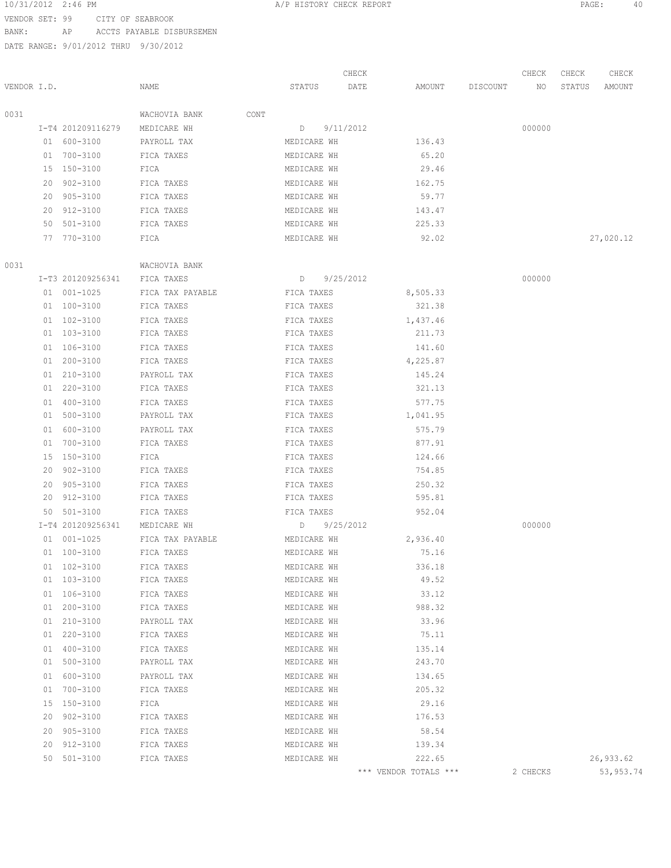## 10/31/2012 2:46 PM A/P HISTORY CHECK REPORT PAGE: 40 VENDOR SET: 99 CITY OF SEABROOK

BANK: AP ACCTS PAYABLE DISBURSEMEN

DATE RANGE: 9/01/2012 THRU 9/30/2012

CHECK CHECK CHECK CHECK CHECK

| VENDOR I.D. |          |                   | NAME                        | STATUS DATE                |                       | AMOUNT DISCOUNT NO STATUS |          | AMOUNT    |
|-------------|----------|-------------------|-----------------------------|----------------------------|-----------------------|---------------------------|----------|-----------|
| 0031        |          |                   | WACHOVIA BANK CONT          |                            |                       |                           |          |           |
|             |          | I-T4 201209116279 | MEDICARE WH                 | $D \qquad 9/11/2012$       |                       |                           | 000000   |           |
|             |          | 01 600-3100       | PAYROLL TAX                 | MEDICARE WH                | 136.43                |                           |          |           |
|             |          | 01 700-3100       | FICA TAXES                  | MEDICARE WH                | 65.20                 |                           |          |           |
|             |          | 15 150-3100       | FICA                        | MEDICARE WH                | 29.46                 |                           |          |           |
|             |          | 20 902-3100       | FICA TAXES                  | MEDICARE WH                | 162.75                |                           |          |           |
|             |          | 20 905-3100       | FICA TAXES                  | MEDICARE WH                | 59.77                 |                           |          |           |
|             |          | 20 912-3100       | FICA TAXES                  | MEDICARE WH                | 143.47                |                           |          |           |
|             |          | 50 501-3100       | FICA TAXES                  | MEDICARE WH                | 225.33                |                           |          |           |
|             |          | 77 770-3100       | FICA                        | MEDICARE WH                | 92.02                 |                           |          | 27,020.12 |
| 0031        |          |                   | WACHOVIA BANK               |                            |                       |                           |          |           |
|             |          | I-T3 201209256341 | FICA TAXES                  | D 9/25/2012                |                       |                           | 000000   |           |
|             |          | 01 001-1025       | FICA TAX PAYABLE FICA TAXES |                            | 8,505.33              |                           |          |           |
|             |          | 01 100-3100       | FICA TAXES                  | FICA TAXES                 | 321.38                |                           |          |           |
|             |          | $01 102 - 3100$   | FICA TAXES                  | FICA TAXES                 | 1,437.46              |                           |          |           |
|             |          | 01 103-3100       | FICA TAXES                  | FICA TAXES                 | 211.73                |                           |          |           |
|             |          | 01 106-3100       | FICA TAXES                  | FICA TAXES                 | 141.60                |                           |          |           |
|             |          | 01 200-3100       | FICA TAXES                  | FICA TAXES                 | 4,225.87              |                           |          |           |
|             |          | 01 210-3100       | PAYROLL TAX                 | FICA TAXES                 | 145.24                |                           |          |           |
|             |          | 01 220-3100       | FICA TAXES                  | FICA TAXES                 | 321.13                |                           |          |           |
|             |          | 01 400-3100       | FICA TAXES                  | FICA TAXES                 | 577.75                |                           |          |           |
|             |          | 01 500-3100       | PAYROLL TAX                 | FICA TAXES                 | 1,041.95              |                           |          |           |
|             |          | 01 600-3100       | PAYROLL TAX                 | FICA TAXES                 | 575.79                |                           |          |           |
|             |          | 01 700-3100       | FICA TAXES                  | FICA TAXES                 | 877.91                |                           |          |           |
|             |          | 15 150-3100       | FICA                        | FICA TAXES                 | 124.66                |                           |          |           |
|             |          | 20 902-3100       | FICA TAXES                  | FICA TAXES                 | 754.85                |                           |          |           |
|             |          | 20 905-3100       | FICA TAXES                  | FICA TAXES                 | 250.32                |                           |          |           |
|             |          | 20 912-3100       | FICA TAXES                  | FICA TAXES                 | 595.81                |                           |          |           |
|             |          | 50 501-3100       | FICA TAXES                  | FICA TAXES                 | 952.04                |                           |          |           |
|             |          | I-T4 201209256341 | MEDICARE WH                 | $D$ 9/25/2012              |                       |                           | 000000   |           |
|             |          | $01 001 - 1025$   | FICA TAX PAYABLE            | MEDICARE WH                | 2,936.40              |                           |          |           |
|             |          | 01 100-3100       | FICA TAXES                  | MEDICARE WH                | 75.16                 |                           |          |           |
|             |          | 01 102-3100       | FICA TAXES                  | MEDICARE WH                | 336.18                |                           |          |           |
|             |          | $01 103 - 3100$   | FICA TAXES                  | MEDICARE WH                | 49.52                 |                           |          |           |
|             |          | 01 106-3100       | FICA TAXES                  | MEDICARE WH                | 33.12                 |                           |          |           |
|             |          | 01 200-3100       | FICA TAXES                  | MEDICARE WH                | 988.32                |                           |          |           |
|             |          | 01 210-3100       | PAYROLL TAX                 | MEDICARE WH                | 33.96                 |                           |          |           |
|             | 01       | 220-3100          | FICA TAXES                  | MEDICARE WH                | 75.11                 |                           |          |           |
|             |          | 400-3100          |                             |                            | 135.14                |                           |          |           |
|             | 01<br>01 | $500 - 3100$      | FICA TAXES                  | MEDICARE WH<br>MEDICARE WH | 243.70                |                           |          |           |
|             |          |                   | PAYROLL TAX                 |                            |                       |                           |          |           |
|             | 01       | 600-3100          | PAYROLL TAX                 | MEDICARE WH                | 134.65                |                           |          |           |
|             | 01       | 700-3100          | FICA TAXES                  | MEDICARE WH                | 205.32                |                           |          |           |
|             | 15       | 150-3100          | FICA                        | MEDICARE WH                | 29.16                 |                           |          |           |
|             | 20       | $902 - 3100$      | FICA TAXES                  | MEDICARE WH                | 176.53                |                           |          |           |
|             | 20       | 905-3100          | FICA TAXES                  | MEDICARE WH                | 58.54                 |                           |          |           |
|             | 20       | 912-3100          | FICA TAXES                  | MEDICARE WH                | 139.34                |                           |          |           |
|             |          | 50 501-3100       | FICA TAXES                  | MEDICARE WH                | 222.65                |                           |          | 26,933.62 |
|             |          |                   |                             |                            | *** VENDOR TOTALS *** |                           | 2 CHECKS | 53,953.74 |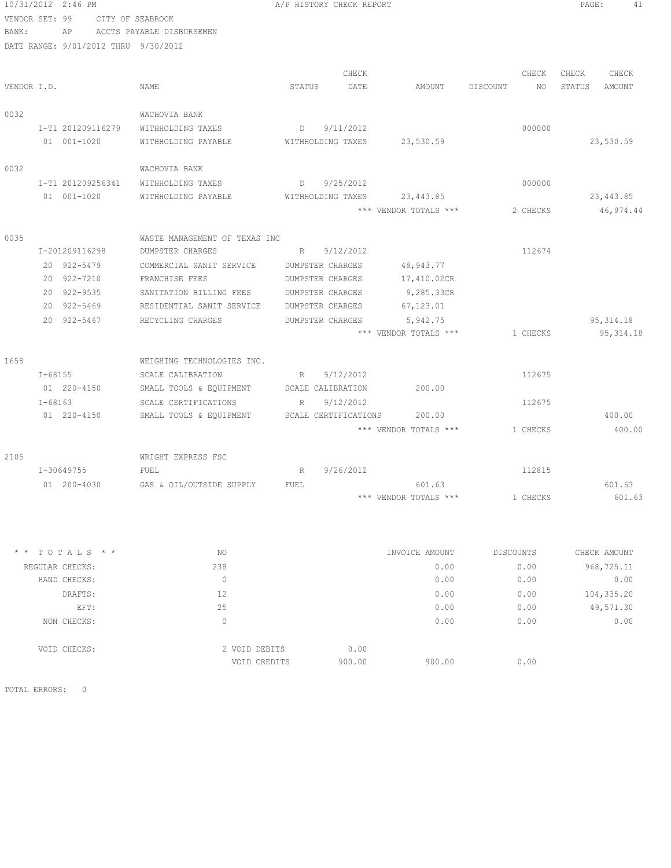| 10/31/2012 2:46 PM                   |                                              |                   | A/P HISTORY CHECK REPORT |                             |                | PAGE:<br>41      |
|--------------------------------------|----------------------------------------------|-------------------|--------------------------|-----------------------------|----------------|------------------|
| VENDOR SET: 99                       | CITY OF SEABROOK                             |                   |                          |                             |                |                  |
| BANK:<br>AP                          | ACCTS PAYABLE DISBURSEMEN                    |                   |                          |                             |                |                  |
| DATE RANGE: 9/01/2012 THRU 9/30/2012 |                                              |                   |                          |                             |                |                  |
|                                      |                                              |                   |                          |                             |                |                  |
|                                      |                                              |                   | CHECK                    |                             | CHECK          | CHECK<br>CHECK   |
| VENDOR I.D.                          | NAME                                         | STATUS            | DATE                     | AMOUNT                      | DISCOUNT<br>NO | STATUS<br>AMOUNT |
| 0032                                 | WACHOVIA BANK                                |                   |                          |                             |                |                  |
| I-T1 201209116279                    | WITHHOLDING TAXES                            | $D \qquad \qquad$ | 9/11/2012                |                             | 000000         |                  |
| 01 001-1020                          | WITHHOLDING PAYABLE                          | WITHHOLDING TAXES |                          | 23,530.59                   |                | 23,530.59        |
|                                      |                                              |                   |                          |                             |                |                  |
| 0032                                 | WACHOVIA BANK                                |                   |                          |                             |                |                  |
| I-T1 201209256341                    | WITHHOLDING TAXES                            | $D \qquad \qquad$ | 9/25/2012                |                             | 000000         |                  |
| 01 001-1020                          | WITHHOLDING PAYABLE                          |                   |                          | WITHHOLDING TAXES 23,443.85 |                | 23,443.85        |
|                                      |                                              |                   |                          | *** VENDOR TOTALS ***       | 2 CHECKS       | 46,974.44        |
|                                      |                                              |                   |                          |                             |                |                  |
| 0035                                 | WASTE MANAGEMENT OF TEXAS INC                |                   |                          |                             |                |                  |
| I-201209116298                       | DUMPSTER CHARGES                             | R                 | 9/12/2012                |                             | 112674         |                  |
| 20 922-5479                          | COMMERCIAL SANIT SERVICE                     | DUMPSTER CHARGES  |                          | 48,943.77                   |                |                  |
| 20 922-7210                          | FRANCHISE FEES                               | DUMPSTER CHARGES  |                          | 17,410.02CR                 |                |                  |
| 20 922-9535                          | SANITATION BILLING FEES                      | DUMPSTER CHARGES  |                          | 9,285.33CR                  |                |                  |
| 20 922-5469                          | RESIDENTIAL SANIT SERVICE                    | DUMPSTER CHARGES  |                          | 67, 123.01                  |                |                  |
| 20 922-5467                          | RECYCLING CHARGES                            | DUMPSTER CHARGES  |                          | 5,942.75                    |                | 95, 314.18       |
|                                      |                                              |                   |                          | *** VENDOR TOTALS ***       | 1 CHECKS       | 95, 314.18       |
| 1658                                 | WEIGHING TECHNOLOGIES INC.                   |                   |                          |                             |                |                  |
| $I - 68155$                          | SCALE CALIBRATION                            | R                 | 9/12/2012                |                             | 112675         |                  |
| 01 220-4150                          | SMALL TOOLS & EQUIPMENT SCALE CALIBRATION    |                   |                          | 200.00                      |                |                  |
| $I - 68163$                          | SCALE CERTIFICATIONS                         | $R_{\perp}$       | 9/12/2012                |                             | 112675         |                  |
| 01 220-4150                          | SMALL TOOLS & EQUIPMENT SCALE CERTIFICATIONS |                   |                          | 200.00                      |                | 400.00           |
|                                      |                                              |                   |                          | *** VENDOR TOTALS ***       | 1 CHECKS       | 400.00           |
|                                      |                                              |                   |                          |                             |                |                  |
| 2105                                 | WRIGHT EXPRESS FSC                           |                   |                          |                             |                |                  |
| I-30649755                           | FUEL                                         | R                 | 9/26/2012                |                             | 112815         |                  |
| 01 200-4030                          | GAS & OIL/OUTSIDE SUPPLY                     | FUEL              |                          | 601.63                      |                | 601.63           |
|                                      |                                              |                   |                          | *** VENDOR TOTALS ***       | 1 CHECKS       | 601.63           |
|                                      |                                              |                   |                          |                             |                |                  |
|                                      |                                              |                   |                          |                             |                |                  |
| $* * TOTALS **$                      | NO.                                          |                   |                          | INVOICE AMOUNT              | DISCOUNTS      | CHECK AMOUNT     |
| REGULAR CHECKS:                      | 238                                          |                   |                          | 0.00                        | 0.00           | 968,725.11       |
| HAND CHECKS:                         | $\circ$                                      |                   |                          | 0.00                        | 0.00           | 0.00             |
| DRAFTS:                              | 12                                           |                   |                          | 0.00                        | 0.00           | 104,335.20       |
| EFT:                                 | 25                                           |                   |                          | 0.00                        | 0.00           | 49,571.30        |
| NON CHECKS:                          | $\circ$                                      |                   |                          | 0.00                        | 0.00           | 0.00             |
|                                      |                                              |                   |                          |                             |                |                  |
| VOID CHECKS:                         | 2 VOID DEBITS                                |                   | 0.00                     |                             |                |                  |
|                                      |                                              | VOID CREDITS      | 900.00                   | 900.00                      | 0.00           |                  |

TOTAL ERRORS: 0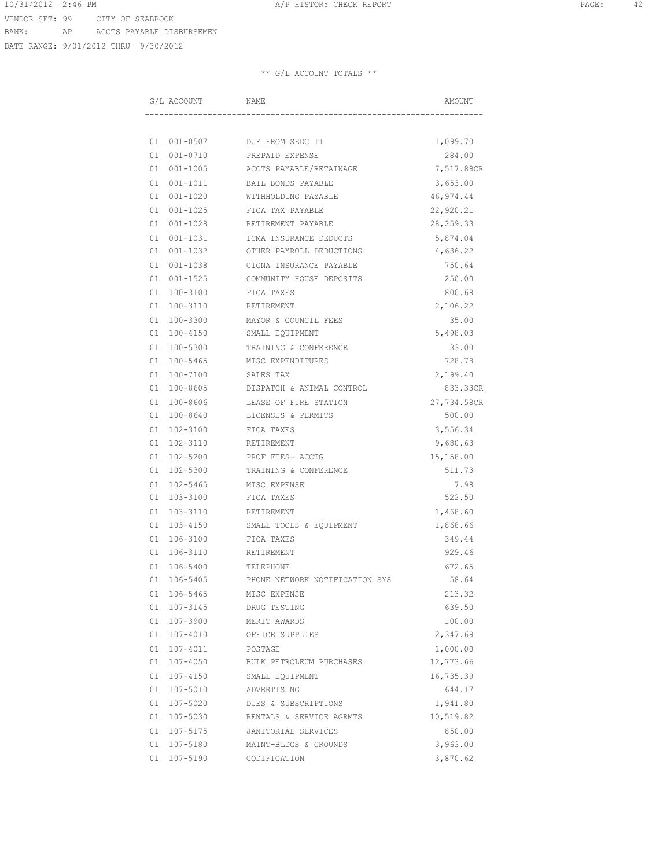DATE RANGE: 9/01/2012 THRU 9/30/2012

|    | G/L ACCOUNT  | NAME                           | AMOUNT      |
|----|--------------|--------------------------------|-------------|
|    |              |                                |             |
|    |              | 01 001-0507 DUE FROM SEDC II   | 1,099.70    |
| 01 | $001 - 0710$ | PREPAID EXPENSE                | 284.00      |
| 01 | $001 - 1005$ | ACCTS PAYABLE/RETAINAGE        | 7,517.89CR  |
|    |              | BAIL BONDS PAYABLE             |             |
| 01 | $001 - 1011$ |                                | 3,653.00    |
| 01 | $001 - 1020$ | WITHHOLDING PAYABLE            | 46,974.44   |
| 01 | $001 - 1025$ | FICA TAX PAYABLE               | 22,920.21   |
| 01 | $001 - 1028$ | RETIREMENT PAYABLE             | 28, 259. 33 |
| 01 | $001 - 1031$ | <b>TCMA INSURANCE DEDUCTS</b>  | 5,874.04    |
| 01 | $001 - 1032$ | OTHER PAYROLL DEDUCTIONS       | 4,636.22    |
| 01 | 001-1038     | CIGNA INSURANCE PAYABLE        | 750.64      |
| 01 | 001-1525     | COMMUNITY HOUSE DEPOSITS       | 250.00      |
| 01 | 100-3100     | FICA TAXES                     | 800.68      |
| 01 | 100-3110     | RETIREMENT                     | 2,106.22    |
| 01 | 100-3300     | MAYOR & COUNCIL FEES           | 35.00       |
| 01 |              | 100-4150 SMALL EQUIPMENT       | 5,498.03    |
| 01 | 100-5300     | TRAINING & CONFERENCE          | 33.00       |
| 01 | $100 - 5465$ | MISC EXPENDITURES              | 728.78      |
| 01 | 100-7100     | SALES TAX                      | 2,199.40    |
| 01 | 100-8605     | DISPATCH & ANIMAL CONTROL      | 833.33CR    |
| 01 | 100-8606     | LEASE OF FIRE STATION          | 27,734.58CR |
| 01 | $100 - 8640$ | LICENSES & PERMITS             | 500.00      |
| 01 | $102 - 3100$ | FICA TAXES                     | 3,556.34    |
| 01 | 102-3110     | RETIREMENT                     | 9,680.63    |
| 01 | 102-5200     | PROF FEES- ACCTG               | 15,158.00   |
| 01 | 102-5300     | TRAINING & CONFERENCE          | 511.73      |
| 01 | $102 - 5465$ | MISC EXPENSE                   | 7.98        |
| 01 | 103-3100     | FICA TAXES                     | 522.50      |
| 01 | 103-3110     | RETIREMENT                     | 1,468.60    |
| 01 | 103-4150     | SMALL TOOLS & EQUIPMENT        | 1,868.66    |
| 01 | 106-3100     | FICA TAXES                     | 349.44      |
| 01 | 106-3110     | RETIREMENT                     | 929.46      |
| 01 | 106-5400     | TELEPHONE                      | 672.65      |
| 01 | 106-5405     | PHONE NETWORK NOTIFICATION SYS | 58.64       |
| 01 | 106-5465     | MISC EXPENSE                   | 213.32      |
| 01 | $107 - 3145$ | DRUG TESTING                   | 639.50      |
| 01 | 107-3900     | MERIT AWARDS                   | 100.00      |
| 01 | 107-4010     | OFFICE SUPPLIES                | 2,347.69    |
| 01 | 107-4011     | POSTAGE                        | 1,000.00    |
| 01 | $107 - 4050$ | BULK PETROLEUM PURCHASES       | 12,773.66   |
| 01 | $107 - 4150$ | SMALL EQUIPMENT                | 16,735.39   |
| 01 | 107-5010     | ADVERTISING                    | 644.17      |
| 01 | 107-5020     | DUES & SUBSCRIPTIONS           | 1,941.80    |
| 01 | 107-5030     | RENTALS & SERVICE AGRMTS       | 10,519.82   |
| 01 | 107-5175     | JANITORIAL SERVICES            | 850.00      |
| 01 | 107-5180     | MAINT-BLDGS & GROUNDS          | 3,963.00    |
| 01 | 107-5190     | CODIFICATION                   | 3,870.62    |
|    |              |                                |             |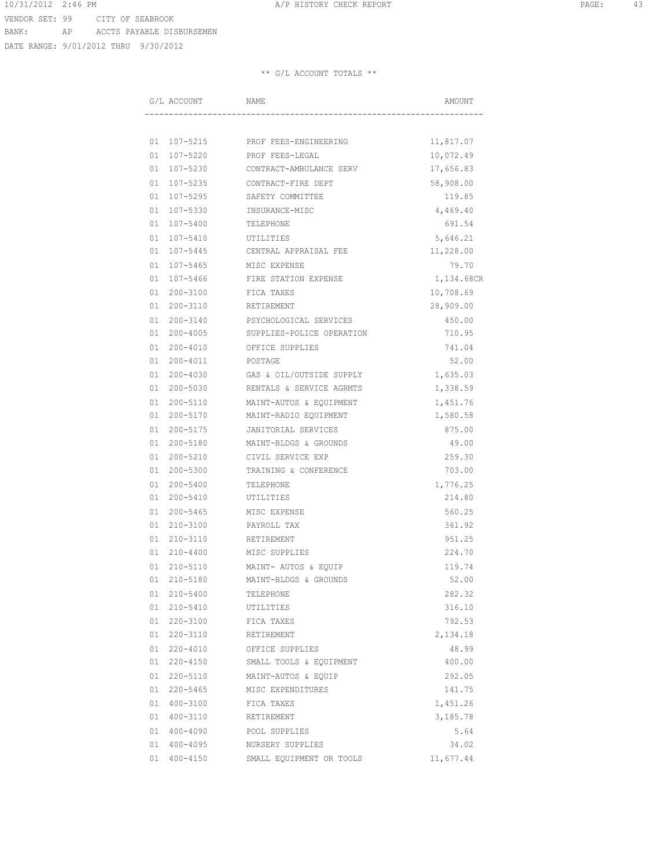DATE RANGE: 9/01/2012 THRU 9/30/2012

|    | G/L ACCOUNT  | NAME                              | AMOUNT     |
|----|--------------|-----------------------------------|------------|
|    |              |                                   |            |
|    |              |                                   |            |
|    |              | 01 107-5215 PROF FEES-ENGINEERING | 11,817.07  |
| 01 | 107-5220     | PROF FEES-LEGAL                   | 10,072.49  |
| 01 | 107-5230     | CONTRACT-AMBULANCE SERV           | 17,656.83  |
| 01 | $107 - 5235$ | CONTRACT-FIRE DEPT                | 58,908.00  |
| 01 | 107-5295     | SAFETY COMMITTEE                  | 119.85     |
| 01 | 107-5330     | INSURANCE-MISC                    | 4,469.40   |
| 01 | 107-5400     | TELEPHONE                         | 691.54     |
| 01 | $107 - 5410$ | <b>UTTLITTES</b>                  | 5,646.21   |
| 01 | $107 - 5445$ | CENTRAL APPRAISAL FEE             | 11,228.00  |
| 01 | $107 - 5465$ | MISC EXPENSE                      | 79.70      |
| 01 | 107-5466     | FIRE STATION EXPENSE              | 1,134.68CR |
| 01 | 200-3100     | FICA TAXES                        | 10,708.69  |
| 01 | 200-3110     | RETIREMENT                        | 28,909.00  |
| 01 | $200 - 3140$ | PSYCHOLOGICAL SERVICES            | 450.00     |
| 01 | $200 - 4005$ | SUPPLIES-POLICE OPERATION         | 710.95     |
| 01 | $200 - 4010$ | OFFICE SUPPLIES                   | 741.04     |
| 01 | $200 - 4011$ | POSTAGE                           | 52.00      |
| 01 | $200 - 4030$ | GAS & OIL/OUTSIDE SUPPLY          | 1,635.03   |
| 01 | 200-5030     | RENTALS & SERVICE AGRMTS          | 1,338.59   |
| 01 | $200 - 5110$ | MAINT-AUTOS & EQUIPMENT           | 1,451.76   |
| 01 | 200-5170     | MAINT-RADIO EQUIPMENT             | 1,580.58   |
| 01 | $200 - 5175$ | JANITORIAL SERVICES               | 875.00     |
| 01 | 200-5180     | MAINT-BLDGS & GROUNDS             | 49.00      |
| 01 | 200-5210     | CIVIL SERVICE EXP                 | 259.30     |
| 01 | $200 - 5300$ | TRAINING & CONFERENCE             | 703.00     |
| 01 | $200 - 5400$ | TELEPHONE                         | 1,776.25   |
| 01 | $200 - 5410$ | UTILITIES                         | 214.80     |
| 01 | $200 - 5465$ | MISC EXPENSE                      | 560.25     |
| 01 | $210 - 3100$ | PAYROLL TAX                       | 361.92     |
| 01 | $210 - 3110$ | RETIREMENT                        | 951.25     |
| 01 | $210 - 4400$ | MISC SUPPLIES                     | 224.70     |
| 01 |              | 210-5110 MAINT- AUTOS & EQUIP     | 119.74     |
| 01 | $210 - 5180$ | MAINT-BLDGS & GROUNDS             | 52.00      |
| 01 | $210 - 5400$ | TELEPHONE                         | 282.32     |
| 01 | 210-5410     | UTILITIES                         | 316.10     |
| 01 | $220 - 3100$ | FICA TAXES                        | 792.53     |
| 01 | 220-3110     | RETIREMENT                        | 2,134.18   |
| 01 | $220 - 4010$ | OFFICE SUPPLIES                   | 48.99      |
| 01 | $220 - 4150$ | SMALL TOOLS & EQUIPMENT           | 400.00     |
| 01 | 220-5110     | MAINT-AUTOS & EQUIP               | 292.05     |
| 01 | $220 - 5465$ | MISC EXPENDITURES                 | 141.75     |
| 01 | 400-3100     | FICA TAXES                        | 1,451.26   |
| 01 | 400-3110     | RETIREMENT                        | 3,185.78   |
| 01 | 400-4090     | POOL SUPPLIES                     | 5.64       |
| 01 | 400-4095     | NURSERY SUPPLIES                  | 34.02      |
| 01 | $400 - 4150$ | SMALL EQUIPMENT OR TOOLS          | 11,677.44  |
|    |              |                                   |            |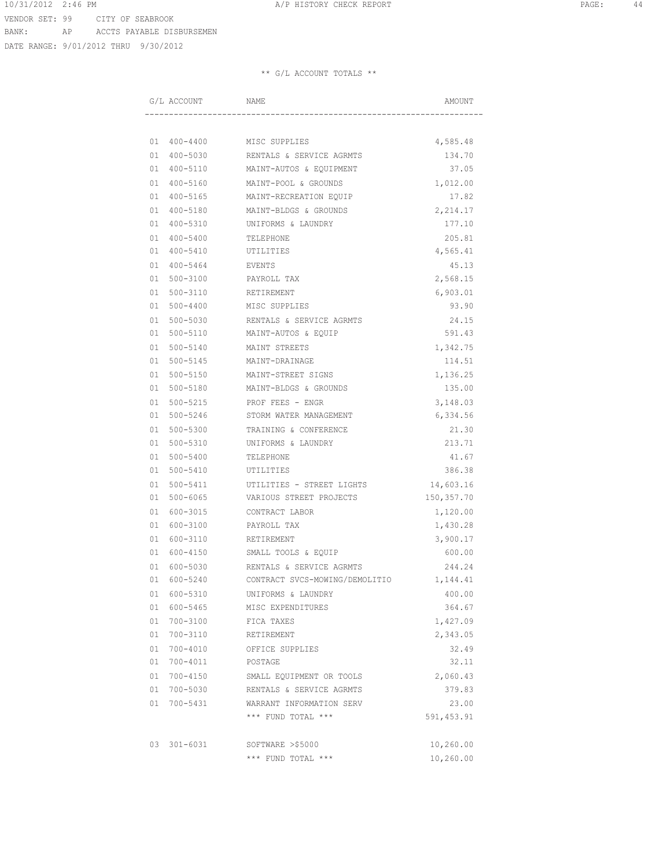DATE RANGE: 9/01/2012 THRU 9/30/2012

|    | G/L ACCOUNT  | NAME                              | AMOUNT      |  |  |
|----|--------------|-----------------------------------|-------------|--|--|
|    |              |                                   |             |  |  |
|    |              | 01 400-4400 MISC SUPPLIES         | 4,585.48    |  |  |
| 01 |              | 400-5030 RENTALS & SERVICE AGRMTS | 134.70      |  |  |
| 01 | 400-5110     | MAINT-AUTOS & EQUIPMENT           | 37.05       |  |  |
| 01 | 400-5160     | MAINT-POOL & GROUNDS              | 1,012.00    |  |  |
| 01 | 400-5165     | MAINT-RECREATION EQUIP            | 17.82       |  |  |
| 01 | 400-5180     | MAINT-BLDGS & GROUNDS             | 2, 214.17   |  |  |
| 01 | $400 - 5310$ | UNIFORMS & LAUNDRY                | 177.10      |  |  |
| 01 | 400-5400     | TELEPHONE                         | 205.81      |  |  |
| 01 | 400-5410     | UTILITIES                         | 4,565.41    |  |  |
| 01 | $400 - 5464$ | EVENTS                            | 45.13       |  |  |
| 01 | 500-3100     | PAYROLL TAX                       | 2,568.15    |  |  |
| 01 | $500 - 3110$ | RETIREMENT                        | 6,903.01    |  |  |
| 01 | 500-4400     | MISC SUPPLIES                     | 93.90       |  |  |
| 01 |              | 500-5030 RENTALS & SERVICE AGRMTS | 24.15       |  |  |
| 01 |              | 500-5110 MAINT-AUTOS & EQUIP      | 591.43      |  |  |
| 01 | 500-5140     | MAINT STREETS                     | 1,342.75    |  |  |
| 01 | 500-5145     | MAINT-DRAINAGE                    | 114.51      |  |  |
| 01 | 500-5150     | MAINT-STREET SIGNS                | 1,136.25    |  |  |
| 01 | 500-5180     | MAINT-BLDGS & GROUNDS             | 135.00      |  |  |
| 01 | $500 - 5215$ | PROF FEES - ENGR                  | 3,148.03    |  |  |
| 01 | $500 - 5246$ | STORM WATER MANAGEMENT            | 6,334.56    |  |  |
| 01 | $500 - 5300$ | TRAINING & CONFERENCE             | 21.30       |  |  |
| 01 | 500-5310     | UNIFORMS & LAUNDRY                | 213.71      |  |  |
| 01 | $500 - 5400$ | TELEPHONE                         | 41.67       |  |  |
| 01 | $500 - 5410$ | UTILITIES                         | 386.38      |  |  |
| 01 | $500 - 5411$ | UTILITIES - STREET LIGHTS         | 14,603.16   |  |  |
| 01 | 500-6065     | VARIOUS STREET PROJECTS           | 150, 357.70 |  |  |
| 01 | 600-3015     | CONTRACT LABOR                    | 1,120.00    |  |  |
| 01 | 600-3100     | PAYROLL TAX                       | 1,430.28    |  |  |
| 01 | 600-3110     | RETIREMENT                        | 3,900.17    |  |  |
| 01 | 600-4150     | SMALL TOOLS & EQUIP               | 600.00      |  |  |
| 01 | 600-5030     | RENTALS & SERVICE AGRMTS          | 244.24      |  |  |
| 01 | 600-5240     | CONTRACT SVCS-MOWING/DEMOLITIO    | 1,144.41    |  |  |
| 01 | 600-5310     | UNIFORMS & LAUNDRY                | 400.00      |  |  |
| 01 | 600-5465     | MISC EXPENDITURES                 | 364.67      |  |  |
| 01 | 700-3100     | FICA TAXES                        | 1,427.09    |  |  |
| 01 | 700-3110     | RETIREMENT                        | 2,343.05    |  |  |
| 01 | $700 - 4010$ | OFFICE SUPPLIES                   | 32.49       |  |  |
| 01 | $700 - 4011$ | POSTAGE                           | 32.11       |  |  |
| 01 | $700 - 4150$ | SMALL EQUIPMENT OR TOOLS          | 2,060.43    |  |  |
| 01 | 700-5030     | RENTALS & SERVICE AGRMTS          | 379.83      |  |  |
| 01 | 700-5431     | WARRANT INFORMATION SERV          | 23.00       |  |  |
|    |              | *** FUND TOTAL ***                | 591, 453.91 |  |  |
| 03 | $301 - 6031$ | SOFTWARE >\$5000                  | 10,260.00   |  |  |
|    |              | *** FUND TOTAL ***                | 10,260.00   |  |  |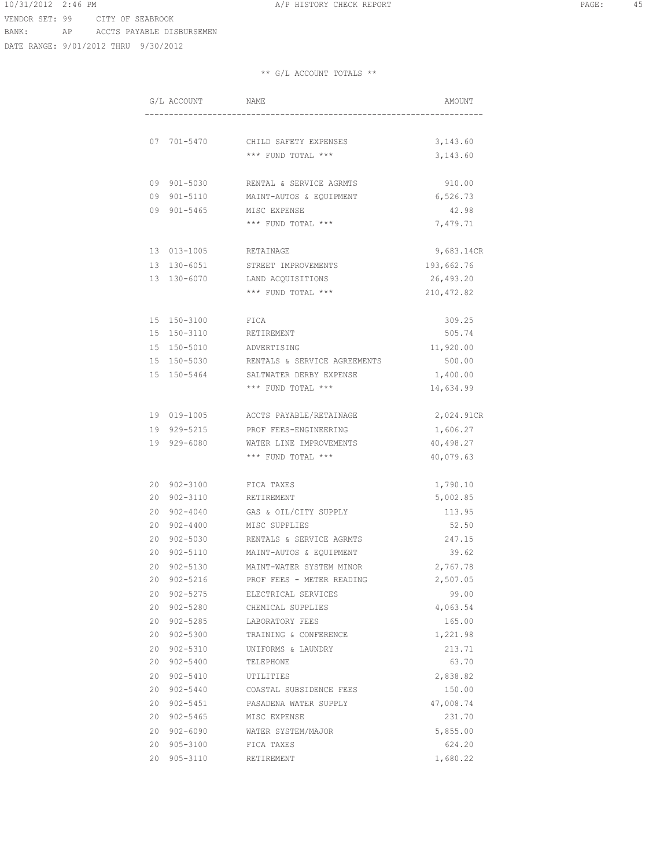DATE RANGE: 9/01/2012 THRU 9/30/2012

|    | G/L ACCOUNT  | NAME                         | AMOUNT      |
|----|--------------|------------------------------|-------------|
|    |              |                              |             |
| 07 | 701-5470     | CHILD SAFETY EXPENSES        | 3,143.60    |
|    |              | *** FUND TOTAL ***           | 3,143.60    |
|    |              |                              |             |
| 09 | 901-5030     | RENTAL & SERVICE AGRMTS      | 910.00      |
| 09 | 901-5110     | MAINT-AUTOS & EQUIPMENT      | 6,526.73    |
| 09 | $901 - 5465$ | MISC EXPENSE                 | 42.98       |
|    |              | *** FUND TOTAL ***           | 7,479.71    |
| 13 | 013-1005     | RETAINAGE                    | 9,683.14CR  |
| 13 | 130-6051     | STREET IMPROVEMENTS          | 193,662.76  |
| 13 | 130-6070     | LAND ACQUISITIONS            | 26,493.20   |
|    |              | *** FUND TOTAL ***           | 210, 472.82 |
| 15 | 150-3100     | FICA                         | 309.25      |
| 15 | 150-3110     | RETIREMENT                   | 505.74      |
| 15 | 150-5010     | ADVERTISING                  | 11,920.00   |
| 15 | 150-5030     | RENTALS & SERVICE AGREEMENTS | 500.00      |
| 15 | 150-5464     | SALTWATER DERBY EXPENSE      | 1,400.00    |
|    |              | *** FUND TOTAL ***           | 14,634.99   |
|    |              |                              |             |
| 19 | 019-1005     | ACCTS PAYABLE/RETAINAGE      | 2,024.91CR  |
| 19 | 929-5215     | PROF FEES-ENGINEERING        | 1,606.27    |
| 19 | 929-6080     | WATER LINE IMPROVEMENTS      | 40,498.27   |
|    |              | *** FUND TOTAL ***           | 40,079.63   |
| 20 | 902-3100     | FICA TAXES                   | 1,790.10    |
| 20 | 902-3110     | RETIREMENT                   | 5,002.85    |
| 20 | $902 - 4040$ | GAS & OIL/CITY SUPPLY        | 113.95      |
| 20 | $902 - 4400$ | MISC SUPPLIES                | 52.50       |
| 20 | 902-5030     | RENTALS & SERVICE AGRMTS     | 247.15      |
| 20 | 902-5110     | MAINT-AUTOS & EQUIPMENT      | 39.62       |
| 20 | 902-5130     | MAINT-WATER SYSTEM MINOR     | 2,767.78    |
| 20 | $902 - 5216$ | PROF FEES - METER READING    | 2,507.05    |
| 20 | $902 - 5275$ | ELECTRICAL SERVICES          | 99.00       |
| 20 | $902 - 5280$ | CHEMICAL SUPPLIES            | 4,063.54    |
| 20 | $902 - 5285$ | LABORATORY FEES              | 165.00      |
| 20 | 902-5300     | TRAINING & CONFERENCE        | 1,221.98    |
| 20 | 902-5310     | UNIFORMS & LAUNDRY           | 213.71      |
| 20 | 902-5400     | TELEPHONE                    | 63.70       |
| 20 | 902-5410     | UTILITIES                    | 2,838.82    |
| 20 | $902 - 5440$ | COASTAL SUBSIDENCE FEES      | 150.00      |
| 20 | 902-5451     | PASADENA WATER SUPPLY        | 47,008.74   |
| 20 | 902-5465     | MISC EXPENSE                 | 231.70      |
|    | 20 902-6090  | WATER SYSTEM/MAJOR           | 5,855.00    |
| 20 | 905-3100     | FICA TAXES                   | 624.20      |
| 20 | 905-3110     | RETIREMENT                   | 1,680.22    |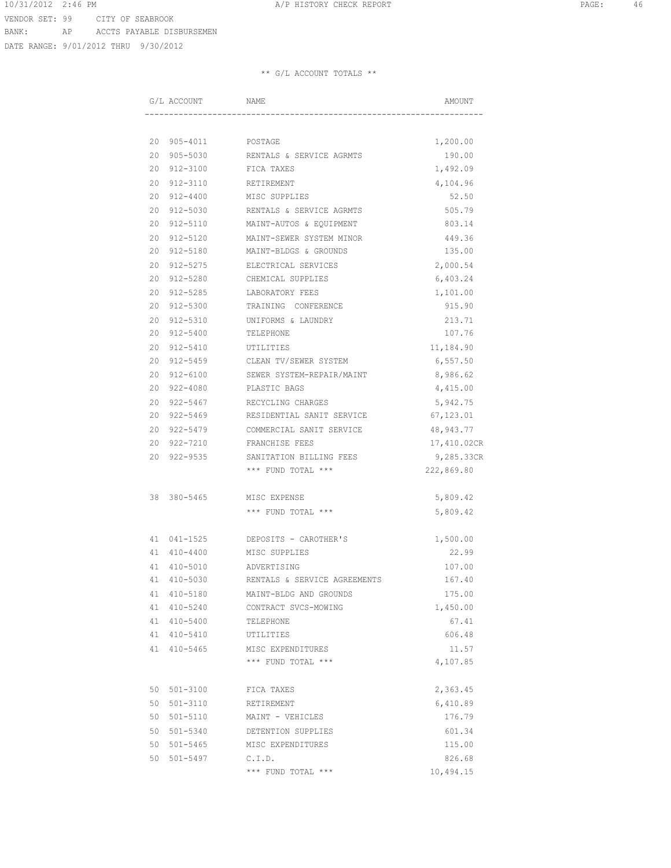DATE RANGE: 9/01/2012 THRU 9/30/2012

|    | G/L ACCOUNT  | NAME                         | AMOUNT      |
|----|--------------|------------------------------|-------------|
|    |              |                              |             |
|    |              |                              |             |
|    | 20 905-4011  | POSTAGE                      | 1,200.00    |
| 20 | 905-5030     | RENTALS & SERVICE AGRMTS     | 190.00      |
| 20 | 912-3100     | FICA TAXES                   | 1,492.09    |
| 20 | 912-3110     | RETIREMENT                   | 4,104.96    |
| 20 | 912-4400     | MISC SUPPLIES                | 52.50       |
| 20 | $912 - 5030$ | RENTALS & SERVICE AGRMTS     | 505.79      |
| 20 | $912 - 5110$ | MAINT-AUTOS & EQUIPMENT      | 803.14      |
| 20 | $912 - 5120$ | MAINT-SEWER SYSTEM MINOR     | 449.36      |
| 20 | $912 - 5180$ | MAINT-BLDGS & GROUNDS        | 135.00      |
| 20 | 912-5275     | ELECTRICAL SERVICES          | 2,000.54    |
| 20 | 912-5280     | CHEMICAL SUPPLIES            | 6,403.24    |
| 20 | $912 - 5285$ | LABORATORY FEES              | 1,101.00    |
| 20 | $912 - 5300$ | TRAINING CONFERENCE          | 915.90      |
| 20 | $912 - 5310$ | UNIFORMS & LAUNDRY           | 213.71      |
| 20 | $912 - 5400$ | TELEPHONE                    | 107.76      |
| 20 | 912-5410     | UTILITIES                    | 11,184.90   |
| 20 | 912-5459     | CLEAN TV/SEWER SYSTEM        | 6,557.50    |
| 20 | 912-6100     | SEWER SYSTEM-REPAIR/MAINT    | 8,986.62    |
| 20 | 922-4080     | PLASTIC BAGS                 | 4,415.00    |
| 20 | 922-5467     | RECYCLING CHARGES            | 5,942.75    |
| 20 | 922-5469     | RESIDENTIAL SANIT SERVICE    | 67,123.01   |
| 20 | $922 - 5479$ | COMMERCIAL SANIT SERVICE     | 48,943.77   |
| 20 | 922-7210     | FRANCHISE FEES               | 17,410.02CR |
| 20 | $922 - 9535$ | SANITATION BILLING FEES      | 9,285.33CR  |
|    |              | *** FUND TOTAL ***           | 222,869.80  |
|    |              |                              |             |
| 38 | $380 - 5465$ | MISC EXPENSE                 | 5,809.42    |
|    |              | *** FUND TOTAL ***           | 5,809.42    |
|    |              |                              |             |
| 41 | $041 - 1525$ | DEPOSITS - CAROTHER'S        | 1,500.00    |
|    | 41 410-4400  | MISC SUPPLIES                | 22.99       |
|    | 41 410-5010  | ADVERTISING                  | 107.00      |
|    | 41 410-5030  | RENTALS & SERVICE AGREEMENTS | 167.40      |
| 41 | 410-5180     | MAINT-BLDG AND GROUNDS       | 175.00      |
| 41 | 410-5240     | CONTRACT SVCS-MOWING         | 1,450.00    |
| 41 | $410 - 5400$ | TELEPHONE                    | 67.41       |
| 41 | $410 - 5410$ | UTILITIES                    | 606.48      |
| 41 | $410 - 5465$ | MISC EXPENDITURES            | 11.57       |
|    |              | *** FUND TOTAL ***           | 4,107.85    |
|    |              |                              |             |
| 50 | $501 - 3100$ | FICA TAXES                   | 2,363.45    |
| 50 | $501 - 3110$ | RETIREMENT                   | 6,410.89    |
| 50 | $501 - 5110$ | MAINT - VEHICLES             | 176.79      |
| 50 | $501 - 5340$ | DETENTION SUPPLIES           | 601.34      |
| 50 | $501 - 5465$ | MISC EXPENDITURES            | 115.00      |
| 50 | $501 - 5497$ | C.I.D.                       | 826.68      |
|    |              | *** FUND TOTAL ***           | 10,494.15   |
|    |              |                              |             |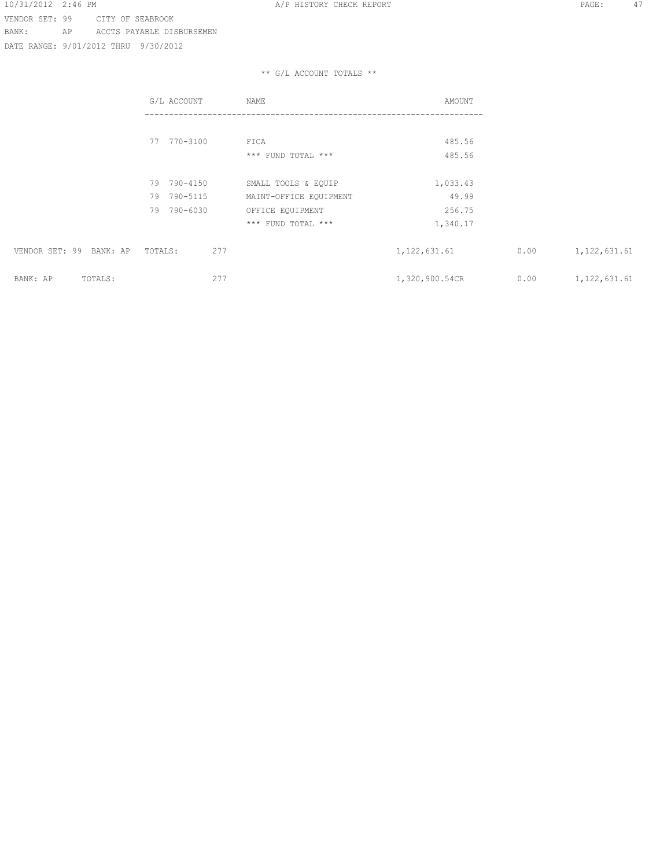DATE RANGE: 9/01/2012 THRU 9/30/2012

|                         | G/L ACCOUNT                | NAME                                          | AMOUNT             |      |                |
|-------------------------|----------------------------|-----------------------------------------------|--------------------|------|----------------|
|                         | 77 770-3100                | FICA<br>*** FUND TOTAL ***                    | 485.56<br>485.56   |      |                |
|                         | 79 790-4150<br>79 790-5115 | SMALL TOOLS & EQUIP<br>MAINT-OFFICE EQUIPMENT | 1,033.43<br>49.99  |      |                |
|                         | 790-6030<br>79             | OFFICE EQUIPMENT<br>*** FUND TOTAL ***        | 256.75<br>1,340.17 |      |                |
| VENDOR SET: 99 BANK: AP | 277<br>TOTALS:             |                                               | 1, 122, 631.61     | 0.00 | 1, 122, 631.61 |
| BANK: AP<br>TOTALS:     | 277                        |                                               | 1,320,900.54CR     | 0.00 | 1, 122, 631.61 |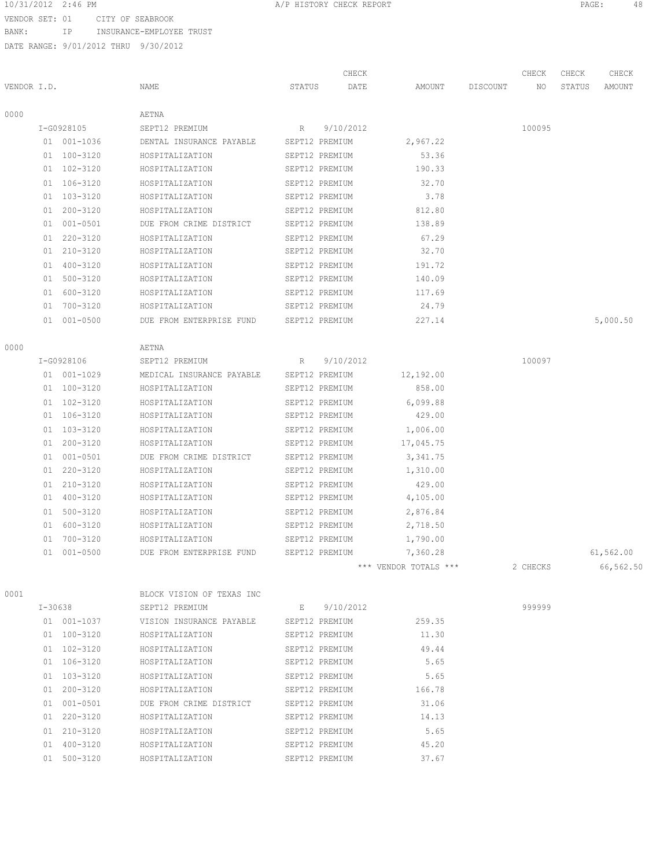# 10/31/2012 2:46 PM A/P HISTORY CHECK REPORT PAGE: 48

VENDOR SET: 01 CITY OF SEABROOK BANK: IP INSURANCE-EMPLOYEE TRUST

DATE RANGE: 9/01/2012 THRU 9/30/2012

|             |    |              |                                         |                | CHECK       |                       |          | CHECK    | CHECK  | CHECK     |
|-------------|----|--------------|-----------------------------------------|----------------|-------------|-----------------------|----------|----------|--------|-----------|
| VENDOR I.D. |    |              | NAME                                    | STATUS         | DATE        | AMOUNT                | DISCOUNT | NO.      | STATUS | AMOUNT    |
| 0000        |    |              | AETNA                                   |                |             |                       |          |          |        |           |
|             |    | I-G0928105   | SEPT12 PREMIUM                          | R              | 9/10/2012   |                       |          | 100095   |        |           |
|             |    | 01 001-1036  | DENTAL INSURANCE PAYABLE                | SEPT12 PREMIUM |             | 2,967.22              |          |          |        |           |
|             |    | 01 100-3120  | HOSPITALIZATION                         | SEPT12 PREMIUM |             | 53.36                 |          |          |        |           |
|             |    | 01 102-3120  | HOSPITALIZATION                         | SEPT12 PREMIUM |             | 190.33                |          |          |        |           |
|             |    | 01 106-3120  | HOSPITALIZATION                         | SEPT12 PREMIUM |             | 32.70                 |          |          |        |           |
|             |    | 01 103-3120  | HOSPITALIZATION                         | SEPT12 PREMIUM |             | 3.78                  |          |          |        |           |
|             | 01 | $200 - 3120$ | HOSPITALIZATION                         | SEPT12 PREMIUM |             | 812.80                |          |          |        |           |
|             |    | 01 001-0501  | DUE FROM CRIME DISTRICT                 | SEPT12 PREMIUM |             | 138.89                |          |          |        |           |
|             |    | 01 220-3120  | HOSPITALIZATION                         | SEPT12 PREMIUM |             | 67.29                 |          |          |        |           |
|             |    | 01 210-3120  | HOSPITALIZATION                         | SEPT12 PREMIUM |             | 32.70                 |          |          |        |           |
|             |    | 01 400-3120  | HOSPITALIZATION                         | SEPT12 PREMIUM |             | 191.72                |          |          |        |           |
|             |    | 01 500-3120  | HOSPITALIZATION                         | SEPT12 PREMIUM |             | 140.09                |          |          |        |           |
|             | 01 | 600-3120     | HOSPITALIZATION                         | SEPT12 PREMIUM |             | 117.69                |          |          |        |           |
|             | 01 | 700-3120     | HOSPITALIZATION                         | SEPT12 PREMIUM |             | 24.79                 |          |          |        |           |
|             |    | 01 001-0500  | DUE FROM ENTERPRISE FUND                | SEPT12 PREMIUM |             | 227.14                |          |          |        | 5,000.50  |
| 0000        |    |              | AETNA                                   |                |             |                       |          |          |        |           |
|             |    | I-G0928106   | SEPT12 PREMIUM                          | R              | 9/10/2012   |                       |          | 100097   |        |           |
|             |    | 01 001-1029  | MEDICAL INSURANCE PAYABLE               | SEPT12 PREMIUM |             | 12,192.00             |          |          |        |           |
|             |    | 01 100-3120  | HOSPITALIZATION                         | SEPT12 PREMIUM |             | 858.00                |          |          |        |           |
|             |    | 01 102-3120  | HOSPITALIZATION                         | SEPT12 PREMIUM |             | 6,099.88              |          |          |        |           |
|             |    | 01 106-3120  | HOSPITALIZATION                         | SEPT12 PREMIUM |             | 429.00                |          |          |        |           |
|             |    | 01 103-3120  | HOSPITALIZATION                         | SEPT12 PREMIUM |             | 1,006.00              |          |          |        |           |
|             |    | 01 200-3120  | HOSPITALIZATION                         | SEPT12 PREMIUM |             | 17,045.75             |          |          |        |           |
|             | 01 | $001 - 0501$ | DUE FROM CRIME DISTRICT                 | SEPT12 PREMIUM |             | 3, 341.75             |          |          |        |           |
|             | 01 | 220-3120     | HOSPITALIZATION                         | SEPT12 PREMIUM |             | 1,310.00              |          |          |        |           |
|             | 01 | 210-3120     | HOSPITALIZATION                         | SEPT12 PREMIUM |             | 429.00                |          |          |        |           |
|             |    | 01 400-3120  | HOSPITALIZATION                         | SEPT12 PREMIUM |             | 4,105.00              |          |          |        |           |
|             | 01 | $500 - 3120$ | HOSPITALIZATION                         | SEPT12 PREMIUM |             | 2,876.84              |          |          |        |           |
|             |    | 01 600-3120  | HOSPITALIZATION                         | SEPT12 PREMIUM |             | 2,718.50              |          |          |        |           |
|             | 01 | $700 - 3120$ | HOSPITALIZATION                         | SEPT12 PREMIUM |             | 1,790.00              |          |          |        |           |
|             |    | 01 001-0500  | DUE FROM ENTERPRISE FUND                | SEPT12 PREMIUM |             | 7,360.28              |          |          |        | 61,562.00 |
|             |    |              |                                         |                |             | *** VENDOR TOTALS *** |          | 2 CHECKS |        | 66,562.50 |
| 0001        |    |              | BLOCK VISION OF TEXAS INC               |                |             |                       |          |          |        |           |
|             |    | I-30638      | SEPT12 PREMIUM                          |                | E 9/10/2012 |                       |          | 999999   |        |           |
|             |    | 01 001-1037  | VISION INSURANCE PAYABLE SEPT12 PREMIUM |                |             | 259.35                |          |          |        |           |
|             |    | 01 100-3120  | HOSPITALIZATION                         | SEPT12 PREMIUM |             | 11.30                 |          |          |        |           |
|             |    | 01 102-3120  | HOSPITALIZATION                         | SEPT12 PREMIUM |             | 49.44                 |          |          |        |           |
|             |    | 01 106-3120  | HOSPITALIZATION                         | SEPT12 PREMIUM |             | 5.65                  |          |          |        |           |
|             |    | 01 103-3120  | HOSPITALIZATION                         | SEPT12 PREMIUM |             | 5.65                  |          |          |        |           |
|             |    | 01 200-3120  | HOSPITALIZATION                         | SEPT12 PREMIUM |             | 166.78                |          |          |        |           |
|             |    | 01 001-0501  | DUE FROM CRIME DISTRICT                 | SEPT12 PREMIUM |             | 31.06                 |          |          |        |           |
|             |    | 01 220-3120  | HOSPITALIZATION                         | SEPT12 PREMIUM |             | 14.13                 |          |          |        |           |
|             |    |              |                                         |                |             |                       |          |          |        |           |

 210-3120 HOSPITALIZATION SEPT12 PREMIUM 5.65 400-3120 HOSPITALIZATION SEPT12 PREMIUM 45.20 500-3120 HOSPITALIZATION SEPT12 PREMIUM 37.67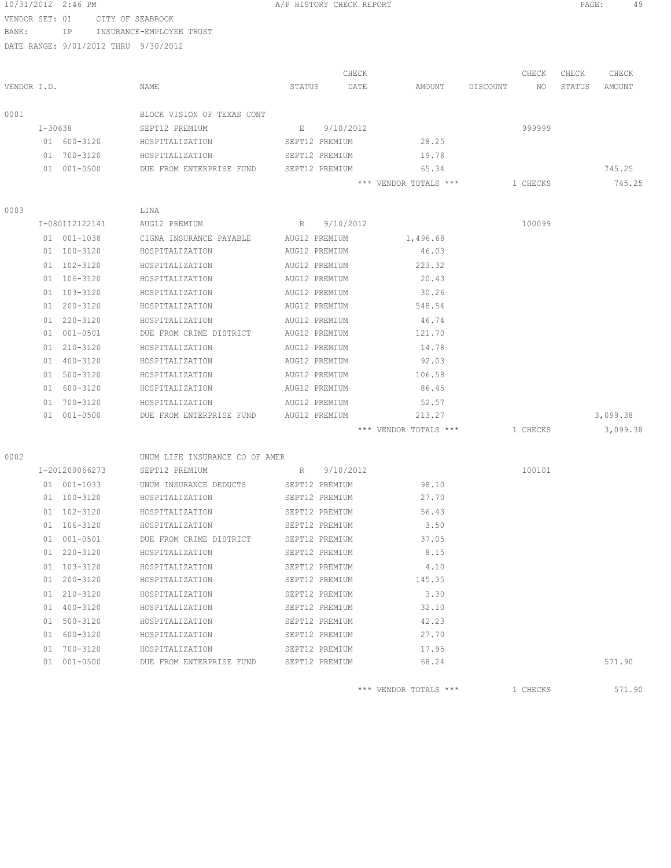| 10/31/2012     |    | $2:46$ PM                            |                                            | A/P HISTORY CHECK REPORT         |           |                       |          |          | PAGE:  |          |
|----------------|----|--------------------------------------|--------------------------------------------|----------------------------------|-----------|-----------------------|----------|----------|--------|----------|
| VENDOR SET: 01 |    |                                      | CITY OF SEABROOK                           |                                  |           |                       |          |          |        |          |
| BANK:          |    | IP                                   | INSURANCE-EMPLOYEE TRUST                   |                                  |           |                       |          |          |        |          |
|                |    | DATE RANGE: 9/01/2012 THRU 9/30/2012 |                                            |                                  |           |                       |          |          |        |          |
|                |    |                                      |                                            |                                  |           |                       |          |          |        |          |
|                |    |                                      |                                            |                                  | CHECK     |                       |          | CHECK    | CHECK  | CHECK    |
| VENDOR I.D.    |    |                                      | NAME                                       | STATUS                           | DATE      | AMOUNT                | DISCOUNT | NO.      | STATUS | AMOUNT   |
| 0001           |    |                                      | BLOCK VISION OF TEXAS CONT                 |                                  |           |                       |          |          |        |          |
|                |    | I-30638                              | SEPT12 PREMIUM                             | E                                | 9/10/2012 |                       |          | 999999   |        |          |
|                |    | 01 600-3120                          | HOSPITALIZATION                            | SEPT12 PREMIUM                   |           | 28.25                 |          |          |        |          |
|                |    | 01 700-3120                          | HOSPITALIZATION                            | SEPT12 PREMIUM                   |           | 19.78                 |          |          |        |          |
|                |    | 01 001-0500                          | DUE FROM ENTERPRISE FUND                   | SEPT12 PREMIUM                   |           | 65.34                 |          |          |        | 745.25   |
|                |    |                                      |                                            |                                  |           | *** VENDOR TOTALS *** |          | 1 CHECKS |        | 745.25   |
|                |    |                                      |                                            |                                  |           |                       |          |          |        |          |
| 0003           |    |                                      | LINA                                       |                                  |           |                       |          |          |        |          |
|                |    | I-080112122141                       | AUG12 PREMIUM                              | R                                | 9/10/2012 |                       |          | 100099   |        |          |
|                |    | 01 001-1038                          | CIGNA INSURANCE PAYABLE                    | AUG12 PREMIUM                    |           | 1,496.68              |          |          |        |          |
|                |    | 01 100-3120                          | HOSPITALIZATION                            | AUG12 PREMIUM                    |           | 46.03                 |          |          |        |          |
|                | 01 | 102-3120                             | HOSPITALIZATION                            | AUG12 PREMIUM                    |           | 223.32                |          |          |        |          |
|                |    | 01 106-3120                          | HOSPITALIZATION                            | AUG12 PREMIUM                    |           | 20.43                 |          |          |        |          |
|                | 01 | 103-3120                             | HOSPITALIZATION                            | AUG12 PREMIUM                    |           | 30.26                 |          |          |        |          |
|                | 01 | 200-3120                             | HOSPITALIZATION                            | AUG12 PREMIUM                    |           | 548.54                |          |          |        |          |
|                | 01 | $220 - 3120$                         | HOSPITALIZATION                            | AUG12 PREMIUM                    |           | 46.74                 |          |          |        |          |
|                |    | 01 001-0501                          | DUE FROM CRIME DISTRICT                    | AUG12 PREMIUM                    |           | 121.70                |          |          |        |          |
|                | 01 | 210-3120                             | HOSPITALIZATION                            | AUG12 PREMIUM                    |           | 14.78                 |          |          |        |          |
|                |    | 01 400-3120                          | HOSPITALIZATION                            | AUG12 PREMIUM                    |           | 92.03                 |          |          |        |          |
|                | 01 | 500-3120                             | HOSPITALIZATION                            | AUG12 PREMIUM                    |           | 106.58                |          |          |        |          |
|                | 01 | 600-3120                             | HOSPITALIZATION                            | AUG12 PREMIUM                    |           | 86.45                 |          |          |        |          |
|                | 01 | 700-3120                             | HOSPITALIZATION                            | AUG12 PREMIUM                    |           | 52.57                 |          |          |        |          |
|                |    | 01 001-0500                          | DUE FROM ENTERPRISE FUND                   | AUG12 PREMIUM                    |           | 213.27                |          |          |        | 3,099.38 |
|                |    |                                      |                                            |                                  |           | *** VENDOR TOTALS *** |          | 1 CHECKS |        | 3,099.38 |
|                |    |                                      |                                            |                                  |           |                       |          |          |        |          |
| 0002           |    | I-201209066273                       | UNUM LIFE INSURANCE CO OF AMER             |                                  | 9/10/2012 |                       |          | 100101   |        |          |
|                |    |                                      | SEPT12 PREMIUM                             | R                                |           |                       |          |          |        |          |
|                |    | 01 001-1033<br>01 100-3120           | UNUM INSURANCE DEDUCTS                     | SEPT12 PREMIUM                   |           | 98.10                 |          |          |        |          |
|                |    |                                      | HOSPITALIZATION                            | SEPT12 PREMIUM                   |           | 27.70                 |          |          |        |          |
|                |    | 01 102-3120                          | HOSPITALIZATION                            | SEPT12 PREMIUM                   |           | 56.43<br>3.50         |          |          |        |          |
|                |    | 01 106-3120<br>01 001-0501           | HOSPITALIZATION<br>DUE FROM CRIME DISTRICT | SEPT12 PREMIUM                   |           |                       |          |          |        |          |
|                |    | 01 220-3120                          | HOSPITALIZATION                            | SEPT12 PREMIUM<br>SEPT12 PREMIUM |           | 37.05<br>8.15         |          |          |        |          |
|                |    | 01 103-3120                          |                                            |                                  |           |                       |          |          |        |          |
|                |    | 01 200-3120                          | HOSPITALIZATION<br>HOSPITALIZATION         | SEPT12 PREMIUM<br>SEPT12 PREMIUM |           | 4.10<br>145.35        |          |          |        |          |
|                |    |                                      |                                            |                                  |           |                       |          |          |        |          |
|                |    | 01 210-3120<br>01 400-3120           | HOSPITALIZATION                            | SEPT12 PREMIUM                   |           | 3.30<br>32.10         |          |          |        |          |
|                |    |                                      | HOSPITALIZATION                            | SEPT12 PREMIUM                   |           |                       |          |          |        |          |
|                |    | 01 500-3120                          | HOSPITALIZATION                            | SEPT12 PREMIUM                   |           | 42.23                 |          |          |        |          |
|                |    | 01 600-3120                          | HOSPITALIZATION                            | SEPT12 PREMIUM                   |           | 27.70                 |          |          |        |          |
|                |    | 01 700-3120                          | HOSPITALIZATION                            | SEPT12 PREMIUM                   |           | 17.95                 |          |          |        |          |
|                |    | 01 001-0500                          | DUE FROM ENTERPRISE FUND                   | SEPT12 PREMIUM                   |           | 68.24                 |          |          |        | 571.90   |
|                |    |                                      |                                            |                                  |           | *** VENDOR TOTALS *** |          | 1 CHECKS |        | 571.90   |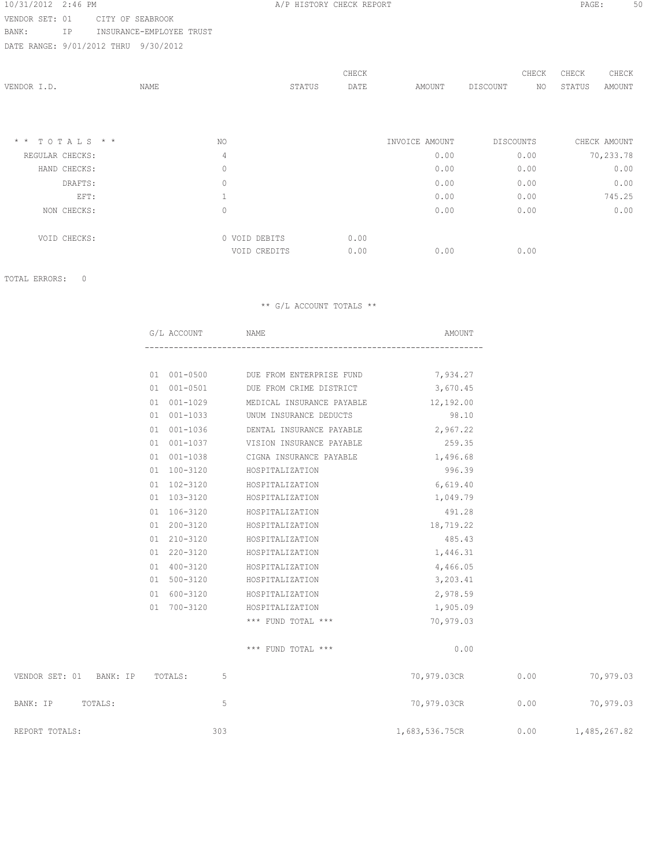# 10/31/2012 2:46 PM A/P HISTORY CHECK REPORT PAGE: 50

VENDOR SET: 01 CITY OF SEABROOK BANK: IP INSURANCE-EMPLOYEE TRUST

DATE RANGE: 9/01/2012 THRU 9/30/2012

| VENDOR I.D.             | NAME           | STATUS                        | CHECK<br>DATE | AMOUNT         | CHECK<br>DISCOUNT<br>NO | CHECK<br>CHECK<br>STATUS<br>AMOUNT |
|-------------------------|----------------|-------------------------------|---------------|----------------|-------------------------|------------------------------------|
| $* * \tT O T A L S * *$ | NO.            |                               |               | INVOICE AMOUNT | DISCOUNTS               | CHECK AMOUNT                       |
| REGULAR CHECKS:         | 4              |                               |               | 0.00           | 0.00                    | 70,233.78                          |
| HAND CHECKS:            | $\circ$        |                               |               | 0.00           | 0.00                    | 0.00                               |
| DRAFTS:                 | $\mathbb O$    |                               |               | 0.00           | 0.00                    | 0.00                               |
| EFT:                    | $\mathbf{1}$   |                               |               | 0.00           | 0.00                    | 745.25                             |
| NON CHECKS:             | $\circledcirc$ |                               |               | 0.00           | 0.00                    | 0.00                               |
| VOID CHECKS:            |                | 0 VOID DEBITS<br>VOID CREDITS | 0.00<br>0.00  | 0.00           | 0.00                    |                                    |

TOTAL ERRORS: 0

|                                 | G/L ACCOUNT | NAME                                          | AMOUNT                           |      |           |
|---------------------------------|-------------|-----------------------------------------------|----------------------------------|------|-----------|
|                                 |             |                                               |                                  |      |           |
|                                 |             | 01 001-0500 DUE FROM ENTERPRISE FUND 7,934.27 |                                  |      |           |
|                                 | 01 001-0501 | DUE FROM CRIME DISTRICT                       | 3,670.45                         |      |           |
|                                 | 01 001-1029 | MEDICAL INSURANCE PAYABLE                     | 12,192.00                        |      |           |
|                                 | 01 001-1033 | UNUM INSURANCE DEDUCTS                        | 98.10                            |      |           |
|                                 | 01 001-1036 | DENTAL INSURANCE PAYABLE                      | 2,967.22                         |      |           |
|                                 | 01 001-1037 | VISION INSURANCE PAYABLE                      | 259.35                           |      |           |
|                                 | 01 001-1038 | CIGNA INSURANCE PAYABLE                       | 1,496.68                         |      |           |
|                                 | 01 100-3120 | HOSPITALIZATION                               | 996.39                           |      |           |
|                                 | 01 102-3120 | HOSPITALIZATION                               | 6,619.40                         |      |           |
|                                 | 01 103-3120 | HOSPITALIZATION                               | 1,049.79                         |      |           |
|                                 | 01 106-3120 | HOSPITALIZATION                               | 491.28                           |      |           |
|                                 | 01 200-3120 | HOSPITALIZATION                               | 18,719.22                        |      |           |
|                                 | 01 210-3120 | HOSPITALIZATION                               | 485.43                           |      |           |
|                                 | 01 220-3120 | HOSPITALIZATION                               | 1,446.31                         |      |           |
|                                 | 01 400-3120 | HOSPITALIZATION                               | 4,466.05                         |      |           |
|                                 | 01 500-3120 | HOSPITALIZATION                               | 3,203.41                         |      |           |
|                                 | 01 600-3120 | HOSPITALIZATION                               | 2,978.59                         |      |           |
|                                 | 01 700-3120 | HOSPITALIZATION                               | 1,905.09                         |      |           |
|                                 |             | *** FUND TOTAL ***                            | 70,979.03                        |      |           |
|                                 |             | *** FUND TOTAL ***                            | 0.00                             |      |           |
| VENDOR SET: 01 BANK: IP TOTALS: | 5           |                                               | 70,979.03CR                      | 0.00 | 70,979.03 |
| BANK: IP TOTALS:                | 5           |                                               | 70,979.03CR 0.00                 |      | 70,979.03 |
| REPORT TOTALS:                  | 303         |                                               | 1,683,536.75CR 0.00 1,485,267.82 |      |           |